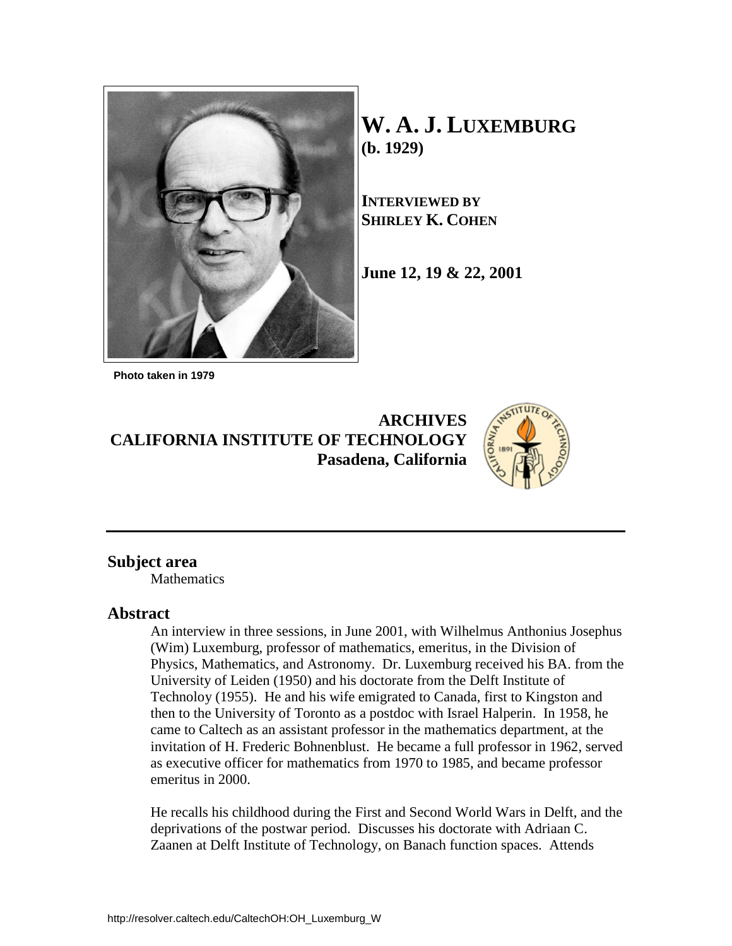

**W. A. J. LUXEMBURG (b. 1929)**

**INTERVIEWED BY SHIRLEY K. COHEN**

**June 12, 19 & 22, 2001**

 **Photo taken in 1979**

**ARCHIVES CALIFORNIA INSTITUTE OF TECHNOLOGY Pasadena, California**



# **Subject area**

**Mathematics** 

# **Abstract**

An interview in three sessions, in June 2001, with Wilhelmus Anthonius Josephus (Wim) Luxemburg, professor of mathematics, emeritus, in the Division of Physics, Mathematics, and Astronomy. Dr. Luxemburg received his BA. from the University of Leiden (1950) and his doctorate from the Delft Institute of Technoloy (1955). He and his wife emigrated to Canada, first to Kingston and then to the University of Toronto as a postdoc with Israel Halperin. In 1958, he came to Caltech as an assistant professor in the mathematics department, at the invitation of H. Frederic Bohnenblust. He became a full professor in 1962, served as executive officer for mathematics from 1970 to 1985, and became professor emeritus in 2000.

He recalls his childhood during the First and Second World Wars in Delft, and the deprivations of the postwar period. Discusses his doctorate with Adriaan C. Zaanen at Delft Institute of Technology, on Banach function spaces. Attends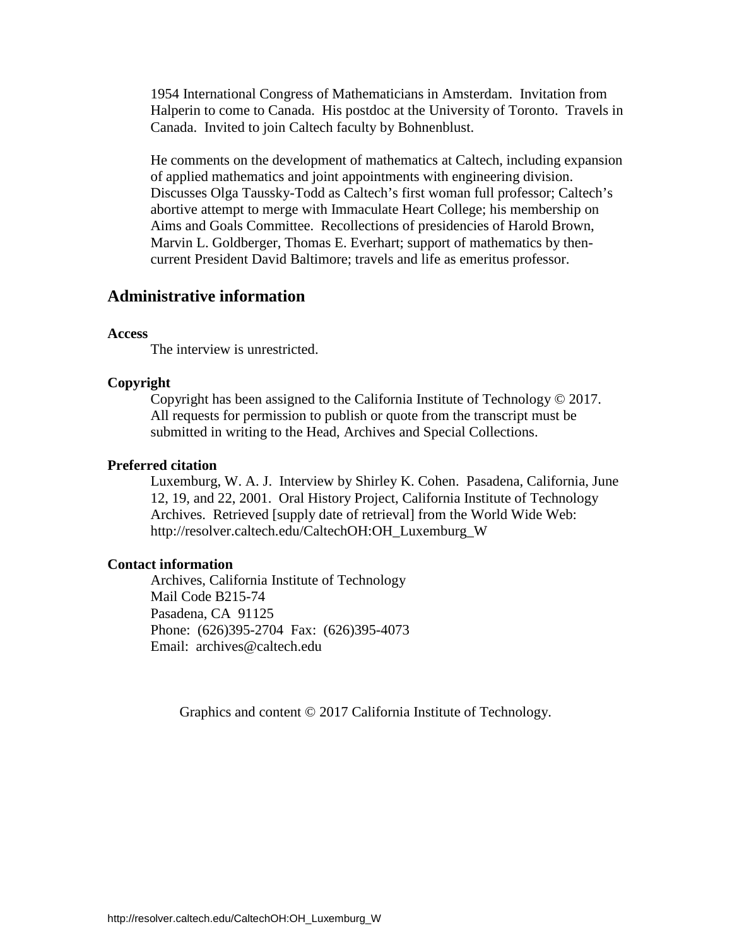1954 International Congress of Mathematicians in Amsterdam. Invitation from Halperin to come to Canada. His postdoc at the University of Toronto. Travels in Canada. Invited to join Caltech faculty by Bohnenblust.

He comments on the development of mathematics at Caltech, including expansion of applied mathematics and joint appointments with engineering division. Discusses Olga Taussky-Todd as Caltech's first woman full professor; Caltech's abortive attempt to merge with Immaculate Heart College; his membership on Aims and Goals Committee. Recollections of presidencies of Harold Brown, Marvin L. Goldberger, Thomas E. Everhart; support of mathematics by thencurrent President David Baltimore; travels and life as emeritus professor.

# **Administrative information**

#### **Access**

The interview is unrestricted.

#### **Copyright**

Copyright has been assigned to the California Institute of Technology © 2017. All requests for permission to publish or quote from the transcript must be submitted in writing to the Head, Archives and Special Collections.

#### **Preferred citation**

Luxemburg, W. A. J. Interview by Shirley K. Cohen. Pasadena, California, June 12, 19, and 22, 2001. Oral History Project, California Institute of Technology Archives. Retrieved [supply date of retrieval] from the World Wide Web: http://resolver.caltech.edu/CaltechOH:OH\_Luxemburg\_W

#### **Contact information**

Archives, California Institute of Technology Mail Code B215-74 Pasadena, CA 91125 Phone: (626)395-2704 Fax: (626)395-4073 Email: archives@caltech.edu

Graphics and content © 2017 California Institute of Technology.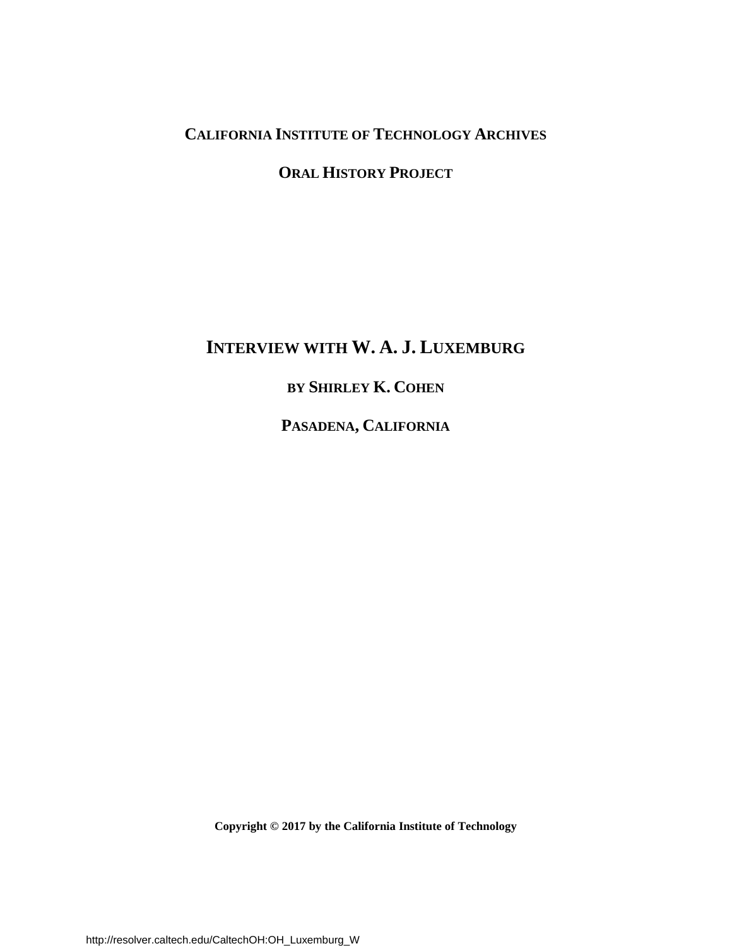# **CALIFORNIA INSTITUTE OF TECHNOLOGY ARCHIVES**

# **ORAL HISTORY PROJECT**

# **INTERVIEW WITH W. A. J. LUXEMBURG**

# **BY SHIRLEY K. COHEN**

**PASADENA, CALIFORNIA**

**Copyright © 2017 by the California Institute of Technology**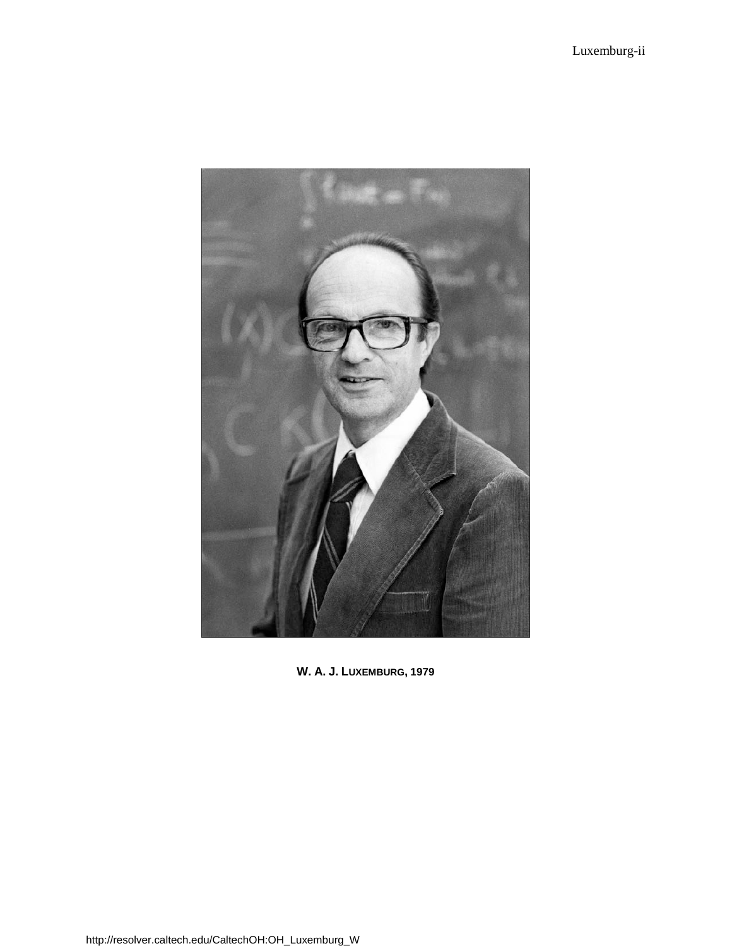

**W. A. J. LUXEMBURG, 1979**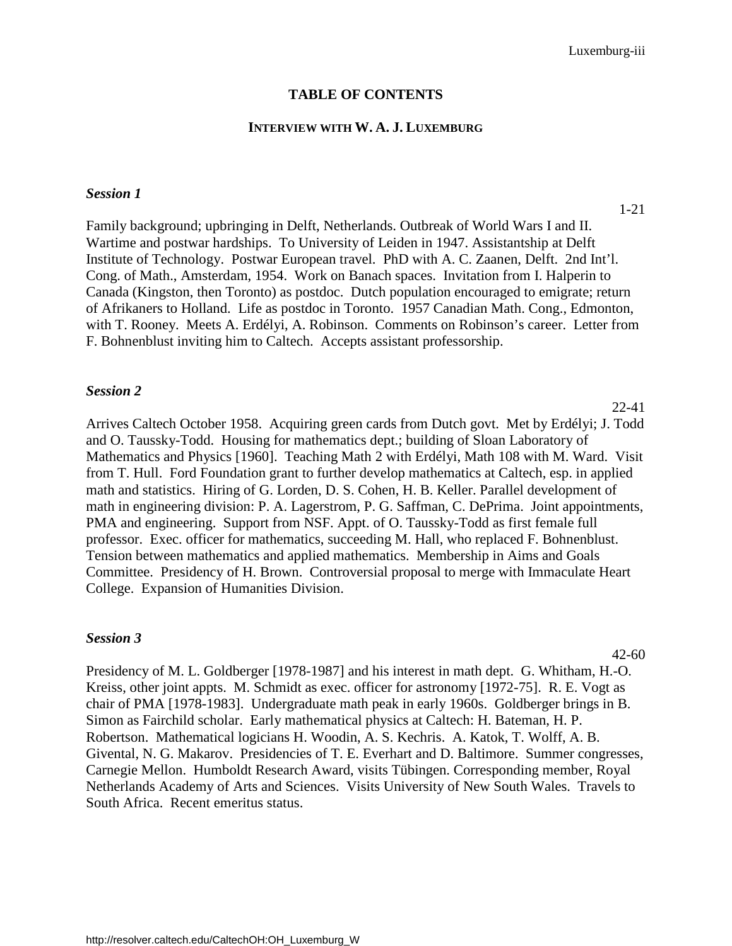# **TABLE OF CONTENTS**

#### **INTERVIEW WITH W. A. J. LUXEMBURG**

#### *Session 1*

Family background; upbringing in Delft, Netherlands. Outbreak of World Wars I and II. Wartime and postwar hardships. To University of Leiden in 1947. Assistantship at Delft Institute of Technology. Postwar European travel. PhD with A. C. Zaanen, Delft. 2nd Int'l. Cong. of Math., Amsterdam, 1954. Work on Banach spaces. Invitation from I. Halperin to Canada (Kingston, then Toronto) as postdoc. Dutch population encouraged to emigrate; return of Afrikaners to Holland. Life as postdoc in Toronto. 1957 Canadian Math. Cong., Edmonton, [with T. Rooney. Meets A. Erdélyi, A. Robinson. Comments on Robinson's career. Letter from](#page-5-0)  F. Bohnenblust inviting him to Caltech. Accepts assistant professorship.

#### *Session 2*

[Arrives Caltech October 1958. Acquiring green cards from Dutch govt. Met by Erdélyi; J. Todd](#page-26-0)  and O. Taussky-Todd. Housing for mathematics dept.; building of Sloan Laboratory of Mathematics and Physics [1960]. Teaching Math 2 with Erdélyi, Math 108 with M. Ward. Visit from T. Hull. Ford Foundation grant to further develop mathematics at Caltech, esp. in applied math and statistics. Hiring of G. Lorden, D. S. Cohen, H. B. Keller. Parallel development of math in engineering division: P. A. Lagerstrom, P. G. Saffman, C. DePrima. Joint appointments, PMA and engineering. Support from NSF. Appt. of O. Taussky-Todd as first female full professor. Exec. officer for mathematics, succeeding M. Hall, who replaced F. Bohnenblust. Tension between mathematics and applied mathematics. Membership in Aims and Goals Committee. Presidency of H. Brown. Controversial proposal to merge with Immaculate Heart College. Expansion of Humanities Division.

#### *Session 3*

42-60

Presidency of M. L. Goldberger [1978-1987] and his interest in math dept. G. Whitham, H.-O. Kreiss, other joint appts. M. Schmidt as exec. officer for astronomy [1972-75]. R. E. Vogt as chair of PMA [1978-1983]. Undergraduate math peak in early 1960s. Goldberger brings in B. Simon as Fairchild scholar. Early mathematical physics at Caltech: H. Bateman, H. P. Robertson. Mathematical logicians H. Woodin, A. S. Kechris. A. Katok, T. Wolff, A. B. Givental, N. G. Makarov. Presidencies of T. E. Everhart and D. Baltimore. Summer congresses, Carnegie Mellon. Humboldt Research Award, visits Tübingen. Corresponding member, Royal [Netherlands Academy of Arts and Sciences. Visits University of New South Wales. Travels to](#page-46-0)  South Africa. Recent emeritus status.

#### 1-21

22-41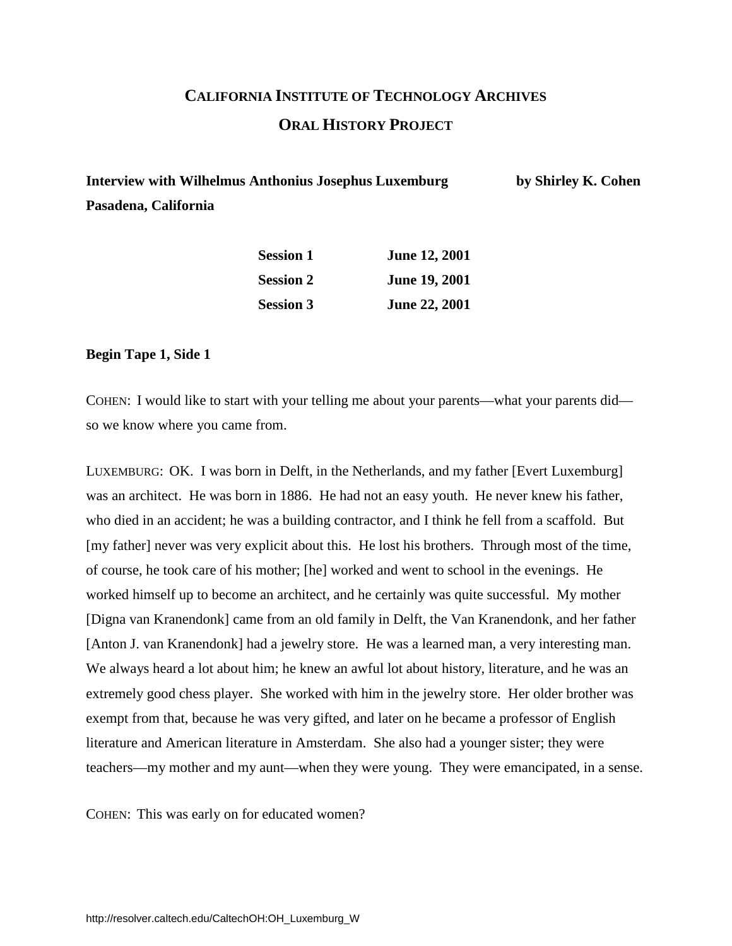# **CALIFORNIA INSTITUTE OF TECHNOLOGY ARCHIVES ORAL HISTORY PROJECT**

<span id="page-5-0"></span>**Interview with Wilhelmus Anthonius Josephus Luxemburg by Shirley K. Cohen Pasadena, California**

| <b>Session 1</b> | <b>June 12, 2001</b> |
|------------------|----------------------|
| <b>Session 2</b> | <b>June 19, 2001</b> |
| <b>Session 3</b> | <b>June 22, 2001</b> |

**Begin Tape 1, Side 1**

COHEN: I would like to start with your telling me about your parents—what your parents did so we know where you came from.

LUXEMBURG: OK. I was born in Delft, in the Netherlands, and my father [Evert Luxemburg] was an architect. He was born in 1886. He had not an easy youth. He never knew his father, who died in an accident; he was a building contractor, and I think he fell from a scaffold. But [my father] never was very explicit about this. He lost his brothers. Through most of the time, of course, he took care of his mother; [he] worked and went to school in the evenings. He worked himself up to become an architect, and he certainly was quite successful. My mother [Digna van Kranendonk] came from an old family in Delft, the Van Kranendonk, and her father [Anton J. van Kranendonk] had a jewelry store. He was a learned man, a very interesting man. We always heard a lot about him; he knew an awful lot about history, literature, and he was an extremely good chess player. She worked with him in the jewelry store. Her older brother was exempt from that, because he was very gifted, and later on he became a professor of English literature and American literature in Amsterdam. She also had a younger sister; they were teachers—my mother and my aunt—when they were young. They were emancipated, in a sense.

COHEN: This was early on for educated women?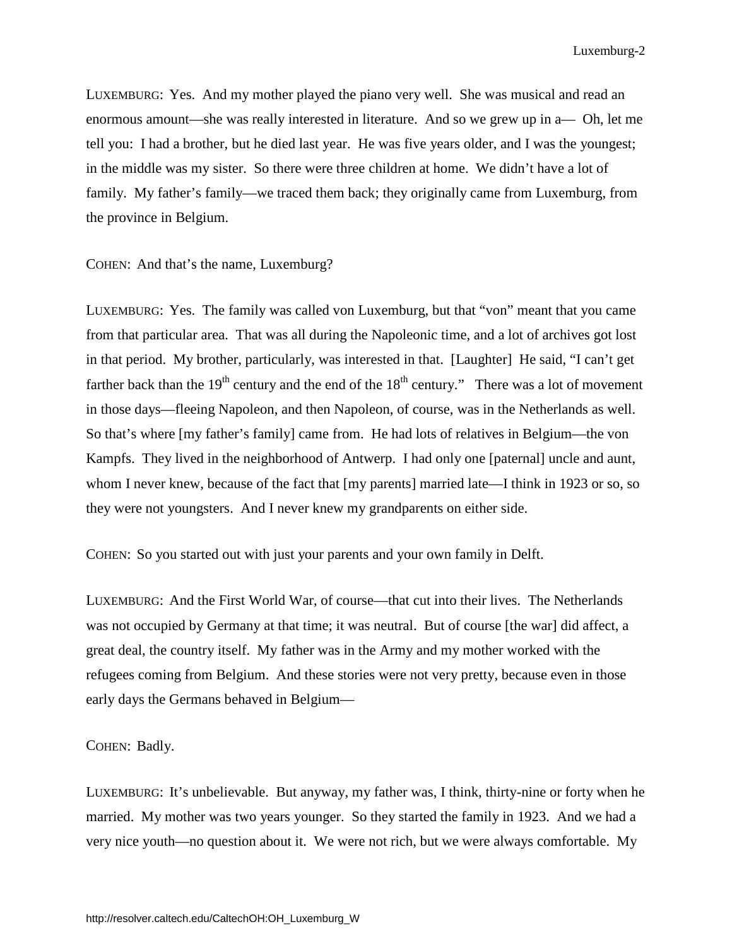LUXEMBURG: Yes. And my mother played the piano very well. She was musical and read an enormous amount—she was really interested in literature. And so we grew up in a— Oh, let me tell you: I had a brother, but he died last year. He was five years older, and I was the youngest; in the middle was my sister. So there were three children at home. We didn't have a lot of family. My father's family—we traced them back; they originally came from Luxemburg, from the province in Belgium.

COHEN: And that's the name, Luxemburg?

LUXEMBURG: Yes. The family was called von Luxemburg, but that "von" meant that you came from that particular area. That was all during the Napoleonic time, and a lot of archives got lost in that period. My brother, particularly, was interested in that. [Laughter] He said, "I can't get farther back than the  $19<sup>th</sup>$  century and the end of the  $18<sup>th</sup>$  century." There was a lot of movement in those days—fleeing Napoleon, and then Napoleon, of course, was in the Netherlands as well. So that's where [my father's family] came from. He had lots of relatives in Belgium—the von Kampfs. They lived in the neighborhood of Antwerp. I had only one [paternal] uncle and aunt, whom I never knew, because of the fact that [my parents] married late—I think in 1923 or so, so they were not youngsters. And I never knew my grandparents on either side.

COHEN: So you started out with just your parents and your own family in Delft.

LUXEMBURG: And the First World War, of course—that cut into their lives. The Netherlands was not occupied by Germany at that time; it was neutral. But of course [the war] did affect, a great deal, the country itself. My father was in the Army and my mother worked with the refugees coming from Belgium. And these stories were not very pretty, because even in those early days the Germans behaved in Belgium—

#### COHEN: Badly.

LUXEMBURG: It's unbelievable. But anyway, my father was, I think, thirty-nine or forty when he married. My mother was two years younger. So they started the family in 1923. And we had a very nice youth—no question about it. We were not rich, but we were always comfortable. My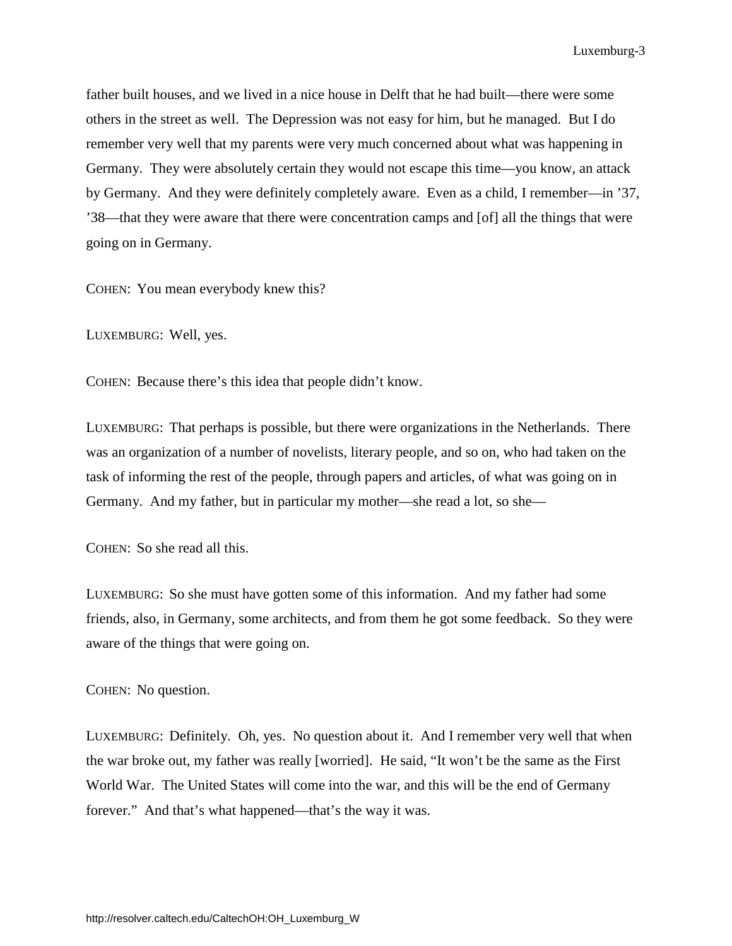father built houses, and we lived in a nice house in Delft that he had built—there were some others in the street as well. The Depression was not easy for him, but he managed. But I do remember very well that my parents were very much concerned about what was happening in Germany. They were absolutely certain they would not escape this time—you know, an attack by Germany. And they were definitely completely aware. Even as a child, I remember—in '37, '38—that they were aware that there were concentration camps and [of] all the things that were going on in Germany.

COHEN: You mean everybody knew this?

LUXEMBURG: Well, yes.

COHEN: Because there's this idea that people didn't know.

LUXEMBURG: That perhaps is possible, but there were organizations in the Netherlands. There was an organization of a number of novelists, literary people, and so on, who had taken on the task of informing the rest of the people, through papers and articles, of what was going on in Germany. And my father, but in particular my mother—she read a lot, so she—

COHEN: So she read all this.

LUXEMBURG: So she must have gotten some of this information. And my father had some friends, also, in Germany, some architects, and from them he got some feedback. So they were aware of the things that were going on.

#### COHEN: No question.

LUXEMBURG: Definitely. Oh, yes. No question about it. And I remember very well that when the war broke out, my father was really [worried]. He said, "It won't be the same as the First World War. The United States will come into the war, and this will be the end of Germany forever." And that's what happened—that's the way it was.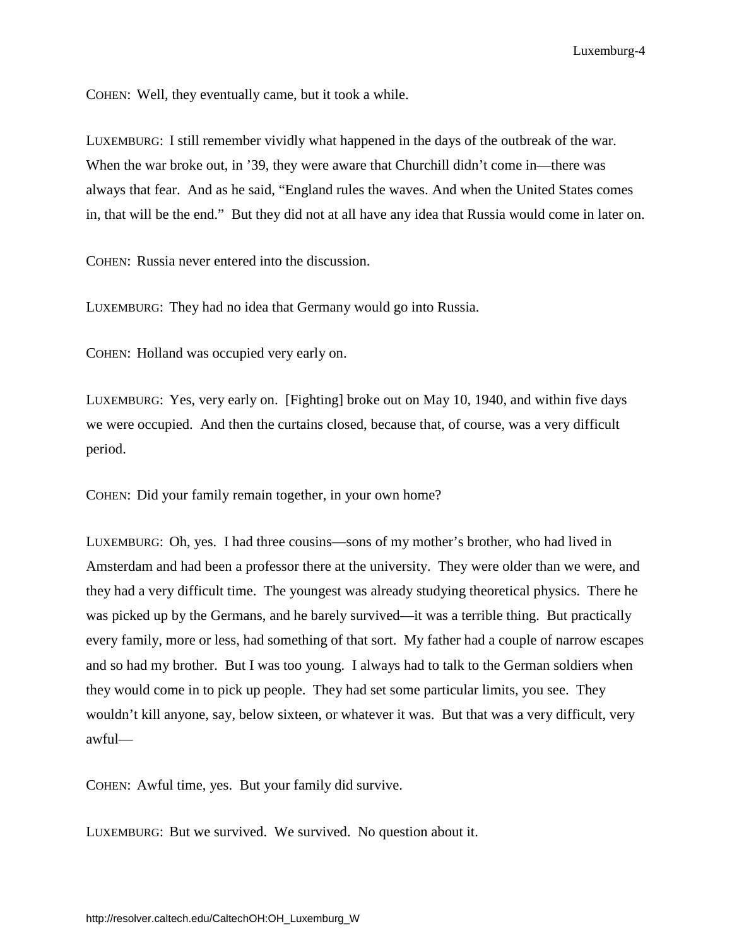COHEN: Well, they eventually came, but it took a while.

LUXEMBURG: I still remember vividly what happened in the days of the outbreak of the war. When the war broke out, in '39, they were aware that Churchill didn't come in—there was always that fear. And as he said, "England rules the waves. And when the United States comes in, that will be the end." But they did not at all have any idea that Russia would come in later on.

COHEN: Russia never entered into the discussion.

LUXEMBURG: They had no idea that Germany would go into Russia.

COHEN: Holland was occupied very early on.

LUXEMBURG: Yes, very early on. [Fighting] broke out on May 10, 1940, and within five days we were occupied. And then the curtains closed, because that, of course, was a very difficult period.

COHEN: Did your family remain together, in your own home?

LUXEMBURG: Oh, yes. I had three cousins—sons of my mother's brother, who had lived in Amsterdam and had been a professor there at the university. They were older than we were, and they had a very difficult time. The youngest was already studying theoretical physics. There he was picked up by the Germans, and he barely survived—it was a terrible thing. But practically every family, more or less, had something of that sort. My father had a couple of narrow escapes and so had my brother. But I was too young. I always had to talk to the German soldiers when they would come in to pick up people. They had set some particular limits, you see. They wouldn't kill anyone, say, below sixteen, or whatever it was. But that was a very difficult, very awful—

COHEN: Awful time, yes. But your family did survive.

LUXEMBURG: But we survived. We survived. No question about it.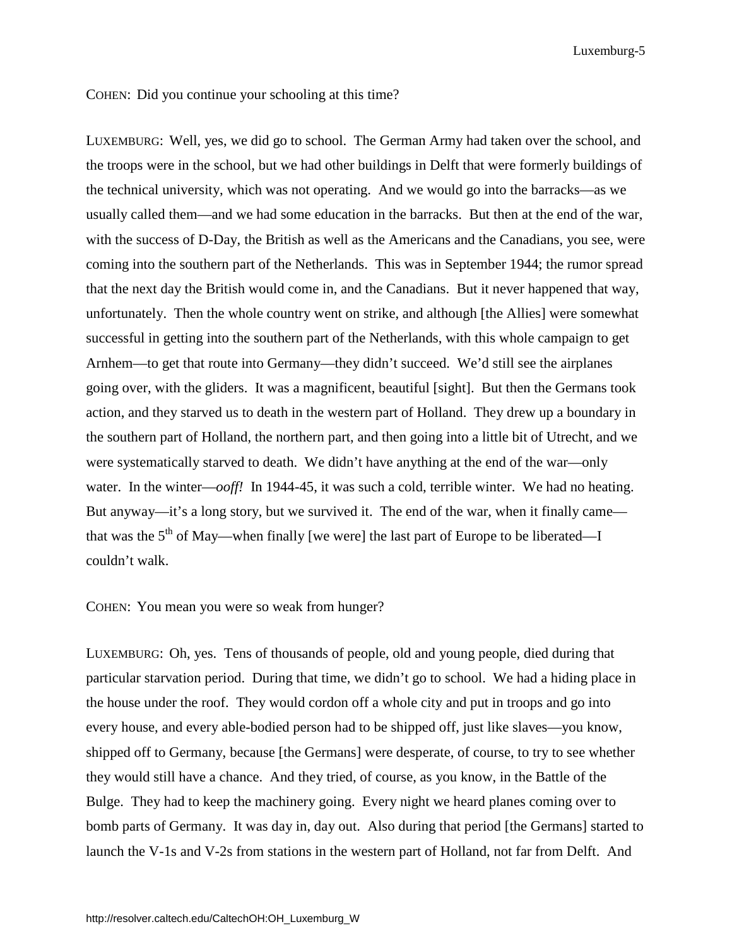COHEN: Did you continue your schooling at this time?

LUXEMBURG: Well, yes, we did go to school. The German Army had taken over the school, and the troops were in the school, but we had other buildings in Delft that were formerly buildings of the technical university, which was not operating. And we would go into the barracks—as we usually called them—and we had some education in the barracks. But then at the end of the war, with the success of D-Day, the British as well as the Americans and the Canadians, you see, were coming into the southern part of the Netherlands. This was in September 1944; the rumor spread that the next day the British would come in, and the Canadians. But it never happened that way, unfortunately. Then the whole country went on strike, and although [the Allies] were somewhat successful in getting into the southern part of the Netherlands, with this whole campaign to get Arnhem—to get that route into Germany—they didn't succeed. We'd still see the airplanes going over, with the gliders. It was a magnificent, beautiful [sight]. But then the Germans took action, and they starved us to death in the western part of Holland. They drew up a boundary in the southern part of Holland, the northern part, and then going into a little bit of Utrecht, and we were systematically starved to death. We didn't have anything at the end of the war—only water. In the winter—*ooff!* In 1944-45, it was such a cold, terrible winter. We had no heating. But anyway—it's a long story, but we survived it. The end of the war, when it finally came that was the  $5<sup>th</sup>$  of May—when finally [we were] the last part of Europe to be liberated—I couldn't walk.

# COHEN: You mean you were so weak from hunger?

LUXEMBURG: Oh, yes. Tens of thousands of people, old and young people, died during that particular starvation period. During that time, we didn't go to school. We had a hiding place in the house under the roof. They would cordon off a whole city and put in troops and go into every house, and every able-bodied person had to be shipped off, just like slaves—you know, shipped off to Germany, because [the Germans] were desperate, of course, to try to see whether they would still have a chance. And they tried, of course, as you know, in the Battle of the Bulge. They had to keep the machinery going. Every night we heard planes coming over to bomb parts of Germany. It was day in, day out. Also during that period [the Germans] started to launch the V-1s and V-2s from stations in the western part of Holland, not far from Delft. And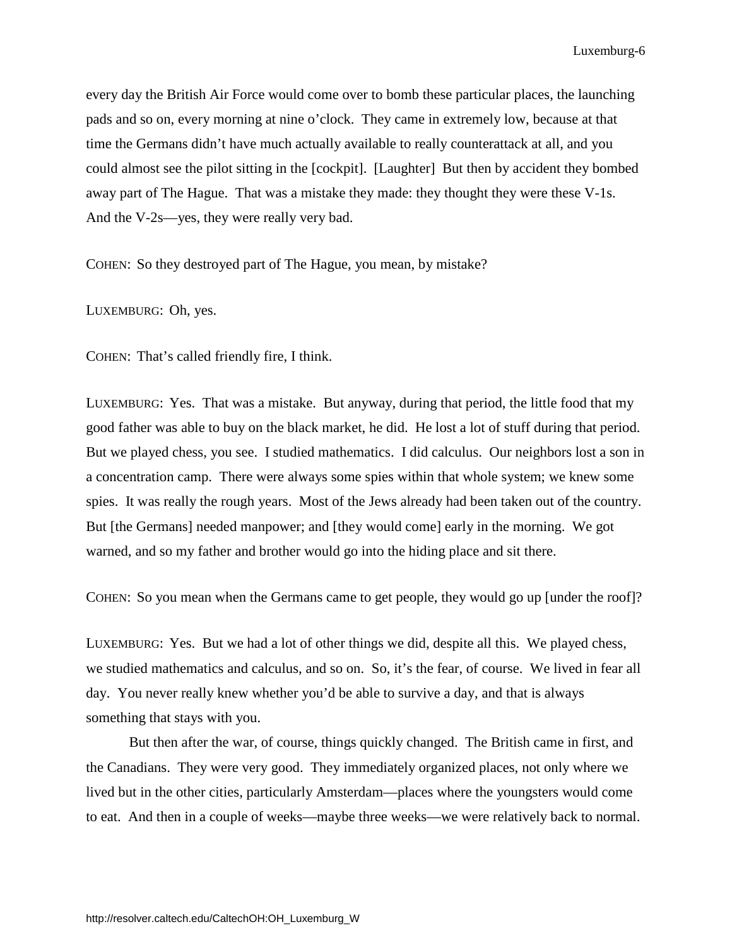every day the British Air Force would come over to bomb these particular places, the launching pads and so on, every morning at nine o'clock. They came in extremely low, because at that time the Germans didn't have much actually available to really counterattack at all, and you could almost see the pilot sitting in the [cockpit]. [Laughter] But then by accident they bombed away part of The Hague. That was a mistake they made: they thought they were these V-1s. And the V-2s—yes, they were really very bad.

COHEN: So they destroyed part of The Hague, you mean, by mistake?

LUXEMBURG: Oh, yes.

COHEN: That's called friendly fire, I think.

LUXEMBURG: Yes. That was a mistake. But anyway, during that period, the little food that my good father was able to buy on the black market, he did. He lost a lot of stuff during that period. But we played chess, you see. I studied mathematics. I did calculus. Our neighbors lost a son in a concentration camp. There were always some spies within that whole system; we knew some spies. It was really the rough years. Most of the Jews already had been taken out of the country. But [the Germans] needed manpower; and [they would come] early in the morning. We got warned, and so my father and brother would go into the hiding place and sit there.

COHEN: So you mean when the Germans came to get people, they would go up [under the roof]?

LUXEMBURG: Yes. But we had a lot of other things we did, despite all this. We played chess, we studied mathematics and calculus, and so on. So, it's the fear, of course. We lived in fear all day. You never really knew whether you'd be able to survive a day, and that is always something that stays with you.

But then after the war, of course, things quickly changed. The British came in first, and the Canadians. They were very good. They immediately organized places, not only where we lived but in the other cities, particularly Amsterdam—places where the youngsters would come to eat. And then in a couple of weeks—maybe three weeks—we were relatively back to normal.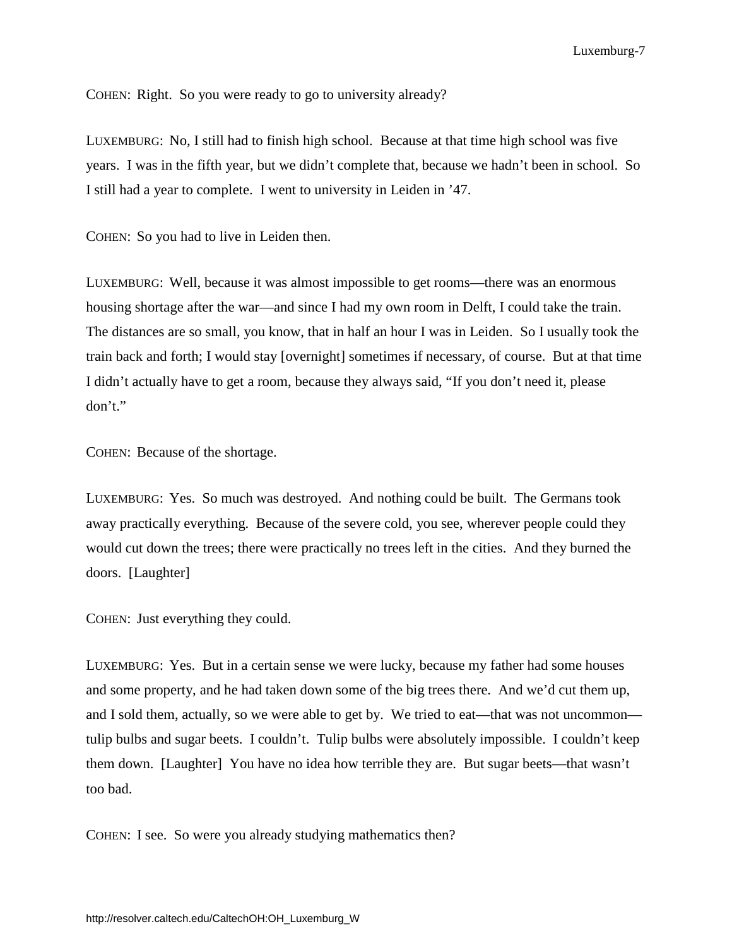COHEN: Right. So you were ready to go to university already?

LUXEMBURG: No, I still had to finish high school. Because at that time high school was five years. I was in the fifth year, but we didn't complete that, because we hadn't been in school. So I still had a year to complete. I went to university in Leiden in '47.

COHEN: So you had to live in Leiden then.

LUXEMBURG: Well, because it was almost impossible to get rooms—there was an enormous housing shortage after the war—and since I had my own room in Delft, I could take the train. The distances are so small, you know, that in half an hour I was in Leiden. So I usually took the train back and forth; I would stay [overnight] sometimes if necessary, of course. But at that time I didn't actually have to get a room, because they always said, "If you don't need it, please don't."

COHEN: Because of the shortage.

LUXEMBURG: Yes. So much was destroyed. And nothing could be built. The Germans took away practically everything. Because of the severe cold, you see, wherever people could they would cut down the trees; there were practically no trees left in the cities. And they burned the doors. [Laughter]

COHEN: Just everything they could.

LUXEMBURG: Yes. But in a certain sense we were lucky, because my father had some houses and some property, and he had taken down some of the big trees there. And we'd cut them up, and I sold them, actually, so we were able to get by. We tried to eat—that was not uncommon tulip bulbs and sugar beets. I couldn't. Tulip bulbs were absolutely impossible. I couldn't keep them down. [Laughter] You have no idea how terrible they are. But sugar beets—that wasn't too bad.

COHEN: I see. So were you already studying mathematics then?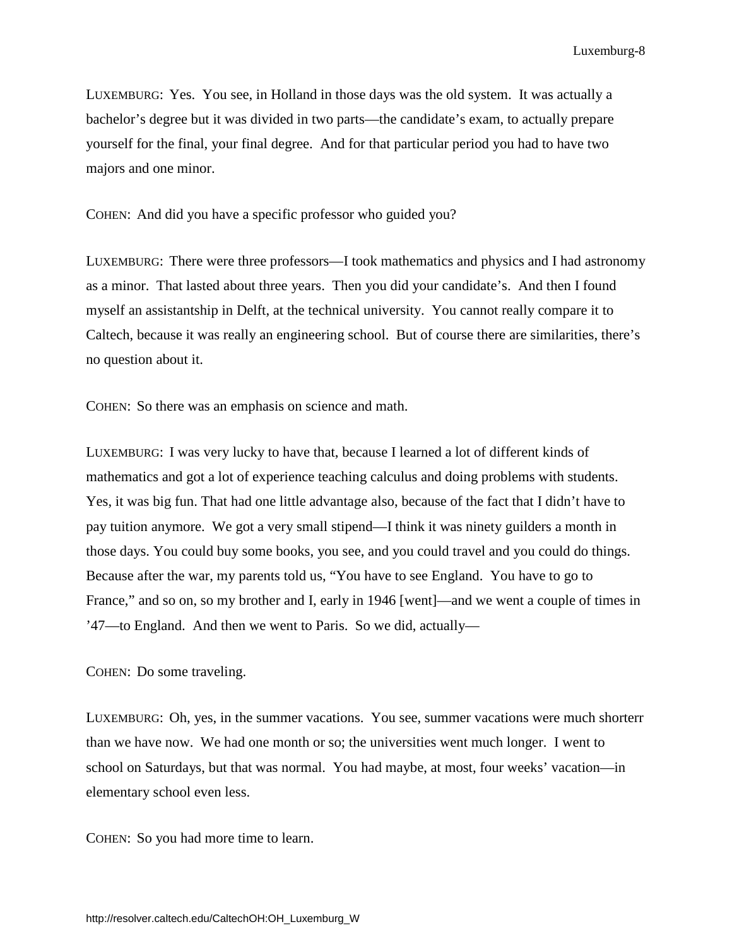LUXEMBURG: Yes. You see, in Holland in those days was the old system. It was actually a bachelor's degree but it was divided in two parts—the candidate's exam, to actually prepare yourself for the final, your final degree. And for that particular period you had to have two majors and one minor.

COHEN: And did you have a specific professor who guided you?

LUXEMBURG: There were three professors—I took mathematics and physics and I had astronomy as a minor. That lasted about three years. Then you did your candidate's. And then I found myself an assistantship in Delft, at the technical university. You cannot really compare it to Caltech, because it was really an engineering school. But of course there are similarities, there's no question about it.

COHEN: So there was an emphasis on science and math.

LUXEMBURG: I was very lucky to have that, because I learned a lot of different kinds of mathematics and got a lot of experience teaching calculus and doing problems with students. Yes, it was big fun. That had one little advantage also, because of the fact that I didn't have to pay tuition anymore. We got a very small stipend—I think it was ninety guilders a month in those days. You could buy some books, you see, and you could travel and you could do things. Because after the war, my parents told us, "You have to see England. You have to go to France," and so on, so my brother and I, early in 1946 [went]—and we went a couple of times in '47—to England. And then we went to Paris. So we did, actually—

COHEN: Do some traveling.

LUXEMBURG: Oh, yes, in the summer vacations. You see, summer vacations were much shorterr than we have now. We had one month or so; the universities went much longer. I went to school on Saturdays, but that was normal. You had maybe, at most, four weeks' vacation—in elementary school even less.

COHEN: So you had more time to learn.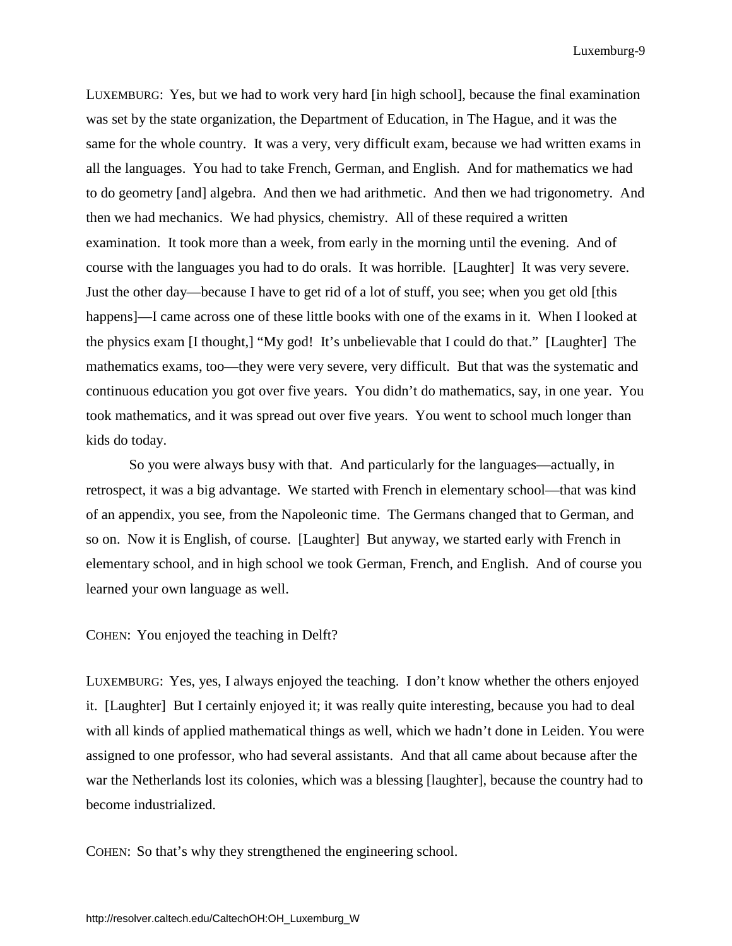LUXEMBURG: Yes, but we had to work very hard [in high school], because the final examination was set by the state organization, the Department of Education, in The Hague, and it was the same for the whole country. It was a very, very difficult exam, because we had written exams in all the languages. You had to take French, German, and English. And for mathematics we had to do geometry [and] algebra. And then we had arithmetic. And then we had trigonometry. And then we had mechanics. We had physics, chemistry. All of these required a written examination. It took more than a week, from early in the morning until the evening. And of course with the languages you had to do orals. It was horrible. [Laughter] It was very severe. Just the other day—because I have to get rid of a lot of stuff, you see; when you get old [this happens]—I came across one of these little books with one of the exams in it. When I looked at the physics exam [I thought,] "My god! It's unbelievable that I could do that." [Laughter] The mathematics exams, too—they were very severe, very difficult. But that was the systematic and continuous education you got over five years. You didn't do mathematics, say, in one year. You took mathematics, and it was spread out over five years. You went to school much longer than kids do today.

So you were always busy with that. And particularly for the languages—actually, in retrospect, it was a big advantage. We started with French in elementary school—that was kind of an appendix, you see, from the Napoleonic time. The Germans changed that to German, and so on. Now it is English, of course. [Laughter] But anyway, we started early with French in elementary school, and in high school we took German, French, and English. And of course you learned your own language as well.

COHEN: You enjoyed the teaching in Delft?

LUXEMBURG: Yes, yes, I always enjoyed the teaching. I don't know whether the others enjoyed it. [Laughter] But I certainly enjoyed it; it was really quite interesting, because you had to deal with all kinds of applied mathematical things as well, which we hadn't done in Leiden. You were assigned to one professor, who had several assistants. And that all came about because after the war the Netherlands lost its colonies, which was a blessing [laughter], because the country had to become industrialized.

COHEN: So that's why they strengthened the engineering school.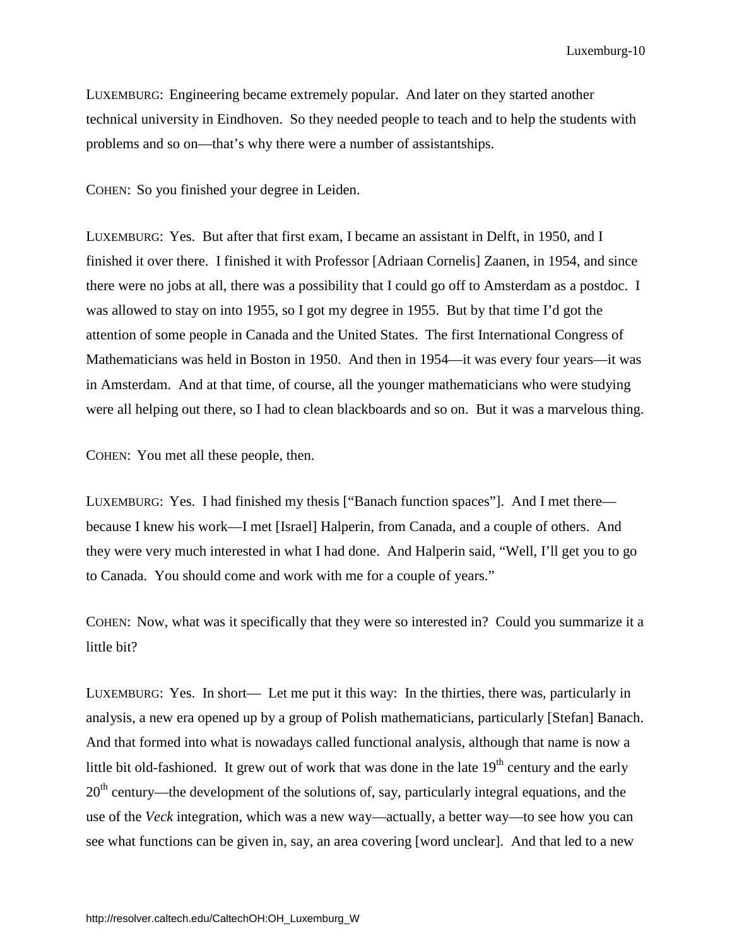LUXEMBURG: Engineering became extremely popular. And later on they started another technical university in Eindhoven. So they needed people to teach and to help the students with problems and so on—that's why there were a number of assistantships.

COHEN: So you finished your degree in Leiden.

LUXEMBURG: Yes. But after that first exam, I became an assistant in Delft, in 1950, and I finished it over there. I finished it with Professor [Adriaan Cornelis] Zaanen, in 1954, and since there were no jobs at all, there was a possibility that I could go off to Amsterdam as a postdoc. I was allowed to stay on into 1955, so I got my degree in 1955. But by that time I'd got the attention of some people in Canada and the United States. The first International Congress of Mathematicians was held in Boston in 1950. And then in 1954—it was every four years—it was in Amsterdam. And at that time, of course, all the younger mathematicians who were studying were all helping out there, so I had to clean blackboards and so on. But it was a marvelous thing.

COHEN: You met all these people, then.

LUXEMBURG: Yes. I had finished my thesis ["Banach function spaces"]. And I met there because I knew his work—I met [Israel] Halperin, from Canada, and a couple of others. And they were very much interested in what I had done. And Halperin said, "Well, I'll get you to go to Canada. You should come and work with me for a couple of years."

COHEN: Now, what was it specifically that they were so interested in? Could you summarize it a little bit?

LUXEMBURG: Yes. In short— Let me put it this way: In the thirties, there was, particularly in analysis, a new era opened up by a group of Polish mathematicians, particularly [Stefan] Banach. And that formed into what is nowadays called functional analysis, although that name is now a little bit old-fashioned. It grew out of work that was done in the late  $19<sup>th</sup>$  century and the early  $20<sup>th</sup>$  century—the development of the solutions of, say, particularly integral equations, and the use of the *Veck* integration, which was a new way—actually, a better way—to see how you can see what functions can be given in, say, an area covering [word unclear]. And that led to a new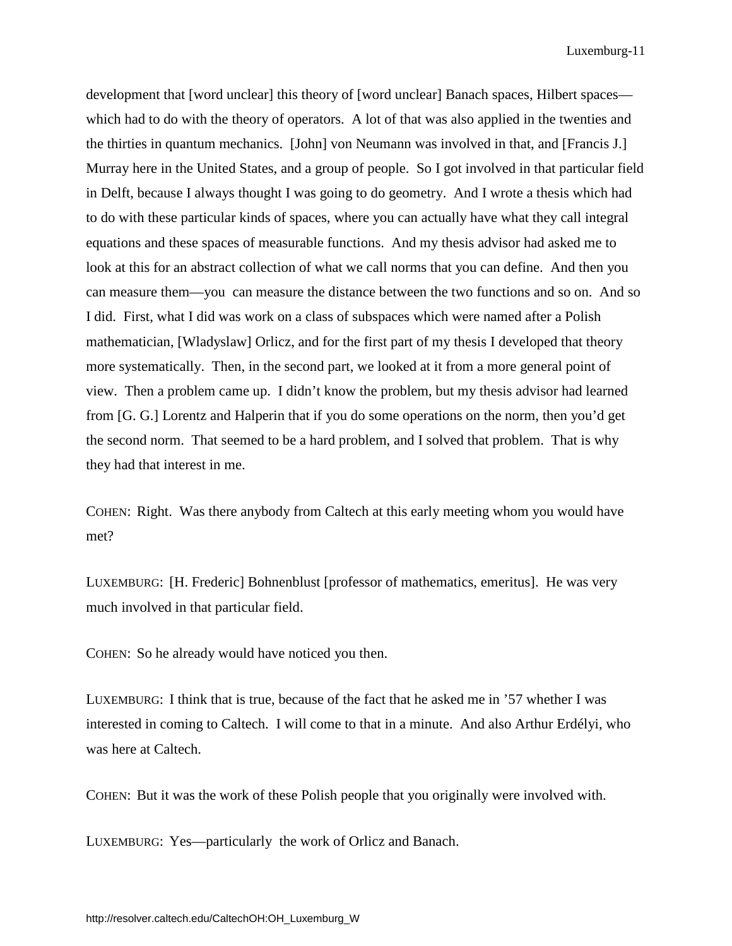development that [word unclear] this theory of [word unclear] Banach spaces, Hilbert spaces which had to do with the theory of operators. A lot of that was also applied in the twenties and the thirties in quantum mechanics. [John] von Neumann was involved in that, and [Francis J.] Murray here in the United States, and a group of people. So I got involved in that particular field in Delft, because I always thought I was going to do geometry. And I wrote a thesis which had to do with these particular kinds of spaces, where you can actually have what they call integral equations and these spaces of measurable functions. And my thesis advisor had asked me to look at this for an abstract collection of what we call norms that you can define. And then you can measure them—you can measure the distance between the two functions and so on. And so I did. First, what I did was work on a class of subspaces which were named after a Polish mathematician, [Wladyslaw] Orlicz, and for the first part of my thesis I developed that theory more systematically. Then, in the second part, we looked at it from a more general point of view. Then a problem came up. I didn't know the problem, but my thesis advisor had learned from [G. G.] Lorentz and Halperin that if you do some operations on the norm, then you'd get the second norm. That seemed to be a hard problem, and I solved that problem. That is why they had that interest in me.

COHEN: Right. Was there anybody from Caltech at this early meeting whom you would have met?

LUXEMBURG: [H. Frederic] Bohnenblust [professor of mathematics, emeritus]. He was very much involved in that particular field.

COHEN: So he already would have noticed you then.

LUXEMBURG: I think that is true, because of the fact that he asked me in '57 whether I was interested in coming to Caltech. I will come to that in a minute. And also Arthur Erdélyi, who was here at Caltech.

COHEN: But it was the work of these Polish people that you originally were involved with.

LUXEMBURG: Yes—particularly the work of Orlicz and Banach.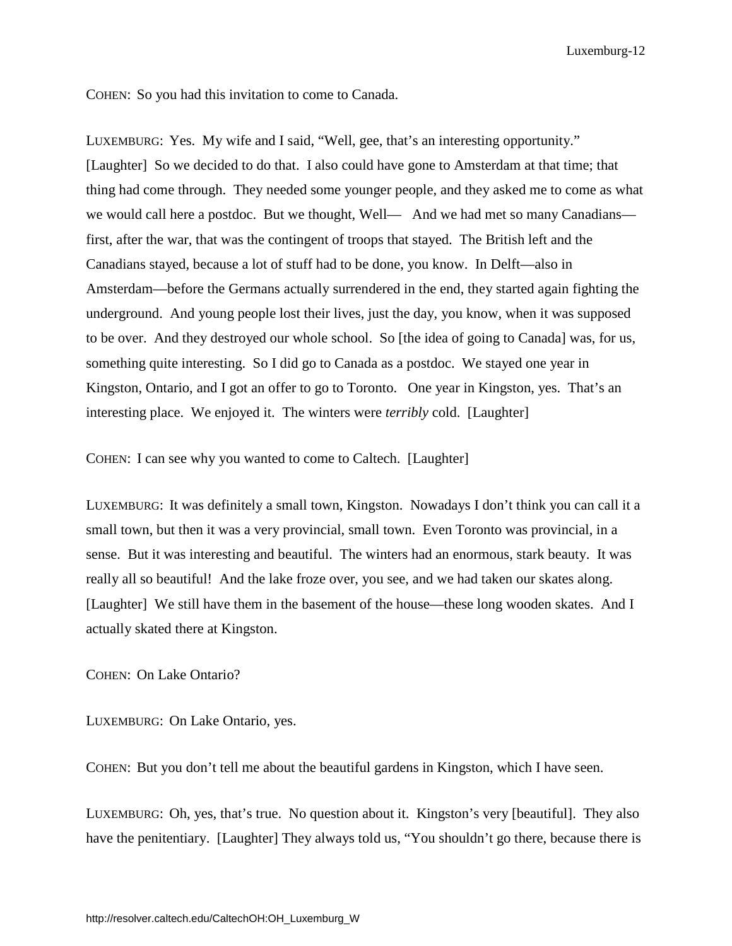COHEN: So you had this invitation to come to Canada.

LUXEMBURG: Yes. My wife and I said, "Well, gee, that's an interesting opportunity." [Laughter] So we decided to do that. I also could have gone to Amsterdam at that time; that thing had come through. They needed some younger people, and they asked me to come as what we would call here a postdoc. But we thought, Well— And we had met so many Canadians first, after the war, that was the contingent of troops that stayed. The British left and the Canadians stayed, because a lot of stuff had to be done, you know. In Delft—also in Amsterdam—before the Germans actually surrendered in the end, they started again fighting the underground. And young people lost their lives, just the day, you know, when it was supposed to be over. And they destroyed our whole school. So [the idea of going to Canada] was, for us, something quite interesting. So I did go to Canada as a postdoc. We stayed one year in Kingston, Ontario, and I got an offer to go to Toronto. One year in Kingston, yes. That's an interesting place. We enjoyed it. The winters were *terribly* cold. [Laughter]

COHEN: I can see why you wanted to come to Caltech. [Laughter]

LUXEMBURG: It was definitely a small town, Kingston. Nowadays I don't think you can call it a small town, but then it was a very provincial, small town. Even Toronto was provincial, in a sense. But it was interesting and beautiful. The winters had an enormous, stark beauty. It was really all so beautiful! And the lake froze over, you see, and we had taken our skates along. [Laughter] We still have them in the basement of the house—these long wooden skates. And I actually skated there at Kingston.

COHEN: On Lake Ontario?

LUXEMBURG: On Lake Ontario, yes.

COHEN: But you don't tell me about the beautiful gardens in Kingston, which I have seen.

LUXEMBURG: Oh, yes, that's true. No question about it. Kingston's very [beautiful]. They also have the penitentiary. [Laughter] They always told us, "You shouldn't go there, because there is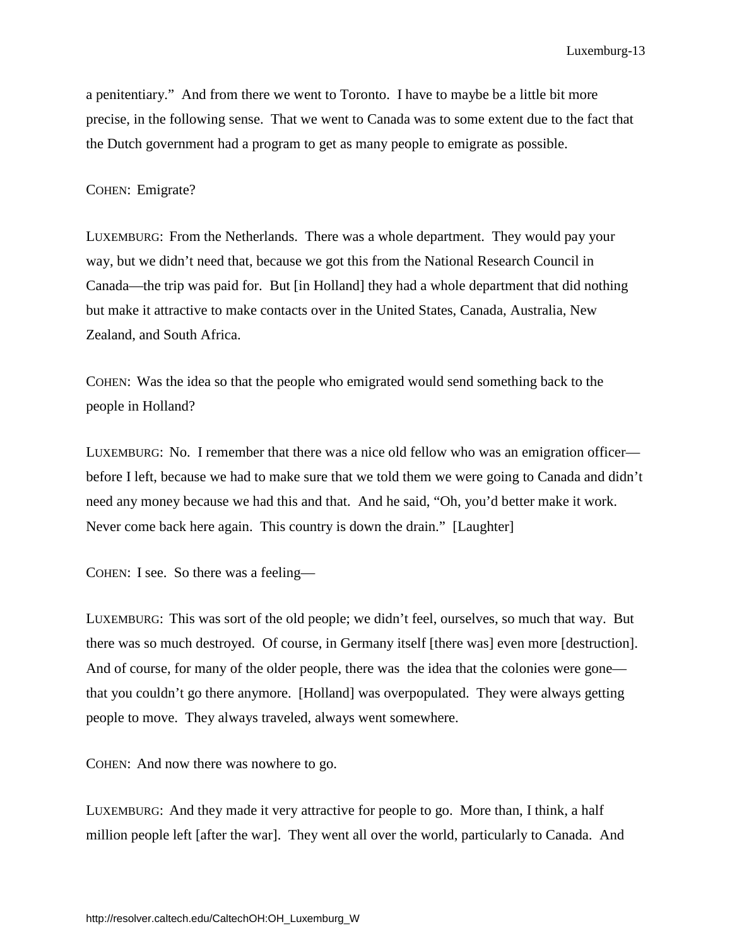a penitentiary." And from there we went to Toronto. I have to maybe be a little bit more precise, in the following sense. That we went to Canada was to some extent due to the fact that the Dutch government had a program to get as many people to emigrate as possible.

#### COHEN: Emigrate?

LUXEMBURG: From the Netherlands. There was a whole department. They would pay your way, but we didn't need that, because we got this from the National Research Council in Canada—the trip was paid for. But [in Holland] they had a whole department that did nothing but make it attractive to make contacts over in the United States, Canada, Australia, New Zealand, and South Africa.

COHEN: Was the idea so that the people who emigrated would send something back to the people in Holland?

LUXEMBURG: No. I remember that there was a nice old fellow who was an emigration officer before I left, because we had to make sure that we told them we were going to Canada and didn't need any money because we had this and that. And he said, "Oh, you'd better make it work. Never come back here again. This country is down the drain." [Laughter]

COHEN: I see. So there was a feeling—

LUXEMBURG: This was sort of the old people; we didn't feel, ourselves, so much that way. But there was so much destroyed. Of course, in Germany itself [there was] even more [destruction]. And of course, for many of the older people, there was the idea that the colonies were gone that you couldn't go there anymore. [Holland] was overpopulated. They were always getting people to move. They always traveled, always went somewhere.

COHEN: And now there was nowhere to go.

LUXEMBURG: And they made it very attractive for people to go. More than, I think, a half million people left [after the war]. They went all over the world, particularly to Canada. And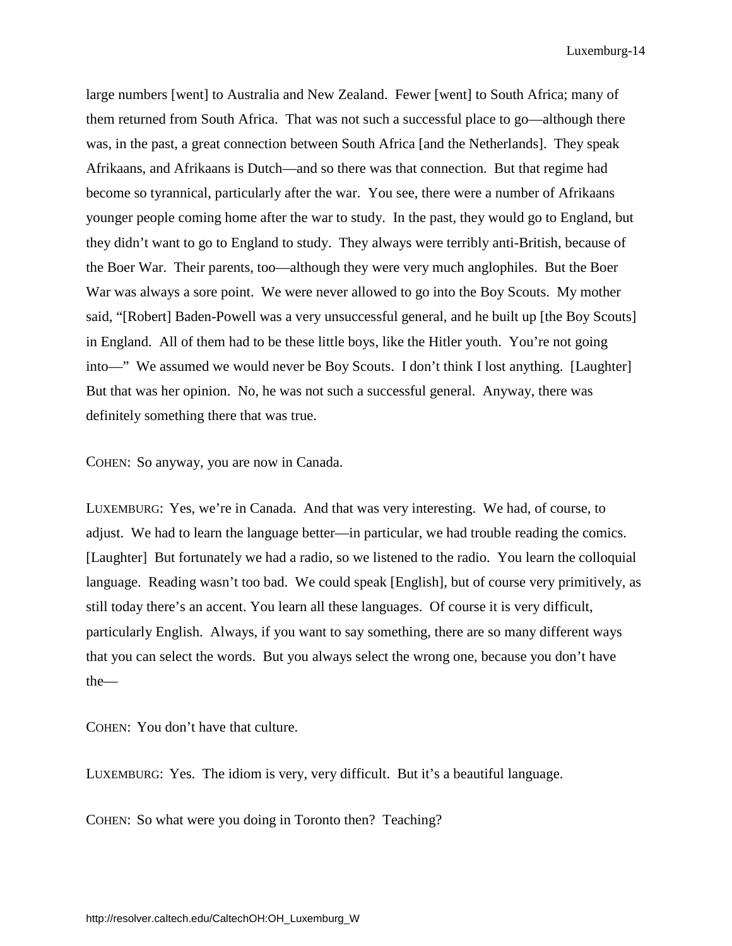large numbers [went] to Australia and New Zealand. Fewer [went] to South Africa; many of them returned from South Africa. That was not such a successful place to go—although there was, in the past, a great connection between South Africa [and the Netherlands]. They speak Afrikaans, and Afrikaans is Dutch—and so there was that connection. But that regime had become so tyrannical, particularly after the war. You see, there were a number of Afrikaans younger people coming home after the war to study. In the past, they would go to England, but they didn't want to go to England to study. They always were terribly anti-British, because of the Boer War. Their parents, too—although they were very much anglophiles. But the Boer War was always a sore point. We were never allowed to go into the Boy Scouts. My mother said, "[Robert] Baden-Powell was a very unsuccessful general, and he built up [the Boy Scouts] in England. All of them had to be these little boys, like the Hitler youth. You're not going into—" We assumed we would never be Boy Scouts. I don't think I lost anything. [Laughter] But that was her opinion. No, he was not such a successful general. Anyway, there was definitely something there that was true.

COHEN: So anyway, you are now in Canada.

LUXEMBURG: Yes, we're in Canada. And that was very interesting. We had, of course, to adjust. We had to learn the language better—in particular, we had trouble reading the comics. [Laughter] But fortunately we had a radio, so we listened to the radio. You learn the colloquial language. Reading wasn't too bad. We could speak [English], but of course very primitively, as still today there's an accent. You learn all these languages. Of course it is very difficult, particularly English. Always, if you want to say something, there are so many different ways that you can select the words. But you always select the wrong one, because you don't have the—

COHEN: You don't have that culture.

LUXEMBURG: Yes. The idiom is very, very difficult. But it's a beautiful language.

COHEN: So what were you doing in Toronto then? Teaching?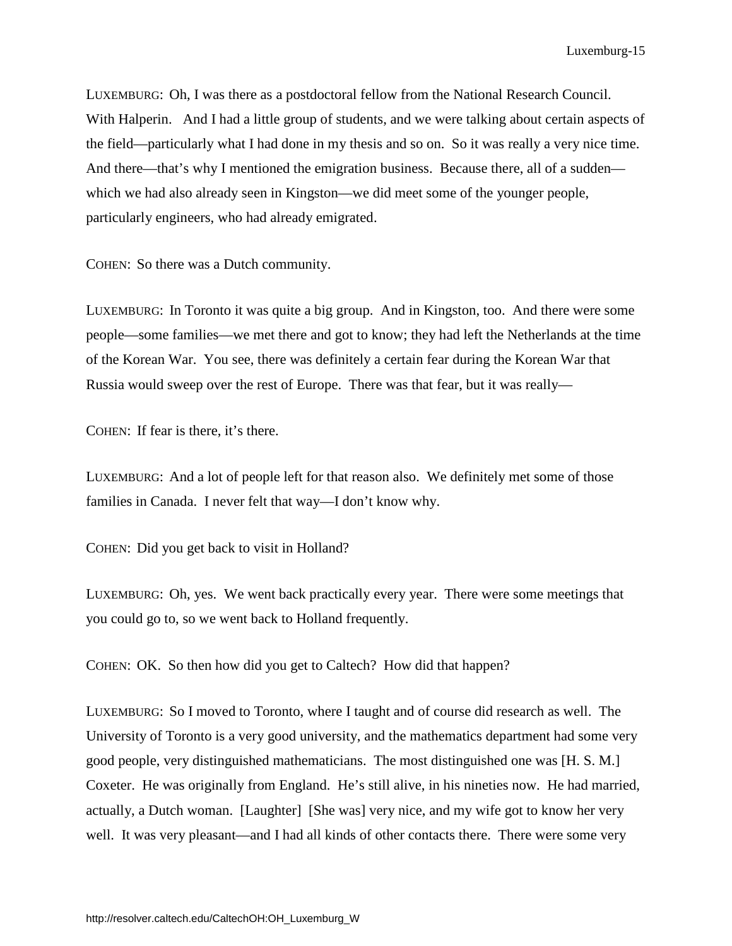LUXEMBURG: Oh, I was there as a postdoctoral fellow from the National Research Council. With Halperin. And I had a little group of students, and we were talking about certain aspects of the field—particularly what I had done in my thesis and so on. So it was really a very nice time. And there—that's why I mentioned the emigration business. Because there, all of a sudden which we had also already seen in Kingston—we did meet some of the younger people, particularly engineers, who had already emigrated.

COHEN: So there was a Dutch community.

LUXEMBURG: In Toronto it was quite a big group. And in Kingston, too. And there were some people—some families—we met there and got to know; they had left the Netherlands at the time of the Korean War. You see, there was definitely a certain fear during the Korean War that Russia would sweep over the rest of Europe. There was that fear, but it was really—

COHEN: If fear is there, it's there.

LUXEMBURG: And a lot of people left for that reason also. We definitely met some of those families in Canada. I never felt that way—I don't know why.

COHEN: Did you get back to visit in Holland?

LUXEMBURG: Oh, yes. We went back practically every year. There were some meetings that you could go to, so we went back to Holland frequently.

COHEN: OK. So then how did you get to Caltech? How did that happen?

LUXEMBURG: So I moved to Toronto, where I taught and of course did research as well. The University of Toronto is a very good university, and the mathematics department had some very good people, very distinguished mathematicians. The most distinguished one was [H. S. M.] Coxeter. He was originally from England. He's still alive, in his nineties now. He had married, actually, a Dutch woman. [Laughter] [She was] very nice, and my wife got to know her very well. It was very pleasant—and I had all kinds of other contacts there. There were some very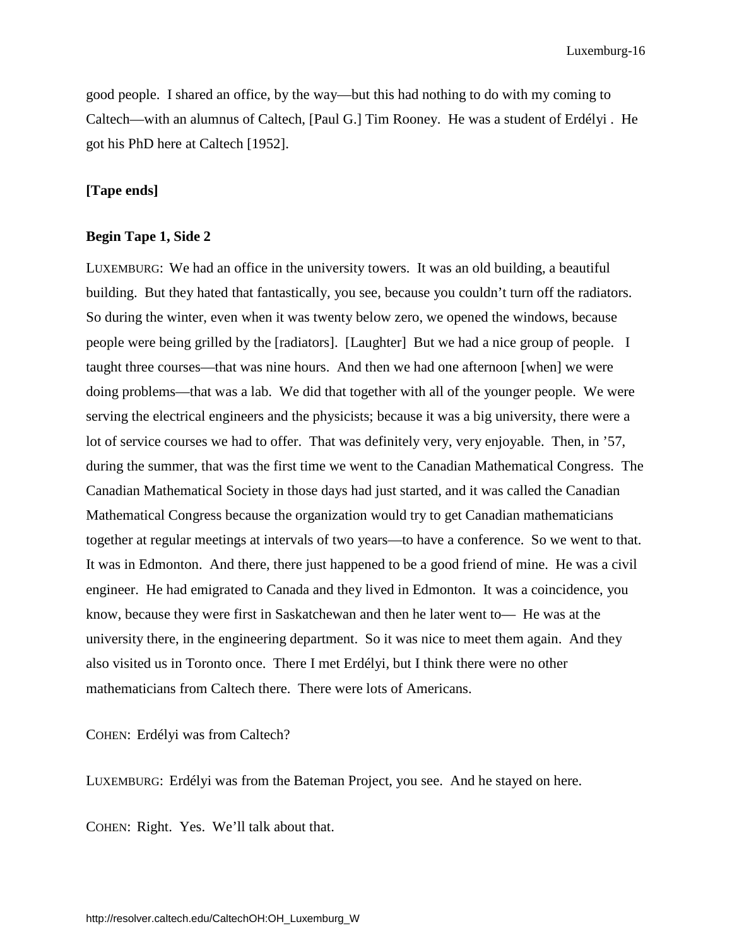good people. I shared an office, by the way—but this had nothing to do with my coming to Caltech—with an alumnus of Caltech, [Paul G.] Tim Rooney. He was a student of Erdélyi . He got his PhD here at Caltech [1952].

# **[Tape ends]**

#### **Begin Tape 1, Side 2**

LUXEMBURG: We had an office in the university towers. It was an old building, a beautiful building. But they hated that fantastically, you see, because you couldn't turn off the radiators. So during the winter, even when it was twenty below zero, we opened the windows, because people were being grilled by the [radiators]. [Laughter] But we had a nice group of people. I taught three courses—that was nine hours. And then we had one afternoon [when] we were doing problems—that was a lab. We did that together with all of the younger people. We were serving the electrical engineers and the physicists; because it was a big university, there were a lot of service courses we had to offer. That was definitely very, very enjoyable. Then, in '57, during the summer, that was the first time we went to the Canadian Mathematical Congress. The Canadian Mathematical Society in those days had just started, and it was called the Canadian Mathematical Congress because the organization would try to get Canadian mathematicians together at regular meetings at intervals of two years—to have a conference. So we went to that. It was in Edmonton. And there, there just happened to be a good friend of mine. He was a civil engineer. He had emigrated to Canada and they lived in Edmonton. It was a coincidence, you know, because they were first in Saskatchewan and then he later went to— He was at the university there, in the engineering department. So it was nice to meet them again. And they also visited us in Toronto once. There I met Erdélyi, but I think there were no other mathematicians from Caltech there. There were lots of Americans.

COHEN: Erdélyi was from Caltech?

LUXEMBURG: Erdélyi was from the Bateman Project, you see. And he stayed on here.

COHEN: Right. Yes. We'll talk about that.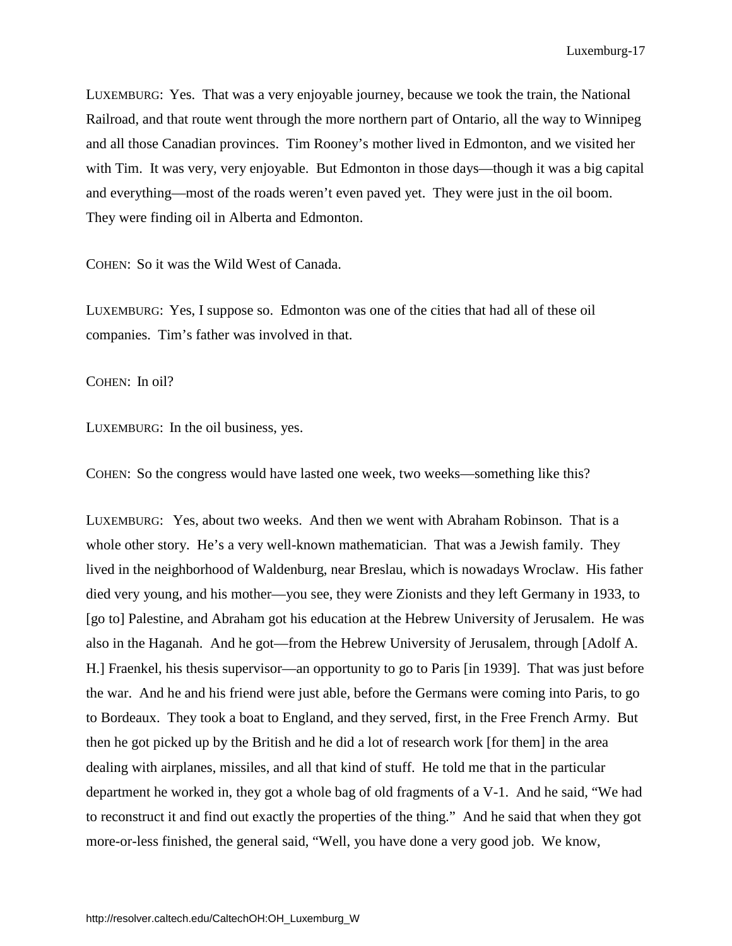LUXEMBURG: Yes. That was a very enjoyable journey, because we took the train, the National Railroad, and that route went through the more northern part of Ontario, all the way to Winnipeg and all those Canadian provinces. Tim Rooney's mother lived in Edmonton, and we visited her with Tim. It was very, very enjoyable. But Edmonton in those days—though it was a big capital and everything—most of the roads weren't even paved yet. They were just in the oil boom. They were finding oil in Alberta and Edmonton.

COHEN: So it was the Wild West of Canada.

LUXEMBURG: Yes, I suppose so. Edmonton was one of the cities that had all of these oil companies. Tim's father was involved in that.

COHEN: In oil?

LUXEMBURG: In the oil business, yes.

COHEN: So the congress would have lasted one week, two weeks—something like this?

LUXEMBURG: Yes, about two weeks. And then we went with Abraham Robinson. That is a whole other story. He's a very well-known mathematician. That was a Jewish family. They lived in the neighborhood of Waldenburg, near Breslau, which is nowadays Wroclaw. His father died very young, and his mother—you see, they were Zionists and they left Germany in 1933, to [go to] Palestine, and Abraham got his education at the Hebrew University of Jerusalem. He was also in the Haganah. And he got—from the Hebrew University of Jerusalem, through [Adolf A. H.] Fraenkel, his thesis supervisor—an opportunity to go to Paris [in 1939]. That was just before the war. And he and his friend were just able, before the Germans were coming into Paris, to go to Bordeaux. They took a boat to England, and they served, first, in the Free French Army. But then he got picked up by the British and he did a lot of research work [for them] in the area dealing with airplanes, missiles, and all that kind of stuff. He told me that in the particular department he worked in, they got a whole bag of old fragments of a V-1. And he said, "We had to reconstruct it and find out exactly the properties of the thing." And he said that when they got more-or-less finished, the general said, "Well, you have done a very good job. We know,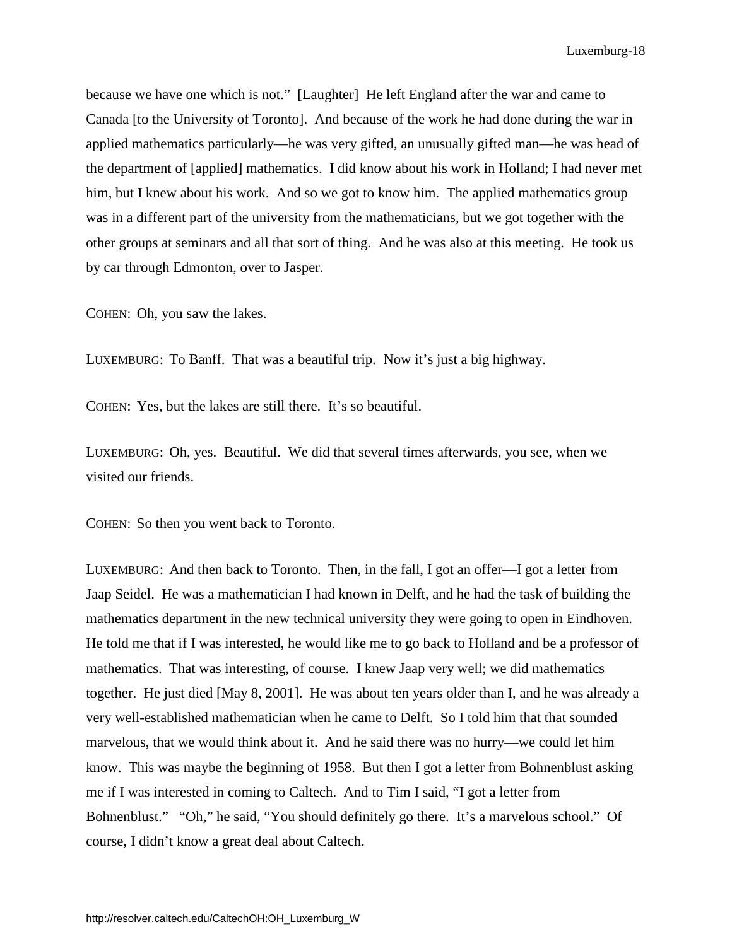because we have one which is not." [Laughter] He left England after the war and came to Canada [to the University of Toronto]. And because of the work he had done during the war in applied mathematics particularly—he was very gifted, an unusually gifted man—he was head of the department of [applied] mathematics. I did know about his work in Holland; I had never met him, but I knew about his work. And so we got to know him. The applied mathematics group was in a different part of the university from the mathematicians, but we got together with the other groups at seminars and all that sort of thing. And he was also at this meeting. He took us by car through Edmonton, over to Jasper.

COHEN: Oh, you saw the lakes.

LUXEMBURG: To Banff. That was a beautiful trip. Now it's just a big highway.

COHEN: Yes, but the lakes are still there. It's so beautiful.

LUXEMBURG: Oh, yes. Beautiful. We did that several times afterwards, you see, when we visited our friends.

COHEN: So then you went back to Toronto.

LUXEMBURG: And then back to Toronto. Then, in the fall, I got an offer—I got a letter from Jaap Seidel. He was a mathematician I had known in Delft, and he had the task of building the mathematics department in the new technical university they were going to open in Eindhoven. He told me that if I was interested, he would like me to go back to Holland and be a professor of mathematics. That was interesting, of course. I knew Jaap very well; we did mathematics together. He just died [May 8, 2001]. He was about ten years older than I, and he was already a very well-established mathematician when he came to Delft. So I told him that that sounded marvelous, that we would think about it. And he said there was no hurry—we could let him know. This was maybe the beginning of 1958. But then I got a letter from Bohnenblust asking me if I was interested in coming to Caltech. And to Tim I said, "I got a letter from Bohnenblust." "Oh," he said, "You should definitely go there. It's a marvelous school." Of course, I didn't know a great deal about Caltech.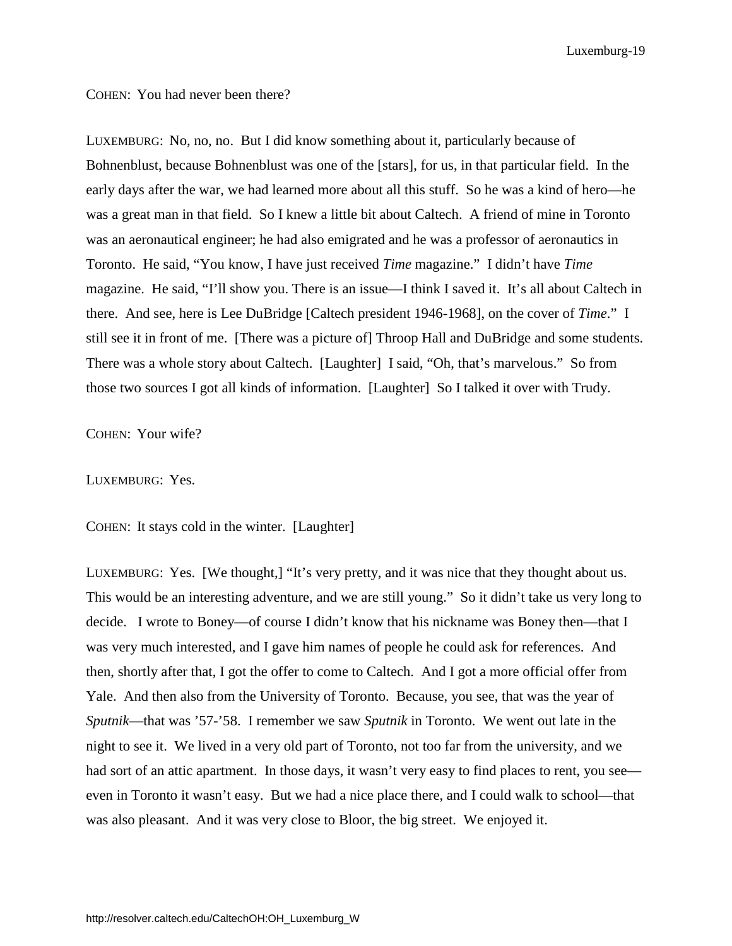COHEN: You had never been there?

LUXEMBURG: No, no, no. But I did know something about it, particularly because of Bohnenblust, because Bohnenblust was one of the [stars], for us, in that particular field. In the early days after the war, we had learned more about all this stuff. So he was a kind of hero—he was a great man in that field. So I knew a little bit about Caltech. A friend of mine in Toronto was an aeronautical engineer; he had also emigrated and he was a professor of aeronautics in Toronto. He said, "You know, I have just received *Time* magazine." I didn't have *Time* magazine. He said, "I'll show you. There is an issue—I think I saved it. It's all about Caltech in there. And see, here is Lee DuBridge [Caltech president 1946-1968], on the cover of *Time*." I still see it in front of me. [There was a picture of] Throop Hall and DuBridge and some students. There was a whole story about Caltech. [Laughter] I said, "Oh, that's marvelous." So from those two sources I got all kinds of information. [Laughter] So I talked it over with Trudy.

COHEN: Your wife?

LUXEMBURG: Yes.

COHEN: It stays cold in the winter. [Laughter]

LUXEMBURG: Yes. [We thought,] "It's very pretty, and it was nice that they thought about us. This would be an interesting adventure, and we are still young." So it didn't take us very long to decide. I wrote to Boney—of course I didn't know that his nickname was Boney then—that I was very much interested, and I gave him names of people he could ask for references. And then, shortly after that, I got the offer to come to Caltech. And I got a more official offer from Yale. And then also from the University of Toronto. Because, you see, that was the year of *Sputnik*—that was '57-'58. I remember we saw *Sputnik* in Toronto. We went out late in the night to see it. We lived in a very old part of Toronto, not too far from the university, and we had sort of an attic apartment. In those days, it wasn't very easy to find places to rent, you see even in Toronto it wasn't easy. But we had a nice place there, and I could walk to school—that was also pleasant. And it was very close to Bloor, the big street. We enjoyed it.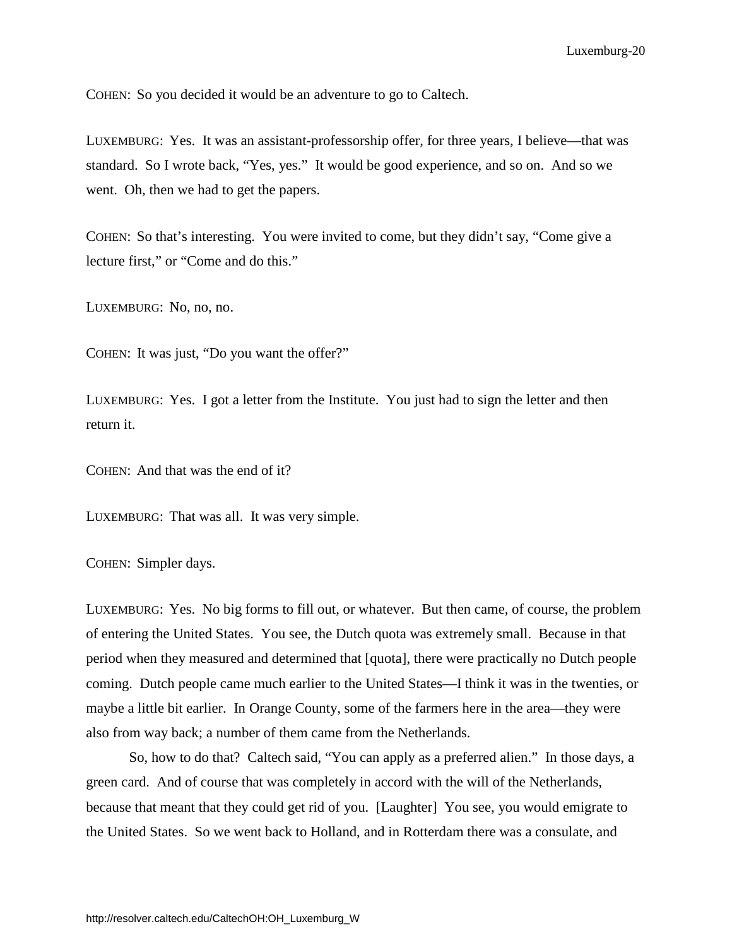COHEN: So you decided it would be an adventure to go to Caltech.

LUXEMBURG: Yes. It was an assistant-professorship offer, for three years, I believe—that was standard. So I wrote back, "Yes, yes." It would be good experience, and so on. And so we went. Oh, then we had to get the papers.

COHEN: So that's interesting. You were invited to come, but they didn't say, "Come give a lecture first," or "Come and do this."

LUXEMBURG: No, no, no.

COHEN: It was just, "Do you want the offer?"

LUXEMBURG: Yes. I got a letter from the Institute. You just had to sign the letter and then return it.

COHEN: And that was the end of it?

LUXEMBURG: That was all. It was very simple.

COHEN: Simpler days.

LUXEMBURG: Yes. No big forms to fill out, or whatever. But then came, of course, the problem of entering the United States. You see, the Dutch quota was extremely small. Because in that period when they measured and determined that [quota], there were practically no Dutch people coming. Dutch people came much earlier to the United States—I think it was in the twenties, or maybe a little bit earlier. In Orange County, some of the farmers here in the area—they were also from way back; a number of them came from the Netherlands.

So, how to do that? Caltech said, "You can apply as a preferred alien." In those days, a green card. And of course that was completely in accord with the will of the Netherlands, because that meant that they could get rid of you. [Laughter] You see, you would emigrate to the United States. So we went back to Holland, and in Rotterdam there was a consulate, and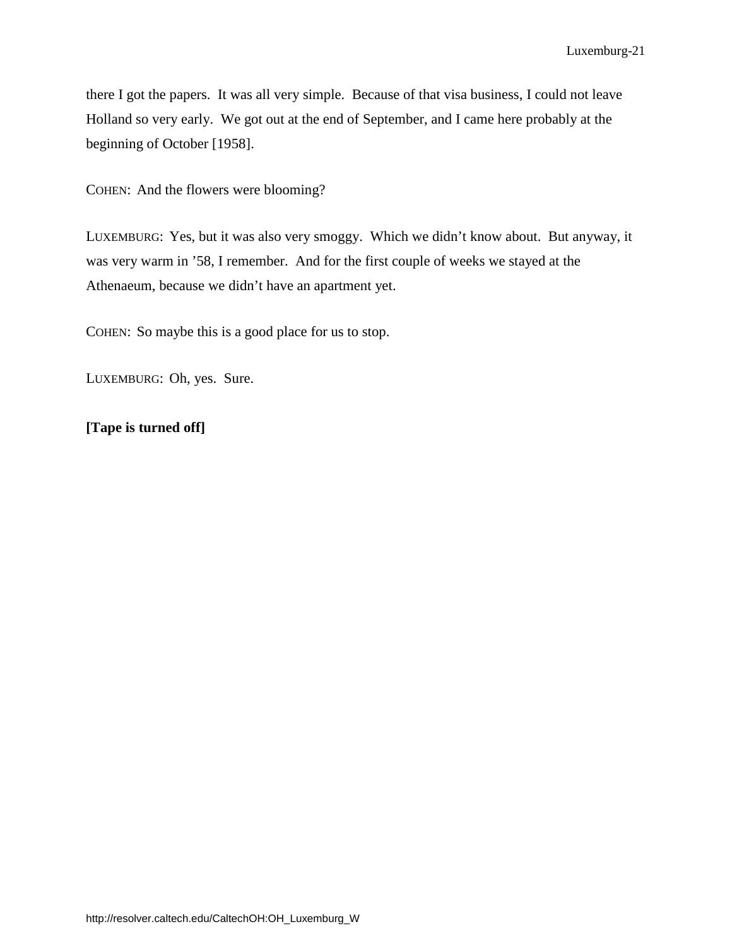there I got the papers. It was all very simple. Because of that visa business, I could not leave Holland so very early. We got out at the end of September, and I came here probably at the beginning of October [1958].

COHEN: And the flowers were blooming?

LUXEMBURG: Yes, but it was also very smoggy. Which we didn't know about. But anyway, it was very warm in '58, I remember. And for the first couple of weeks we stayed at the Athenaeum, because we didn't have an apartment yet.

COHEN: So maybe this is a good place for us to stop.

LUXEMBURG: Oh, yes. Sure.

# **[Tape is turned off]**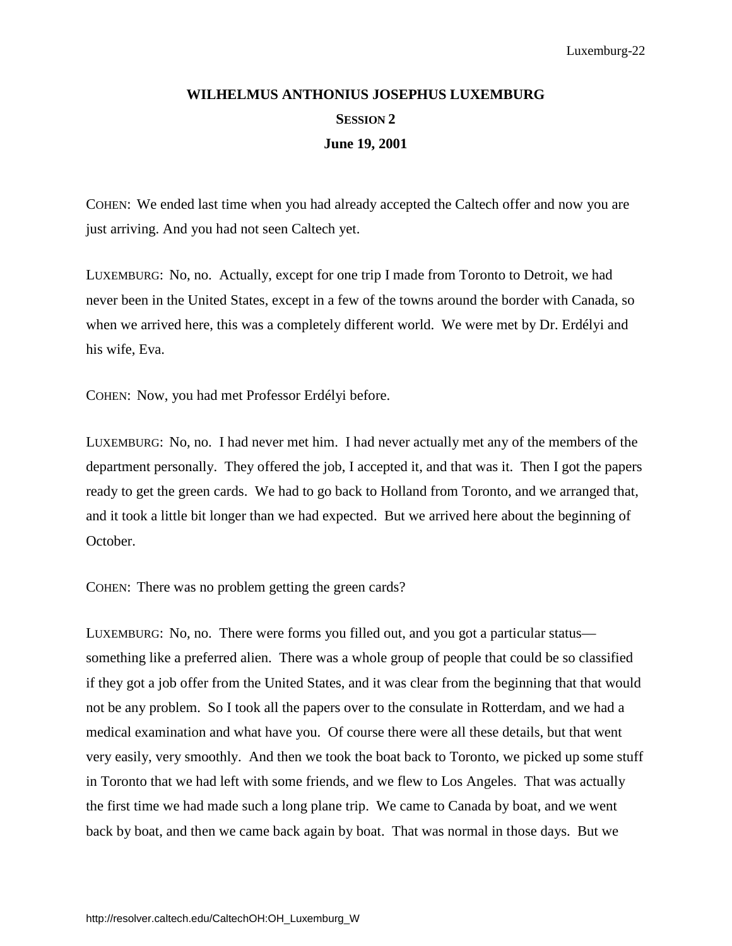# <span id="page-26-0"></span>**WILHELMUS ANTHONIUS JOSEPHUS LUXEMBURG SESSION 2 June 19, 2001**

COHEN: We ended last time when you had already accepted the Caltech offer and now you are just arriving. And you had not seen Caltech yet.

LUXEMBURG: No, no. Actually, except for one trip I made from Toronto to Detroit, we had never been in the United States, except in a few of the towns around the border with Canada, so when we arrived here, this was a completely different world. We were met by Dr. Erdélyi and his wife, Eva.

COHEN: Now, you had met Professor Erdélyi before.

LUXEMBURG: No, no. I had never met him. I had never actually met any of the members of the department personally. They offered the job, I accepted it, and that was it. Then I got the papers ready to get the green cards. We had to go back to Holland from Toronto, and we arranged that, and it took a little bit longer than we had expected. But we arrived here about the beginning of October.

COHEN: There was no problem getting the green cards?

LUXEMBURG: No, no. There were forms you filled out, and you got a particular status something like a preferred alien. There was a whole group of people that could be so classified if they got a job offer from the United States, and it was clear from the beginning that that would not be any problem. So I took all the papers over to the consulate in Rotterdam, and we had a medical examination and what have you. Of course there were all these details, but that went very easily, very smoothly. And then we took the boat back to Toronto, we picked up some stuff in Toronto that we had left with some friends, and we flew to Los Angeles. That was actually the first time we had made such a long plane trip. We came to Canada by boat, and we went back by boat, and then we came back again by boat. That was normal in those days. But we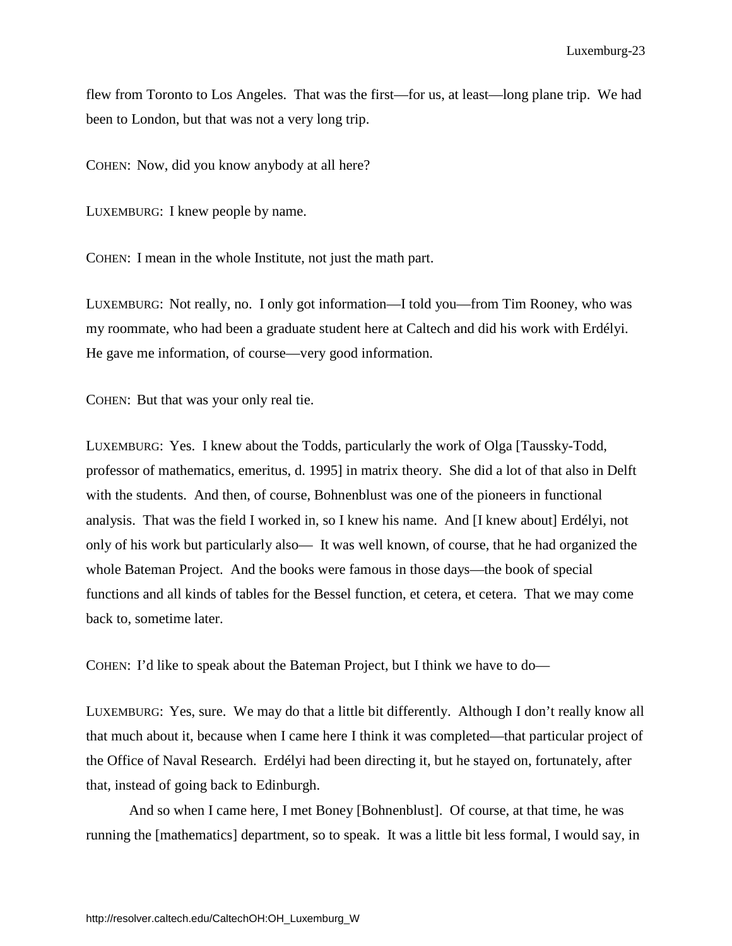flew from Toronto to Los Angeles. That was the first—for us, at least—long plane trip. We had been to London, but that was not a very long trip.

COHEN: Now, did you know anybody at all here?

LUXEMBURG: I knew people by name.

COHEN: I mean in the whole Institute, not just the math part.

LUXEMBURG: Not really, no. I only got information—I told you—from Tim Rooney, who was my roommate, who had been a graduate student here at Caltech and did his work with Erdélyi. He gave me information, of course—very good information.

COHEN: But that was your only real tie.

LUXEMBURG: Yes. I knew about the Todds, particularly the work of Olga [Taussky-Todd, professor of mathematics, emeritus, d. 1995] in matrix theory. She did a lot of that also in Delft with the students. And then, of course, Bohnenblust was one of the pioneers in functional analysis. That was the field I worked in, so I knew his name. And [I knew about] Erdélyi, not only of his work but particularly also— It was well known, of course, that he had organized the whole Bateman Project. And the books were famous in those days—the book of special functions and all kinds of tables for the Bessel function, et cetera, et cetera. That we may come back to, sometime later.

COHEN: I'd like to speak about the Bateman Project, but I think we have to do—

LUXEMBURG: Yes, sure. We may do that a little bit differently. Although I don't really know all that much about it, because when I came here I think it was completed—that particular project of the Office of Naval Research. Erdélyi had been directing it, but he stayed on, fortunately, after that, instead of going back to Edinburgh.

And so when I came here, I met Boney [Bohnenblust]. Of course, at that time, he was running the [mathematics] department, so to speak. It was a little bit less formal, I would say, in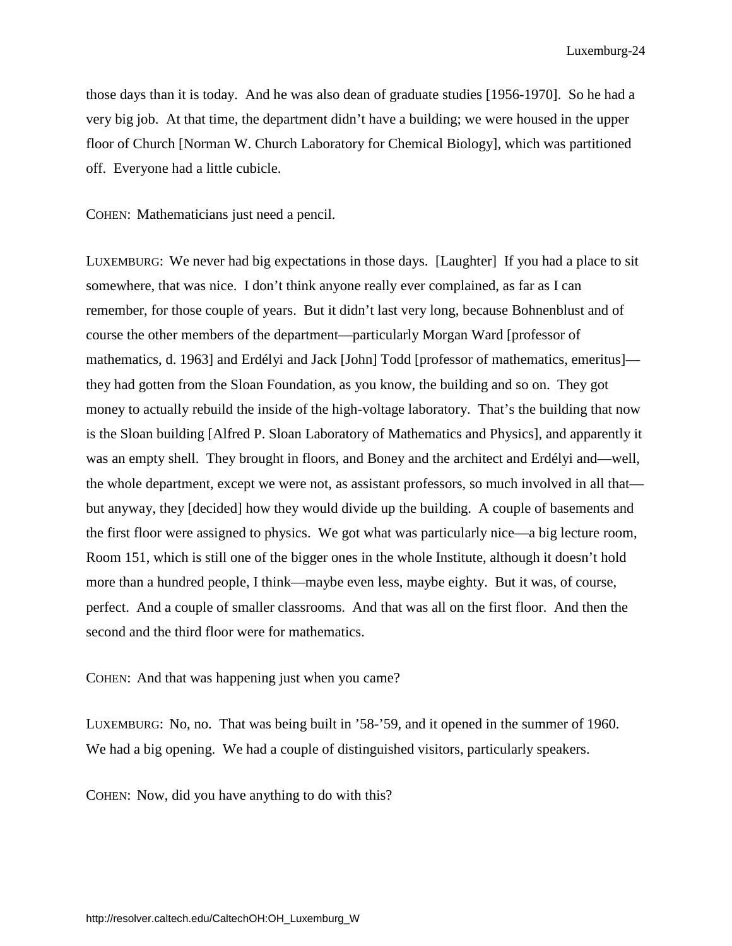those days than it is today. And he was also dean of graduate studies [1956-1970]. So he had a very big job. At that time, the department didn't have a building; we were housed in the upper floor of Church [Norman W. Church Laboratory for Chemical Biology], which was partitioned off. Everyone had a little cubicle.

COHEN: Mathematicians just need a pencil.

LUXEMBURG: We never had big expectations in those days. [Laughter] If you had a place to sit somewhere, that was nice. I don't think anyone really ever complained, as far as I can remember, for those couple of years. But it didn't last very long, because Bohnenblust and of course the other members of the department—particularly Morgan Ward [professor of mathematics, d. 1963] and Erdélyi and Jack [John] Todd [professor of mathematics, emeritus] they had gotten from the Sloan Foundation, as you know, the building and so on. They got money to actually rebuild the inside of the high-voltage laboratory. That's the building that now is the Sloan building [Alfred P. Sloan Laboratory of Mathematics and Physics], and apparently it was an empty shell. They brought in floors, and Boney and the architect and Erdélyi and—well, the whole department, except we were not, as assistant professors, so much involved in all that but anyway, they [decided] how they would divide up the building. A couple of basements and the first floor were assigned to physics. We got what was particularly nice—a big lecture room, Room 151, which is still one of the bigger ones in the whole Institute, although it doesn't hold more than a hundred people, I think—maybe even less, maybe eighty. But it was, of course, perfect. And a couple of smaller classrooms. And that was all on the first floor. And then the second and the third floor were for mathematics.

COHEN: And that was happening just when you came?

LUXEMBURG: No, no. That was being built in '58-'59, and it opened in the summer of 1960. We had a big opening. We had a couple of distinguished visitors, particularly speakers.

COHEN: Now, did you have anything to do with this?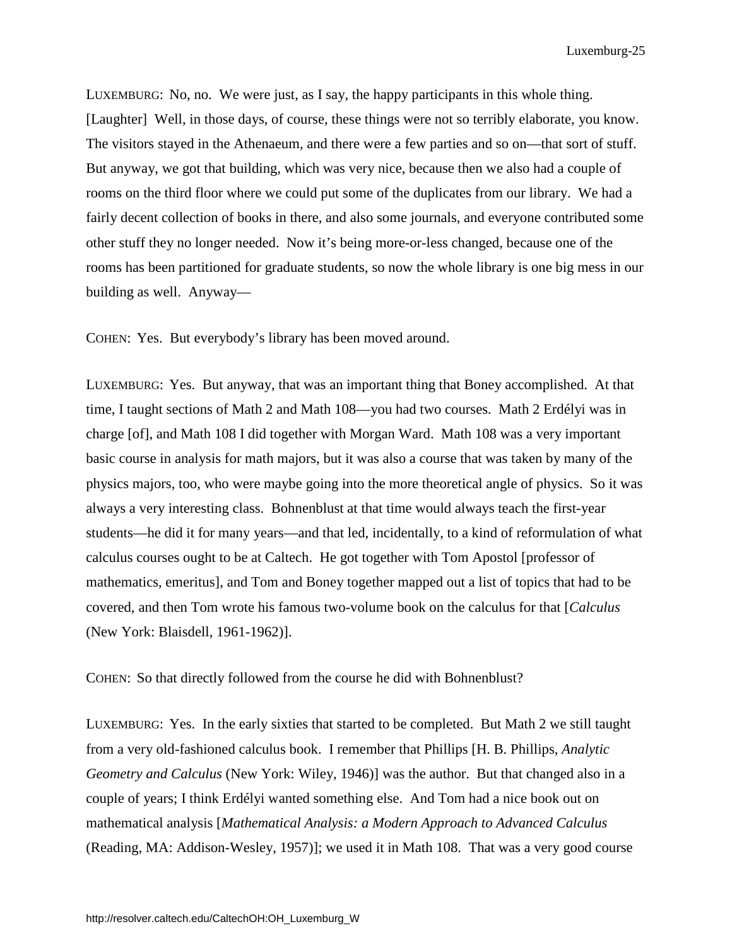LUXEMBURG: No, no. We were just, as I say, the happy participants in this whole thing. [Laughter] Well, in those days, of course, these things were not so terribly elaborate, you know. The visitors stayed in the Athenaeum, and there were a few parties and so on—that sort of stuff. But anyway, we got that building, which was very nice, because then we also had a couple of rooms on the third floor where we could put some of the duplicates from our library. We had a fairly decent collection of books in there, and also some journals, and everyone contributed some other stuff they no longer needed. Now it's being more-or-less changed, because one of the rooms has been partitioned for graduate students, so now the whole library is one big mess in our building as well. Anyway—

COHEN: Yes. But everybody's library has been moved around.

LUXEMBURG: Yes. But anyway, that was an important thing that Boney accomplished. At that time, I taught sections of Math 2 and Math 108—you had two courses. Math 2 Erdélyi was in charge [of], and Math 108 I did together with Morgan Ward. Math 108 was a very important basic course in analysis for math majors, but it was also a course that was taken by many of the physics majors, too, who were maybe going into the more theoretical angle of physics. So it was always a very interesting class. Bohnenblust at that time would always teach the first-year students—he did it for many years—and that led, incidentally, to a kind of reformulation of what calculus courses ought to be at Caltech. He got together with Tom Apostol [professor of mathematics, emeritus], and Tom and Boney together mapped out a list of topics that had to be covered, and then Tom wrote his famous two-volume book on the calculus for that [*Calculus* (New York: Blaisdell, 1961-1962)].

COHEN: So that directly followed from the course he did with Bohnenblust?

LUXEMBURG: Yes. In the early sixties that started to be completed. But Math 2 we still taught from a very old-fashioned calculus book. I remember that Phillips [H. B. Phillips, *Analytic Geometry and Calculus* (New York: Wiley, 1946)] was the author. But that changed also in a couple of years; I think Erdélyi wanted something else. And Tom had a nice book out on mathematical analysis [*Mathematical Analysis: a Modern Approach to Advanced Calculus* (Reading, MA: Addison-Wesley, 1957)]; we used it in Math 108. That was a very good course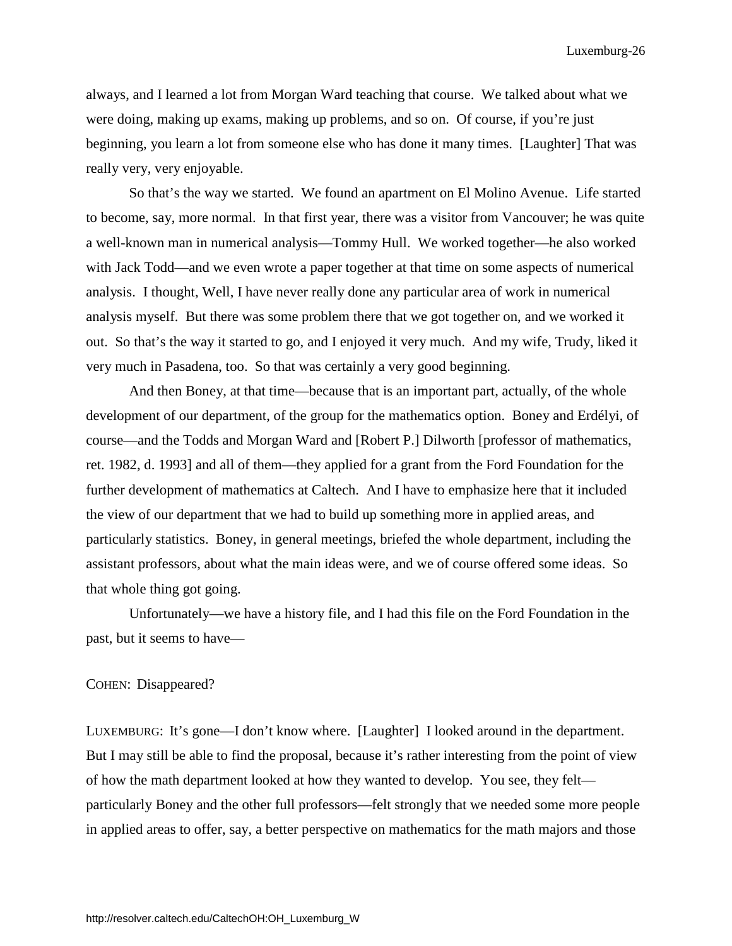always, and I learned a lot from Morgan Ward teaching that course. We talked about what we were doing, making up exams, making up problems, and so on. Of course, if you're just beginning, you learn a lot from someone else who has done it many times. [Laughter] That was really very, very enjoyable.

So that's the way we started. We found an apartment on El Molino Avenue. Life started to become, say, more normal. In that first year, there was a visitor from Vancouver; he was quite a well-known man in numerical analysis—Tommy Hull. We worked together—he also worked with Jack Todd—and we even wrote a paper together at that time on some aspects of numerical analysis. I thought, Well, I have never really done any particular area of work in numerical analysis myself. But there was some problem there that we got together on, and we worked it out. So that's the way it started to go, and I enjoyed it very much. And my wife, Trudy, liked it very much in Pasadena, too. So that was certainly a very good beginning.

And then Boney, at that time—because that is an important part, actually, of the whole development of our department, of the group for the mathematics option. Boney and Erdélyi, of course—and the Todds and Morgan Ward and [Robert P.] Dilworth [professor of mathematics, ret. 1982, d. 1993] and all of them—they applied for a grant from the Ford Foundation for the further development of mathematics at Caltech. And I have to emphasize here that it included the view of our department that we had to build up something more in applied areas, and particularly statistics. Boney, in general meetings, briefed the whole department, including the assistant professors, about what the main ideas were, and we of course offered some ideas. So that whole thing got going.

Unfortunately—we have a history file, and I had this file on the Ford Foundation in the past, but it seems to have—

#### COHEN: Disappeared?

LUXEMBURG: It's gone—I don't know where. [Laughter] I looked around in the department. But I may still be able to find the proposal, because it's rather interesting from the point of view of how the math department looked at how they wanted to develop. You see, they felt particularly Boney and the other full professors—felt strongly that we needed some more people in applied areas to offer, say, a better perspective on mathematics for the math majors and those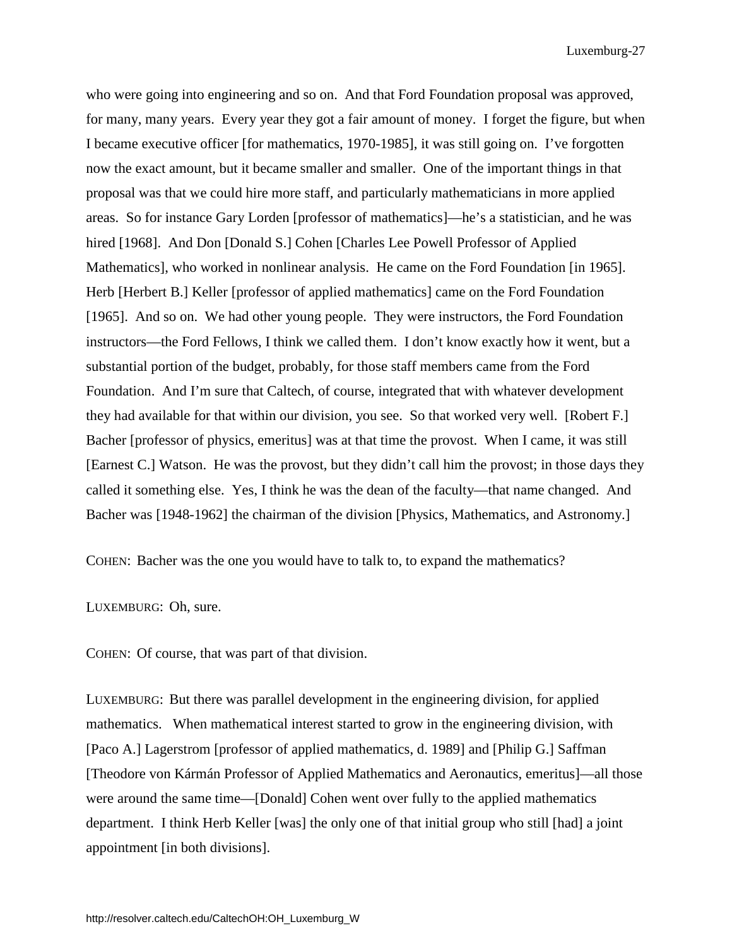who were going into engineering and so on. And that Ford Foundation proposal was approved, for many, many years. Every year they got a fair amount of money. I forget the figure, but when I became executive officer [for mathematics, 1970-1985], it was still going on. I've forgotten now the exact amount, but it became smaller and smaller. One of the important things in that proposal was that we could hire more staff, and particularly mathematicians in more applied areas. So for instance Gary Lorden [professor of mathematics]—he's a statistician, and he was hired [1968]. And Don [Donald S.] Cohen [Charles Lee Powell Professor of Applied Mathematics], who worked in nonlinear analysis. He came on the Ford Foundation [in 1965]. Herb [Herbert B.] Keller [professor of applied mathematics] came on the Ford Foundation [1965]. And so on. We had other young people. They were instructors, the Ford Foundation instructors—the Ford Fellows, I think we called them. I don't know exactly how it went, but a substantial portion of the budget, probably, for those staff members came from the Ford Foundation. And I'm sure that Caltech, of course, integrated that with whatever development they had available for that within our division, you see. So that worked very well. [Robert F.] Bacher [professor of physics, emeritus] was at that time the provost. When I came, it was still [Earnest C.] Watson. He was the provost, but they didn't call him the provost; in those days they called it something else. Yes, I think he was the dean of the faculty—that name changed. And Bacher was [1948-1962] the chairman of the division [Physics, Mathematics, and Astronomy.]

COHEN: Bacher was the one you would have to talk to, to expand the mathematics?

LUXEMBURG: Oh, sure.

COHEN: Of course, that was part of that division.

LUXEMBURG: But there was parallel development in the engineering division, for applied mathematics. When mathematical interest started to grow in the engineering division, with [Paco A.] Lagerstrom [professor of applied mathematics, d. 1989] and [Philip G.] Saffman [Theodore von Kármán Professor of Applied Mathematics and Aeronautics, emeritus]—all those were around the same time—[Donald] Cohen went over fully to the applied mathematics department. I think Herb Keller [was] the only one of that initial group who still [had] a joint appointment [in both divisions].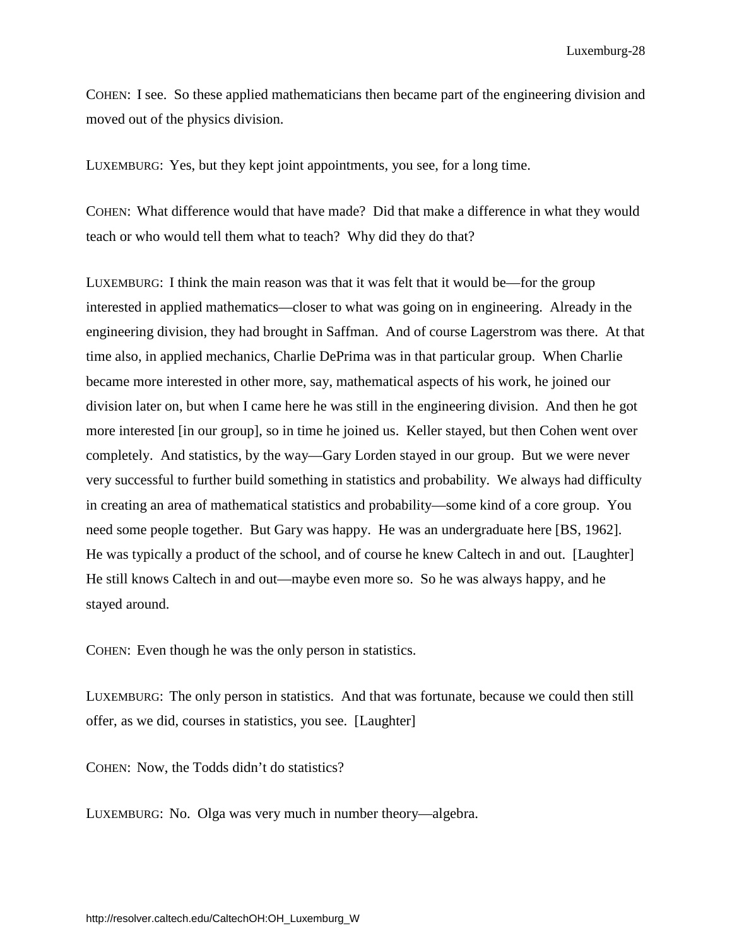COHEN: I see. So these applied mathematicians then became part of the engineering division and moved out of the physics division.

LUXEMBURG: Yes, but they kept joint appointments, you see, for a long time.

COHEN: What difference would that have made? Did that make a difference in what they would teach or who would tell them what to teach? Why did they do that?

LUXEMBURG: I think the main reason was that it was felt that it would be—for the group interested in applied mathematics—closer to what was going on in engineering. Already in the engineering division, they had brought in Saffman. And of course Lagerstrom was there. At that time also, in applied mechanics, Charlie DePrima was in that particular group. When Charlie became more interested in other more, say, mathematical aspects of his work, he joined our division later on, but when I came here he was still in the engineering division. And then he got more interested [in our group], so in time he joined us. Keller stayed, but then Cohen went over completely. And statistics, by the way—Gary Lorden stayed in our group. But we were never very successful to further build something in statistics and probability. We always had difficulty in creating an area of mathematical statistics and probability—some kind of a core group. You need some people together. But Gary was happy. He was an undergraduate here [BS, 1962]. He was typically a product of the school, and of course he knew Caltech in and out. [Laughter] He still knows Caltech in and out—maybe even more so. So he was always happy, and he stayed around.

COHEN: Even though he was the only person in statistics.

LUXEMBURG: The only person in statistics. And that was fortunate, because we could then still offer, as we did, courses in statistics, you see. [Laughter]

COHEN: Now, the Todds didn't do statistics?

LUXEMBURG: No. Olga was very much in number theory—algebra.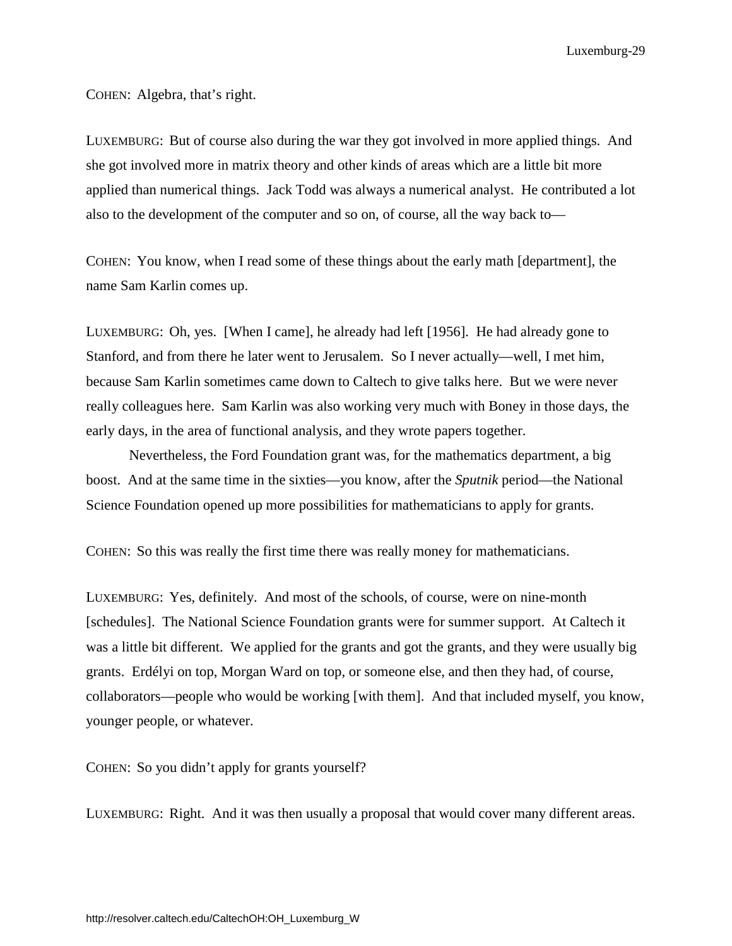COHEN: Algebra, that's right.

LUXEMBURG: But of course also during the war they got involved in more applied things. And she got involved more in matrix theory and other kinds of areas which are a little bit more applied than numerical things. Jack Todd was always a numerical analyst. He contributed a lot also to the development of the computer and so on, of course, all the way back to—

COHEN: You know, when I read some of these things about the early math [department], the name Sam Karlin comes up.

LUXEMBURG: Oh, yes. [When I came], he already had left [1956]. He had already gone to Stanford, and from there he later went to Jerusalem. So I never actually—well, I met him, because Sam Karlin sometimes came down to Caltech to give talks here. But we were never really colleagues here. Sam Karlin was also working very much with Boney in those days, the early days, in the area of functional analysis, and they wrote papers together.

Nevertheless, the Ford Foundation grant was, for the mathematics department, a big boost. And at the same time in the sixties—you know, after the *Sputnik* period—the National Science Foundation opened up more possibilities for mathematicians to apply for grants.

COHEN: So this was really the first time there was really money for mathematicians.

LUXEMBURG: Yes, definitely. And most of the schools, of course, were on nine-month [schedules]. The National Science Foundation grants were for summer support. At Caltech it was a little bit different. We applied for the grants and got the grants, and they were usually big grants. Erdélyi on top, Morgan Ward on top, or someone else, and then they had, of course, collaborators—people who would be working [with them]. And that included myself, you know, younger people, or whatever.

COHEN: So you didn't apply for grants yourself?

LUXEMBURG: Right. And it was then usually a proposal that would cover many different areas.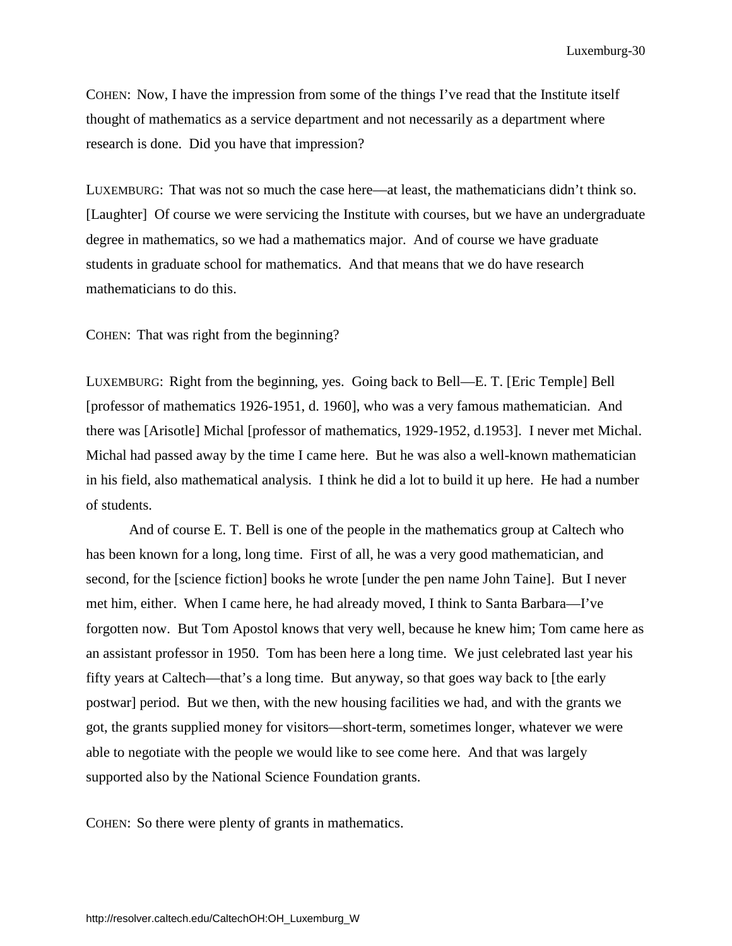COHEN: Now, I have the impression from some of the things I've read that the Institute itself thought of mathematics as a service department and not necessarily as a department where research is done. Did you have that impression?

LUXEMBURG: That was not so much the case here—at least, the mathematicians didn't think so. [Laughter] Of course we were servicing the Institute with courses, but we have an undergraduate degree in mathematics, so we had a mathematics major. And of course we have graduate students in graduate school for mathematics. And that means that we do have research mathematicians to do this.

COHEN: That was right from the beginning?

LUXEMBURG: Right from the beginning, yes. Going back to Bell—E. T. [Eric Temple] Bell [professor of mathematics 1926-1951, d. 1960], who was a very famous mathematician. And there was [Arisotle] Michal [professor of mathematics, 1929-1952, d.1953]. I never met Michal. Michal had passed away by the time I came here. But he was also a well-known mathematician in his field, also mathematical analysis. I think he did a lot to build it up here. He had a number of students.

And of course E. T. Bell is one of the people in the mathematics group at Caltech who has been known for a long, long time. First of all, he was a very good mathematician, and second, for the [science fiction] books he wrote [under the pen name John Taine]. But I never met him, either. When I came here, he had already moved, I think to Santa Barbara—I've forgotten now. But Tom Apostol knows that very well, because he knew him; Tom came here as an assistant professor in 1950. Tom has been here a long time. We just celebrated last year his fifty years at Caltech—that's a long time. But anyway, so that goes way back to [the early postwar] period. But we then, with the new housing facilities we had, and with the grants we got, the grants supplied money for visitors—short-term, sometimes longer, whatever we were able to negotiate with the people we would like to see come here. And that was largely supported also by the National Science Foundation grants.

COHEN: So there were plenty of grants in mathematics.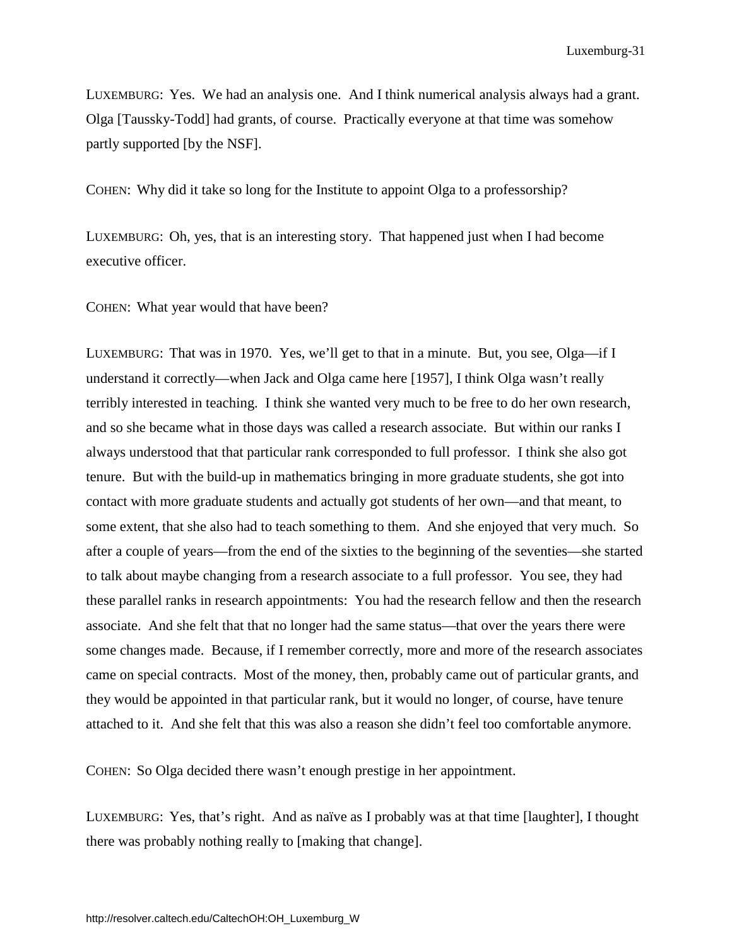LUXEMBURG: Yes. We had an analysis one. And I think numerical analysis always had a grant. Olga [Taussky-Todd] had grants, of course. Practically everyone at that time was somehow partly supported [by the NSF].

COHEN: Why did it take so long for the Institute to appoint Olga to a professorship?

LUXEMBURG: Oh, yes, that is an interesting story. That happened just when I had become executive officer.

COHEN: What year would that have been?

LUXEMBURG: That was in 1970. Yes, we'll get to that in a minute. But, you see, Olga—if I understand it correctly—when Jack and Olga came here [1957], I think Olga wasn't really terribly interested in teaching. I think she wanted very much to be free to do her own research, and so she became what in those days was called a research associate. But within our ranks I always understood that that particular rank corresponded to full professor. I think she also got tenure. But with the build-up in mathematics bringing in more graduate students, she got into contact with more graduate students and actually got students of her own—and that meant, to some extent, that she also had to teach something to them. And she enjoyed that very much. So after a couple of years—from the end of the sixties to the beginning of the seventies—she started to talk about maybe changing from a research associate to a full professor. You see, they had these parallel ranks in research appointments: You had the research fellow and then the research associate. And she felt that that no longer had the same status—that over the years there were some changes made. Because, if I remember correctly, more and more of the research associates came on special contracts. Most of the money, then, probably came out of particular grants, and they would be appointed in that particular rank, but it would no longer, of course, have tenure attached to it. And she felt that this was also a reason she didn't feel too comfortable anymore.

COHEN: So Olga decided there wasn't enough prestige in her appointment.

LUXEMBURG: Yes, that's right. And as naïve as I probably was at that time [laughter], I thought there was probably nothing really to [making that change].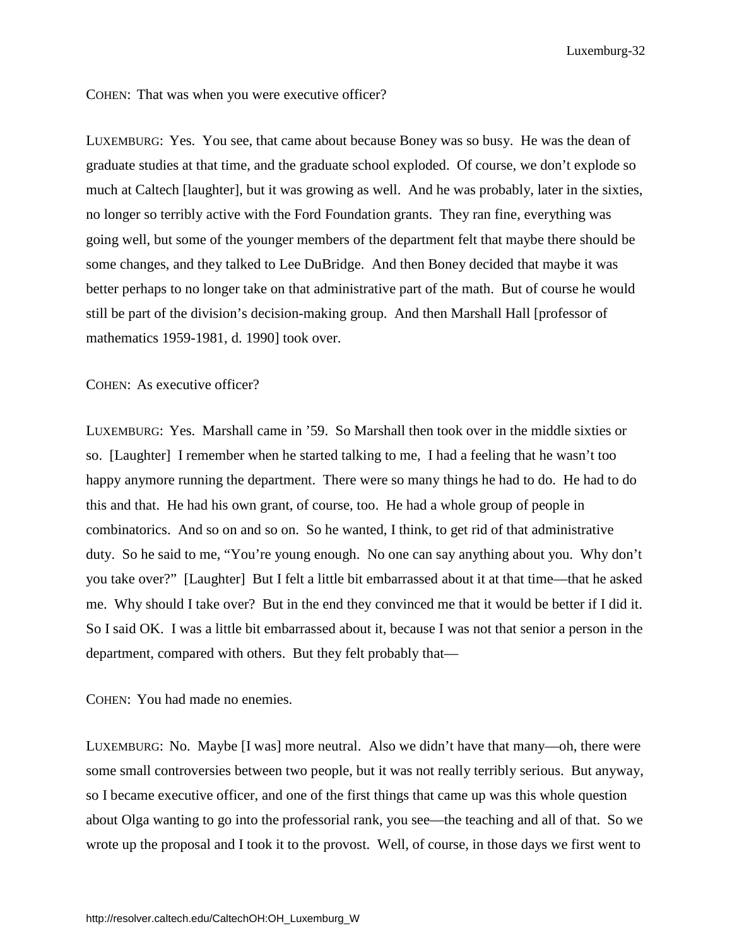COHEN: That was when you were executive officer?

LUXEMBURG: Yes. You see, that came about because Boney was so busy. He was the dean of graduate studies at that time, and the graduate school exploded. Of course, we don't explode so much at Caltech [laughter], but it was growing as well. And he was probably, later in the sixties, no longer so terribly active with the Ford Foundation grants. They ran fine, everything was going well, but some of the younger members of the department felt that maybe there should be some changes, and they talked to Lee DuBridge. And then Boney decided that maybe it was better perhaps to no longer take on that administrative part of the math. But of course he would still be part of the division's decision-making group. And then Marshall Hall [professor of mathematics 1959-1981, d. 1990] took over.

COHEN: As executive officer?

LUXEMBURG: Yes. Marshall came in '59. So Marshall then took over in the middle sixties or so. [Laughter] I remember when he started talking to me, I had a feeling that he wasn't too happy anymore running the department. There were so many things he had to do. He had to do this and that. He had his own grant, of course, too. He had a whole group of people in combinatorics. And so on and so on. So he wanted, I think, to get rid of that administrative duty. So he said to me, "You're young enough. No one can say anything about you. Why don't you take over?" [Laughter] But I felt a little bit embarrassed about it at that time—that he asked me. Why should I take over? But in the end they convinced me that it would be better if I did it. So I said OK. I was a little bit embarrassed about it, because I was not that senior a person in the department, compared with others. But they felt probably that—

COHEN: You had made no enemies.

LUXEMBURG: No. Maybe [I was] more neutral. Also we didn't have that many—oh, there were some small controversies between two people, but it was not really terribly serious. But anyway, so I became executive officer, and one of the first things that came up was this whole question about Olga wanting to go into the professorial rank, you see—the teaching and all of that. So we wrote up the proposal and I took it to the provost. Well, of course, in those days we first went to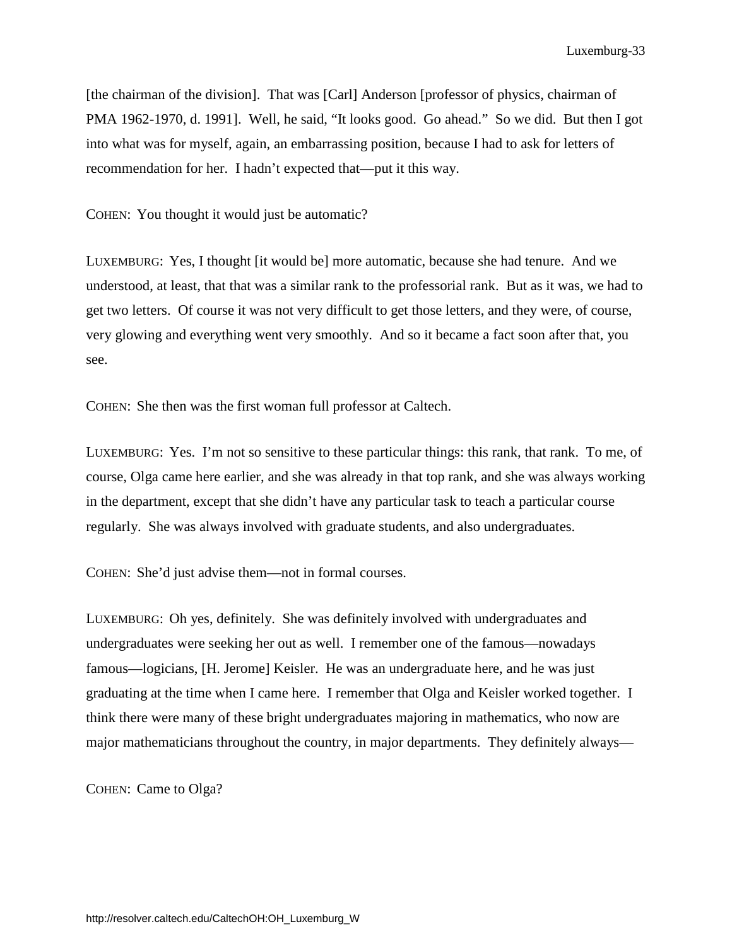[the chairman of the division]. That was [Carl] Anderson [professor of physics, chairman of PMA 1962-1970, d. 1991]. Well, he said, "It looks good. Go ahead." So we did. But then I got into what was for myself, again, an embarrassing position, because I had to ask for letters of recommendation for her. I hadn't expected that—put it this way.

COHEN: You thought it would just be automatic?

LUXEMBURG: Yes, I thought [it would be] more automatic, because she had tenure. And we understood, at least, that that was a similar rank to the professorial rank. But as it was, we had to get two letters. Of course it was not very difficult to get those letters, and they were, of course, very glowing and everything went very smoothly. And so it became a fact soon after that, you see.

COHEN: She then was the first woman full professor at Caltech.

LUXEMBURG: Yes. I'm not so sensitive to these particular things: this rank, that rank. To me, of course, Olga came here earlier, and she was already in that top rank, and she was always working in the department, except that she didn't have any particular task to teach a particular course regularly. She was always involved with graduate students, and also undergraduates.

COHEN: She'd just advise them—not in formal courses.

LUXEMBURG: Oh yes, definitely. She was definitely involved with undergraduates and undergraduates were seeking her out as well. I remember one of the famous—nowadays famous—logicians, [H. Jerome] Keisler. He was an undergraduate here, and he was just graduating at the time when I came here. I remember that Olga and Keisler worked together. I think there were many of these bright undergraduates majoring in mathematics, who now are major mathematicians throughout the country, in major departments. They definitely always—

COHEN: Came to Olga?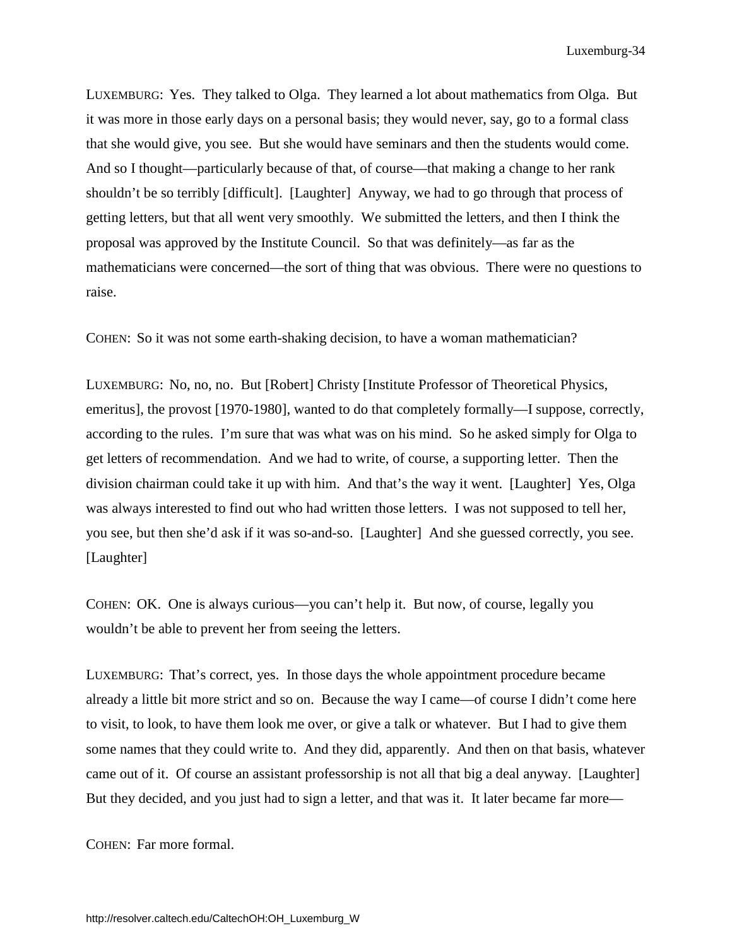LUXEMBURG: Yes. They talked to Olga. They learned a lot about mathematics from Olga. But it was more in those early days on a personal basis; they would never, say, go to a formal class that she would give, you see. But she would have seminars and then the students would come. And so I thought—particularly because of that, of course—that making a change to her rank shouldn't be so terribly [difficult]. [Laughter] Anyway, we had to go through that process of getting letters, but that all went very smoothly. We submitted the letters, and then I think the proposal was approved by the Institute Council. So that was definitely—as far as the mathematicians were concerned—the sort of thing that was obvious. There were no questions to raise.

COHEN: So it was not some earth-shaking decision, to have a woman mathematician?

LUXEMBURG: No, no, no. But [Robert] Christy [Institute Professor of Theoretical Physics, emeritus], the provost [1970-1980], wanted to do that completely formally—I suppose, correctly, according to the rules. I'm sure that was what was on his mind. So he asked simply for Olga to get letters of recommendation. And we had to write, of course, a supporting letter. Then the division chairman could take it up with him. And that's the way it went. [Laughter] Yes, Olga was always interested to find out who had written those letters. I was not supposed to tell her, you see, but then she'd ask if it was so-and-so. [Laughter] And she guessed correctly, you see. [Laughter]

COHEN: OK. One is always curious—you can't help it. But now, of course, legally you wouldn't be able to prevent her from seeing the letters.

LUXEMBURG: That's correct, yes. In those days the whole appointment procedure became already a little bit more strict and so on. Because the way I came—of course I didn't come here to visit, to look, to have them look me over, or give a talk or whatever. But I had to give them some names that they could write to. And they did, apparently. And then on that basis, whatever came out of it. Of course an assistant professorship is not all that big a deal anyway. [Laughter] But they decided, and you just had to sign a letter, and that was it. It later became far more—

COHEN: Far more formal.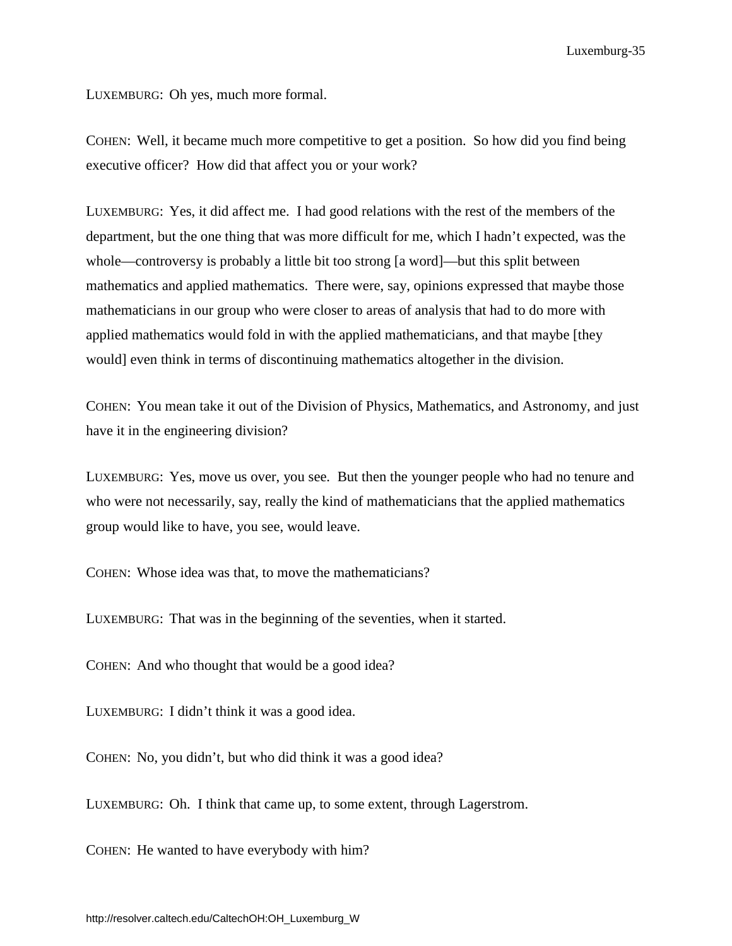LUXEMBURG: Oh yes, much more formal.

COHEN: Well, it became much more competitive to get a position. So how did you find being executive officer? How did that affect you or your work?

LUXEMBURG: Yes, it did affect me. I had good relations with the rest of the members of the department, but the one thing that was more difficult for me, which I hadn't expected, was the whole—controversy is probably a little bit too strong [a word]—but this split between mathematics and applied mathematics. There were, say, opinions expressed that maybe those mathematicians in our group who were closer to areas of analysis that had to do more with applied mathematics would fold in with the applied mathematicians, and that maybe [they would] even think in terms of discontinuing mathematics altogether in the division.

COHEN: You mean take it out of the Division of Physics, Mathematics, and Astronomy, and just have it in the engineering division?

LUXEMBURG: Yes, move us over, you see. But then the younger people who had no tenure and who were not necessarily, say, really the kind of mathematicians that the applied mathematics group would like to have, you see, would leave.

COHEN: Whose idea was that, to move the mathematicians?

LUXEMBURG: That was in the beginning of the seventies, when it started.

COHEN: And who thought that would be a good idea?

LUXEMBURG: I didn't think it was a good idea.

COHEN: No, you didn't, but who did think it was a good idea?

LUXEMBURG: Oh. I think that came up, to some extent, through Lagerstrom.

COHEN: He wanted to have everybody with him?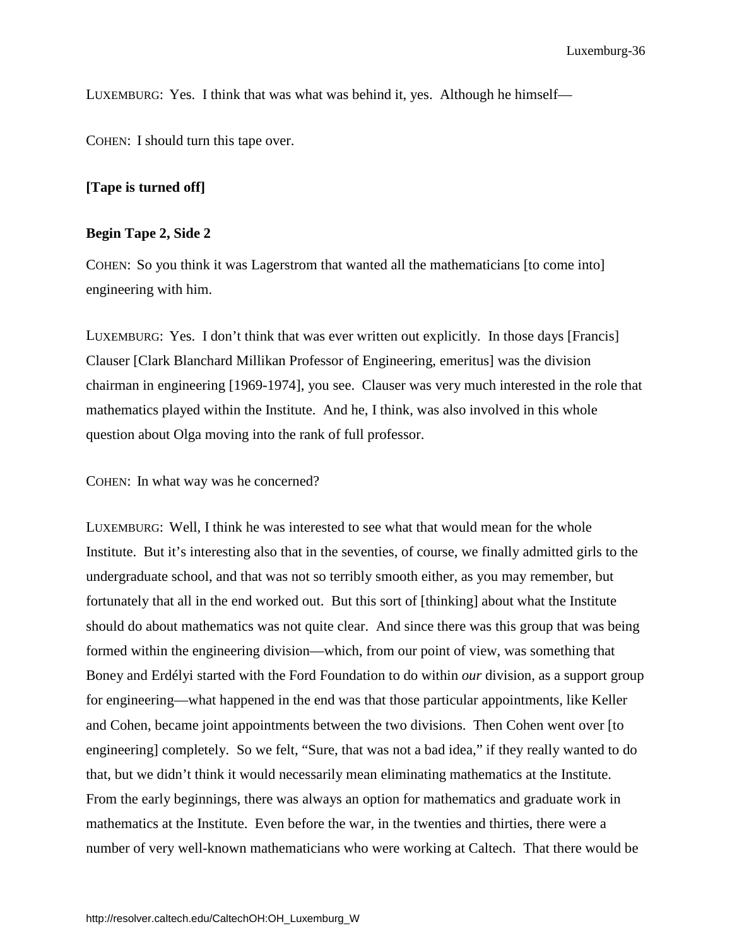LUXEMBURG: Yes. I think that was what was behind it, yes. Although he himself—

COHEN: I should turn this tape over.

## **[Tape is turned off]**

#### **Begin Tape 2, Side 2**

COHEN: So you think it was Lagerstrom that wanted all the mathematicians [to come into] engineering with him.

LUXEMBURG: Yes. I don't think that was ever written out explicitly. In those days [Francis] Clauser [Clark Blanchard Millikan Professor of Engineering, emeritus] was the division chairman in engineering [1969-1974], you see. Clauser was very much interested in the role that mathematics played within the Institute. And he, I think, was also involved in this whole question about Olga moving into the rank of full professor.

COHEN: In what way was he concerned?

LUXEMBURG: Well, I think he was interested to see what that would mean for the whole Institute. But it's interesting also that in the seventies, of course, we finally admitted girls to the undergraduate school, and that was not so terribly smooth either, as you may remember, but fortunately that all in the end worked out. But this sort of [thinking] about what the Institute should do about mathematics was not quite clear. And since there was this group that was being formed within the engineering division—which, from our point of view, was something that Boney and Erdélyi started with the Ford Foundation to do within *our* division, as a support group for engineering—what happened in the end was that those particular appointments, like Keller and Cohen, became joint appointments between the two divisions. Then Cohen went over [to engineering] completely. So we felt, "Sure, that was not a bad idea," if they really wanted to do that, but we didn't think it would necessarily mean eliminating mathematics at the Institute. From the early beginnings, there was always an option for mathematics and graduate work in mathematics at the Institute. Even before the war, in the twenties and thirties, there were a number of very well-known mathematicians who were working at Caltech. That there would be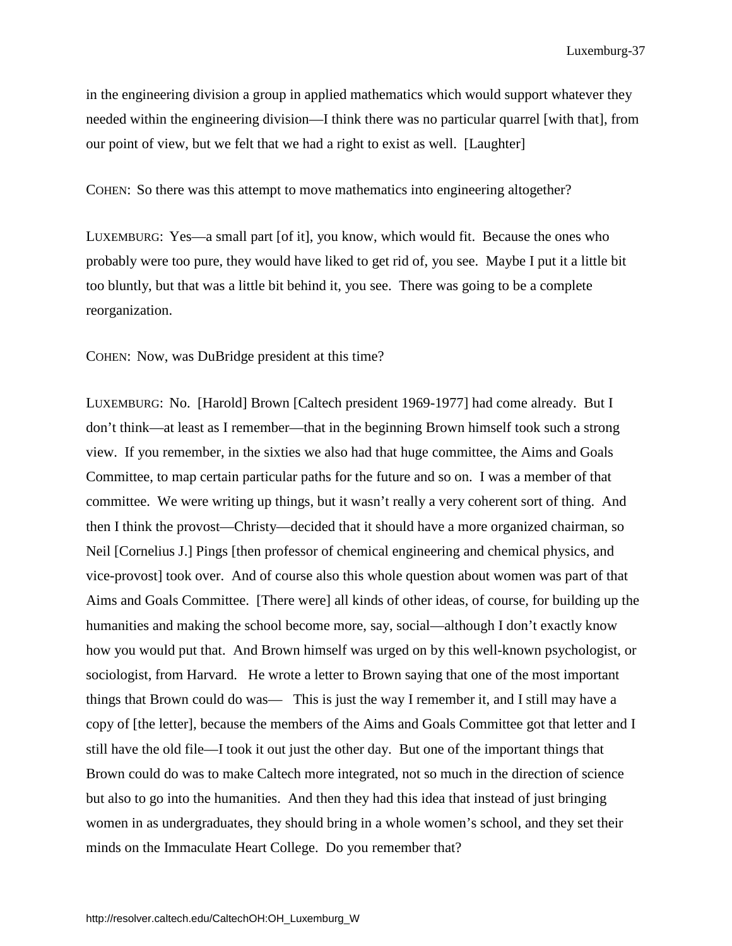in the engineering division a group in applied mathematics which would support whatever they needed within the engineering division—I think there was no particular quarrel [with that], from our point of view, but we felt that we had a right to exist as well. [Laughter]

COHEN: So there was this attempt to move mathematics into engineering altogether?

LUXEMBURG: Yes—a small part [of it], you know, which would fit. Because the ones who probably were too pure, they would have liked to get rid of, you see. Maybe I put it a little bit too bluntly, but that was a little bit behind it, you see. There was going to be a complete reorganization.

COHEN: Now, was DuBridge president at this time?

LUXEMBURG: No. [Harold] Brown [Caltech president 1969-1977] had come already. But I don't think—at least as I remember—that in the beginning Brown himself took such a strong view. If you remember, in the sixties we also had that huge committee, the Aims and Goals Committee, to map certain particular paths for the future and so on. I was a member of that committee. We were writing up things, but it wasn't really a very coherent sort of thing. And then I think the provost—Christy—decided that it should have a more organized chairman, so Neil [Cornelius J.] Pings [then professor of chemical engineering and chemical physics, and vice-provost] took over. And of course also this whole question about women was part of that Aims and Goals Committee. [There were] all kinds of other ideas, of course, for building up the humanities and making the school become more, say, social—although I don't exactly know how you would put that. And Brown himself was urged on by this well-known psychologist, or sociologist, from Harvard. He wrote a letter to Brown saying that one of the most important things that Brown could do was— This is just the way I remember it, and I still may have a copy of [the letter], because the members of the Aims and Goals Committee got that letter and I still have the old file—I took it out just the other day. But one of the important things that Brown could do was to make Caltech more integrated, not so much in the direction of science but also to go into the humanities. And then they had this idea that instead of just bringing women in as undergraduates, they should bring in a whole women's school, and they set their minds on the Immaculate Heart College. Do you remember that?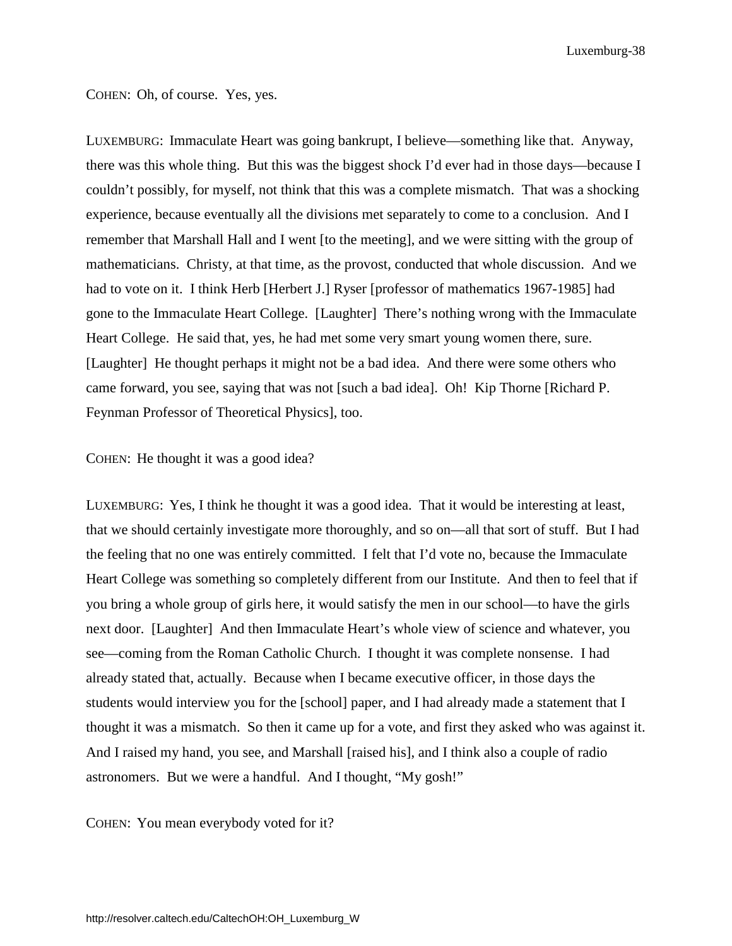COHEN: Oh, of course. Yes, yes.

LUXEMBURG: Immaculate Heart was going bankrupt, I believe—something like that. Anyway, there was this whole thing. But this was the biggest shock I'd ever had in those days—because I couldn't possibly, for myself, not think that this was a complete mismatch. That was a shocking experience, because eventually all the divisions met separately to come to a conclusion. And I remember that Marshall Hall and I went [to the meeting], and we were sitting with the group of mathematicians. Christy, at that time, as the provost, conducted that whole discussion. And we had to vote on it. I think Herb [Herbert J.] Ryser [professor of mathematics 1967-1985] had gone to the Immaculate Heart College. [Laughter] There's nothing wrong with the Immaculate Heart College. He said that, yes, he had met some very smart young women there, sure. [Laughter] He thought perhaps it might not be a bad idea. And there were some others who came forward, you see, saying that was not [such a bad idea]. Oh! Kip Thorne [Richard P. Feynman Professor of Theoretical Physics], too.

#### COHEN: He thought it was a good idea?

LUXEMBURG: Yes, I think he thought it was a good idea. That it would be interesting at least, that we should certainly investigate more thoroughly, and so on—all that sort of stuff. But I had the feeling that no one was entirely committed. I felt that I'd vote no, because the Immaculate Heart College was something so completely different from our Institute. And then to feel that if you bring a whole group of girls here, it would satisfy the men in our school—to have the girls next door. [Laughter] And then Immaculate Heart's whole view of science and whatever, you see—coming from the Roman Catholic Church. I thought it was complete nonsense. I had already stated that, actually. Because when I became executive officer, in those days the students would interview you for the [school] paper, and I had already made a statement that I thought it was a mismatch. So then it came up for a vote, and first they asked who was against it. And I raised my hand, you see, and Marshall [raised his], and I think also a couple of radio astronomers. But we were a handful. And I thought, "My gosh!"

COHEN: You mean everybody voted for it?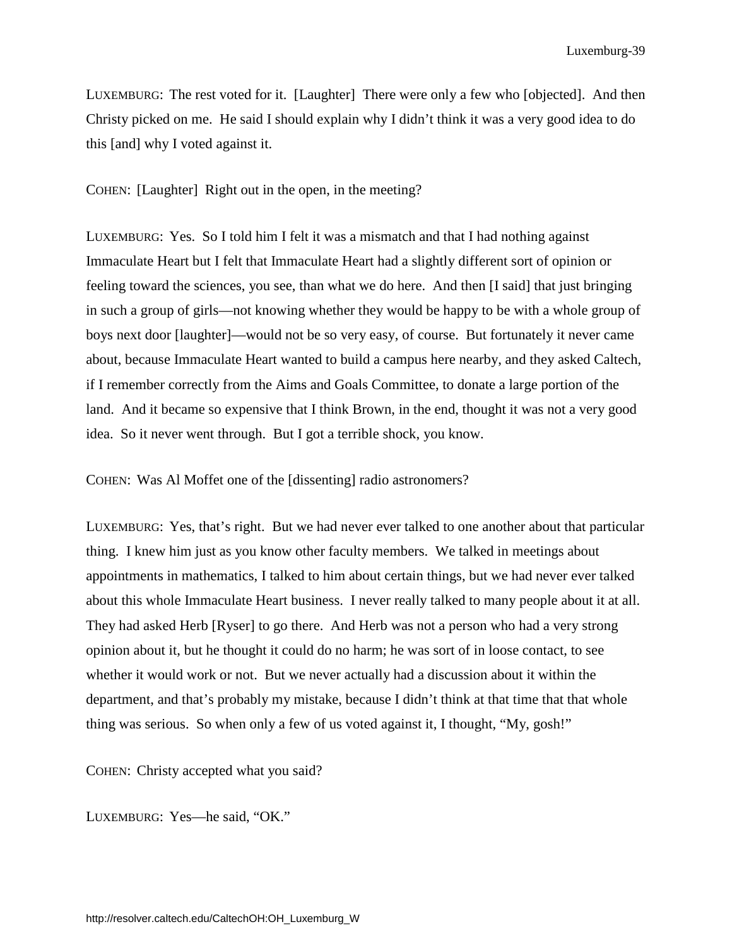LUXEMBURG: The rest voted for it. [Laughter] There were only a few who [objected]. And then Christy picked on me. He said I should explain why I didn't think it was a very good idea to do this [and] why I voted against it.

COHEN: [Laughter] Right out in the open, in the meeting?

LUXEMBURG: Yes. So I told him I felt it was a mismatch and that I had nothing against Immaculate Heart but I felt that Immaculate Heart had a slightly different sort of opinion or feeling toward the sciences, you see, than what we do here. And then [I said] that just bringing in such a group of girls—not knowing whether they would be happy to be with a whole group of boys next door [laughter]—would not be so very easy, of course. But fortunately it never came about, because Immaculate Heart wanted to build a campus here nearby, and they asked Caltech, if I remember correctly from the Aims and Goals Committee, to donate a large portion of the land. And it became so expensive that I think Brown, in the end, thought it was not a very good idea. So it never went through. But I got a terrible shock, you know.

COHEN: Was Al Moffet one of the [dissenting] radio astronomers?

LUXEMBURG: Yes, that's right. But we had never ever talked to one another about that particular thing. I knew him just as you know other faculty members. We talked in meetings about appointments in mathematics, I talked to him about certain things, but we had never ever talked about this whole Immaculate Heart business. I never really talked to many people about it at all. They had asked Herb [Ryser] to go there. And Herb was not a person who had a very strong opinion about it, but he thought it could do no harm; he was sort of in loose contact, to see whether it would work or not. But we never actually had a discussion about it within the department, and that's probably my mistake, because I didn't think at that time that that whole thing was serious. So when only a few of us voted against it, I thought, "My, gosh!"

COHEN: Christy accepted what you said?

LUXEMBURG: Yes—he said, "OK."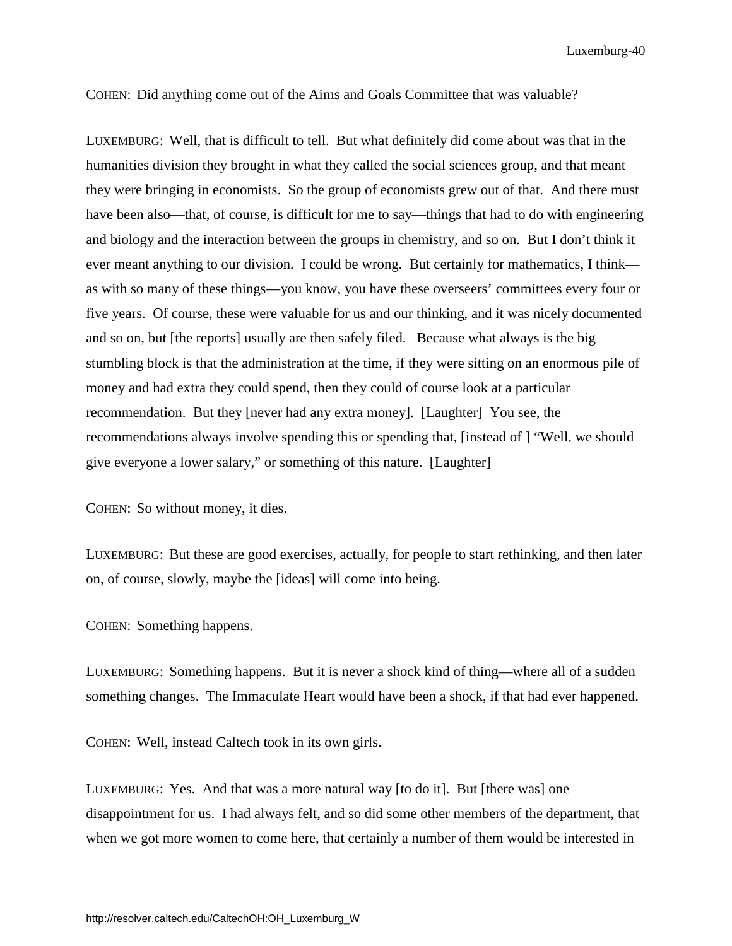COHEN: Did anything come out of the Aims and Goals Committee that was valuable?

LUXEMBURG: Well, that is difficult to tell. But what definitely did come about was that in the humanities division they brought in what they called the social sciences group, and that meant they were bringing in economists. So the group of economists grew out of that. And there must have been also—that, of course, is difficult for me to say—things that had to do with engineering and biology and the interaction between the groups in chemistry, and so on. But I don't think it ever meant anything to our division. I could be wrong. But certainly for mathematics, I think as with so many of these things—you know, you have these overseers' committees every four or five years. Of course, these were valuable for us and our thinking, and it was nicely documented and so on, but [the reports] usually are then safely filed. Because what always is the big stumbling block is that the administration at the time, if they were sitting on an enormous pile of money and had extra they could spend, then they could of course look at a particular recommendation. But they [never had any extra money]. [Laughter] You see, the recommendations always involve spending this or spending that, [instead of ] "Well, we should give everyone a lower salary," or something of this nature. [Laughter]

COHEN: So without money, it dies.

LUXEMBURG: But these are good exercises, actually, for people to start rethinking, and then later on, of course, slowly, maybe the [ideas] will come into being.

COHEN: Something happens.

LUXEMBURG: Something happens. But it is never a shock kind of thing—where all of a sudden something changes. The Immaculate Heart would have been a shock, if that had ever happened.

COHEN: Well, instead Caltech took in its own girls.

LUXEMBURG: Yes. And that was a more natural way [to do it]. But [there was] one disappointment for us. I had always felt, and so did some other members of the department, that when we got more women to come here, that certainly a number of them would be interested in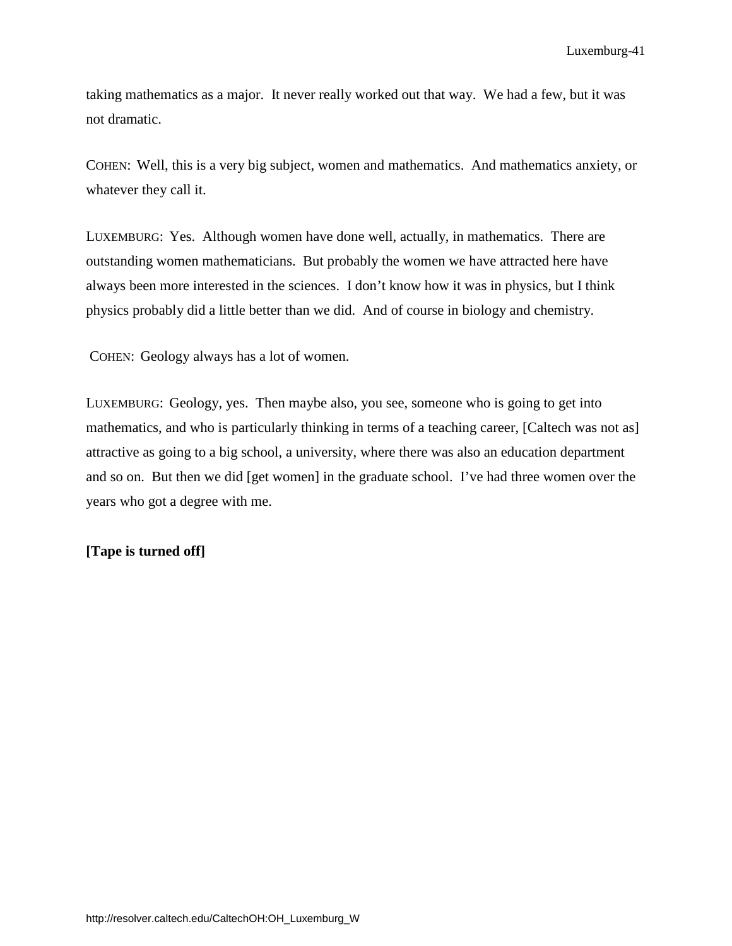taking mathematics as a major. It never really worked out that way. We had a few, but it was not dramatic.

COHEN: Well, this is a very big subject, women and mathematics. And mathematics anxiety, or whatever they call it.

LUXEMBURG: Yes. Although women have done well, actually, in mathematics. There are outstanding women mathematicians. But probably the women we have attracted here have always been more interested in the sciences. I don't know how it was in physics, but I think physics probably did a little better than we did. And of course in biology and chemistry.

COHEN: Geology always has a lot of women.

LUXEMBURG: Geology, yes. Then maybe also, you see, someone who is going to get into mathematics, and who is particularly thinking in terms of a teaching career, [Caltech was not as] attractive as going to a big school, a university, where there was also an education department and so on. But then we did [get women] in the graduate school. I've had three women over the years who got a degree with me.

### **[Tape is turned off]**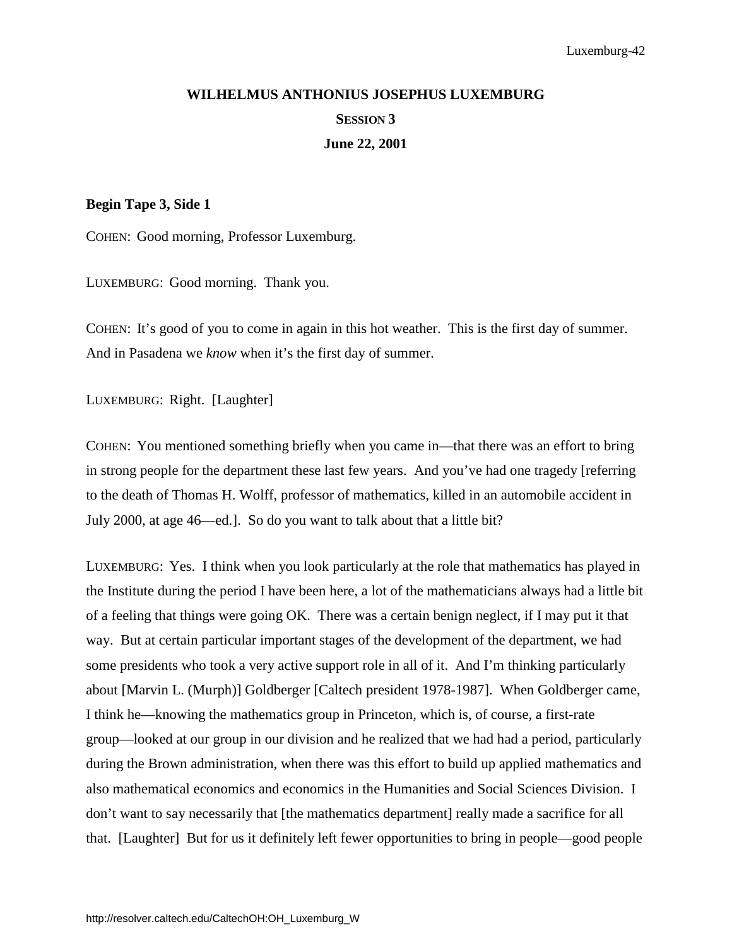# <span id="page-46-0"></span>**WILHELMUS ANTHONIUS JOSEPHUS LUXEMBURG SESSION 3 June 22, 2001**

## **Begin Tape 3, Side 1**

COHEN: Good morning, Professor Luxemburg.

LUXEMBURG: Good morning. Thank you.

COHEN: It's good of you to come in again in this hot weather. This is the first day of summer. And in Pasadena we *know* when it's the first day of summer.

LUXEMBURG: Right. [Laughter]

COHEN: You mentioned something briefly when you came in—that there was an effort to bring in strong people for the department these last few years. And you've had one tragedy [referring to the death of Thomas H. Wolff, professor of mathematics, killed in an automobile accident in July 2000, at age 46—ed.]. So do you want to talk about that a little bit?

LUXEMBURG: Yes. I think when you look particularly at the role that mathematics has played in the Institute during the period I have been here, a lot of the mathematicians always had a little bit of a feeling that things were going OK. There was a certain benign neglect, if I may put it that way. But at certain particular important stages of the development of the department, we had some presidents who took a very active support role in all of it. And I'm thinking particularly about [Marvin L. (Murph)] Goldberger [Caltech president 1978-1987]. When Goldberger came, I think he—knowing the mathematics group in Princeton, which is, of course, a first-rate group—looked at our group in our division and he realized that we had had a period, particularly during the Brown administration, when there was this effort to build up applied mathematics and also mathematical economics and economics in the Humanities and Social Sciences Division. I don't want to say necessarily that [the mathematics department] really made a sacrifice for all that. [Laughter] But for us it definitely left fewer opportunities to bring in people—good people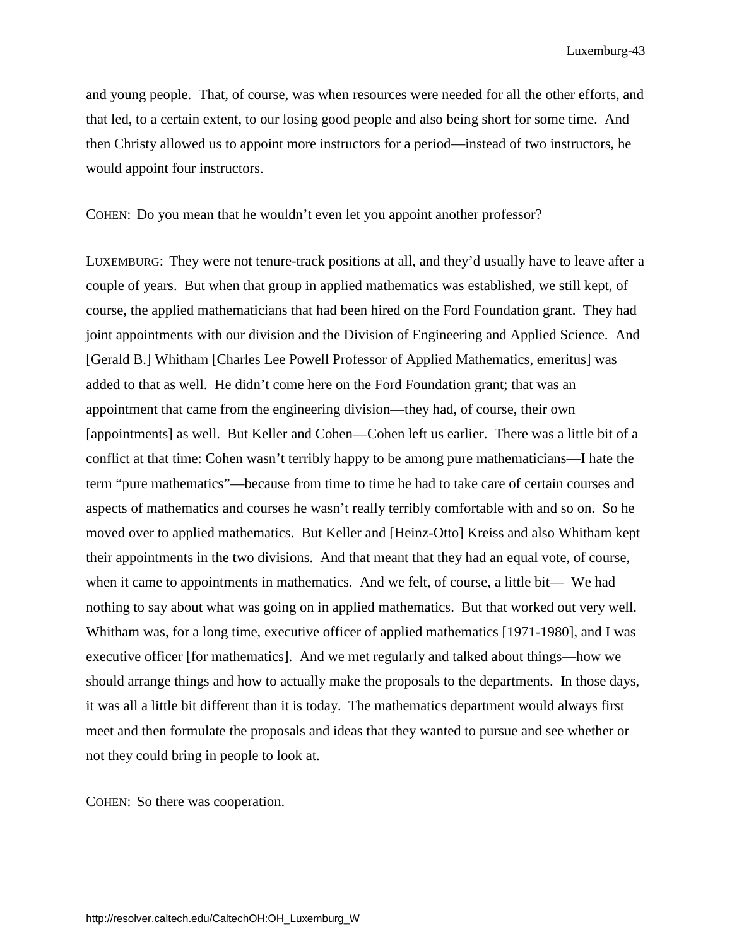and young people. That, of course, was when resources were needed for all the other efforts, and that led, to a certain extent, to our losing good people and also being short for some time. And then Christy allowed us to appoint more instructors for a period—instead of two instructors, he would appoint four instructors.

COHEN: Do you mean that he wouldn't even let you appoint another professor?

LUXEMBURG: They were not tenure-track positions at all, and they'd usually have to leave after a couple of years. But when that group in applied mathematics was established, we still kept, of course, the applied mathematicians that had been hired on the Ford Foundation grant. They had joint appointments with our division and the Division of Engineering and Applied Science. And [Gerald B.] Whitham [Charles Lee Powell Professor of Applied Mathematics, emeritus] was added to that as well. He didn't come here on the Ford Foundation grant; that was an appointment that came from the engineering division—they had, of course, their own [appointments] as well. But Keller and Cohen—Cohen left us earlier. There was a little bit of a conflict at that time: Cohen wasn't terribly happy to be among pure mathematicians—I hate the term "pure mathematics"—because from time to time he had to take care of certain courses and aspects of mathematics and courses he wasn't really terribly comfortable with and so on. So he moved over to applied mathematics. But Keller and [Heinz-Otto] Kreiss and also Whitham kept their appointments in the two divisions. And that meant that they had an equal vote, of course, when it came to appointments in mathematics. And we felt, of course, a little bit— We had nothing to say about what was going on in applied mathematics. But that worked out very well. Whitham was, for a long time, executive officer of applied mathematics [1971-1980], and I was executive officer [for mathematics]. And we met regularly and talked about things—how we should arrange things and how to actually make the proposals to the departments. In those days, it was all a little bit different than it is today. The mathematics department would always first meet and then formulate the proposals and ideas that they wanted to pursue and see whether or not they could bring in people to look at.

COHEN: So there was cooperation.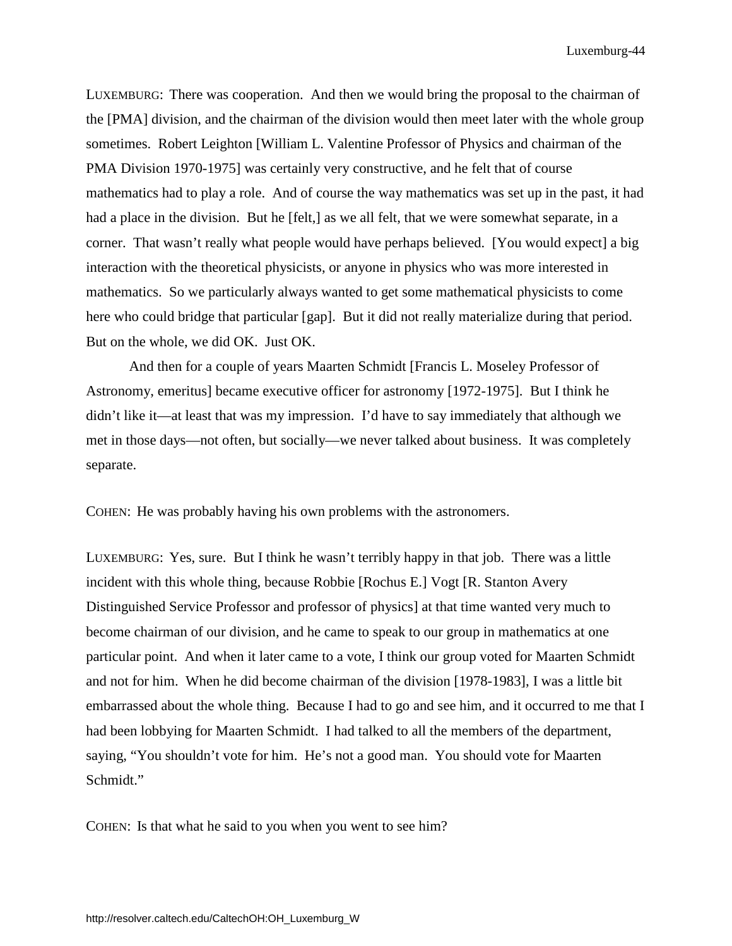LUXEMBURG: There was cooperation. And then we would bring the proposal to the chairman of the [PMA] division, and the chairman of the division would then meet later with the whole group sometimes. Robert Leighton [William L. Valentine Professor of Physics and chairman of the PMA Division 1970-1975] was certainly very constructive, and he felt that of course mathematics had to play a role. And of course the way mathematics was set up in the past, it had had a place in the division. But he [felt,] as we all felt, that we were somewhat separate, in a corner. That wasn't really what people would have perhaps believed. [You would expect] a big interaction with the theoretical physicists, or anyone in physics who was more interested in mathematics. So we particularly always wanted to get some mathematical physicists to come here who could bridge that particular [gap]. But it did not really materialize during that period. But on the whole, we did OK. Just OK.

And then for a couple of years Maarten Schmidt [Francis L. Moseley Professor of Astronomy, emeritus] became executive officer for astronomy [1972-1975]. But I think he didn't like it—at least that was my impression. I'd have to say immediately that although we met in those days—not often, but socially—we never talked about business. It was completely separate.

COHEN: He was probably having his own problems with the astronomers.

LUXEMBURG: Yes, sure. But I think he wasn't terribly happy in that job. There was a little incident with this whole thing, because Robbie [Rochus E.] Vogt [R. Stanton Avery Distinguished Service Professor and professor of physics] at that time wanted very much to become chairman of our division, and he came to speak to our group in mathematics at one particular point. And when it later came to a vote, I think our group voted for Maarten Schmidt and not for him. When he did become chairman of the division [1978-1983], I was a little bit embarrassed about the whole thing. Because I had to go and see him, and it occurred to me that I had been lobbying for Maarten Schmidt. I had talked to all the members of the department, saying, "You shouldn't vote for him. He's not a good man. You should vote for Maarten Schmidt."

COHEN: Is that what he said to you when you went to see him?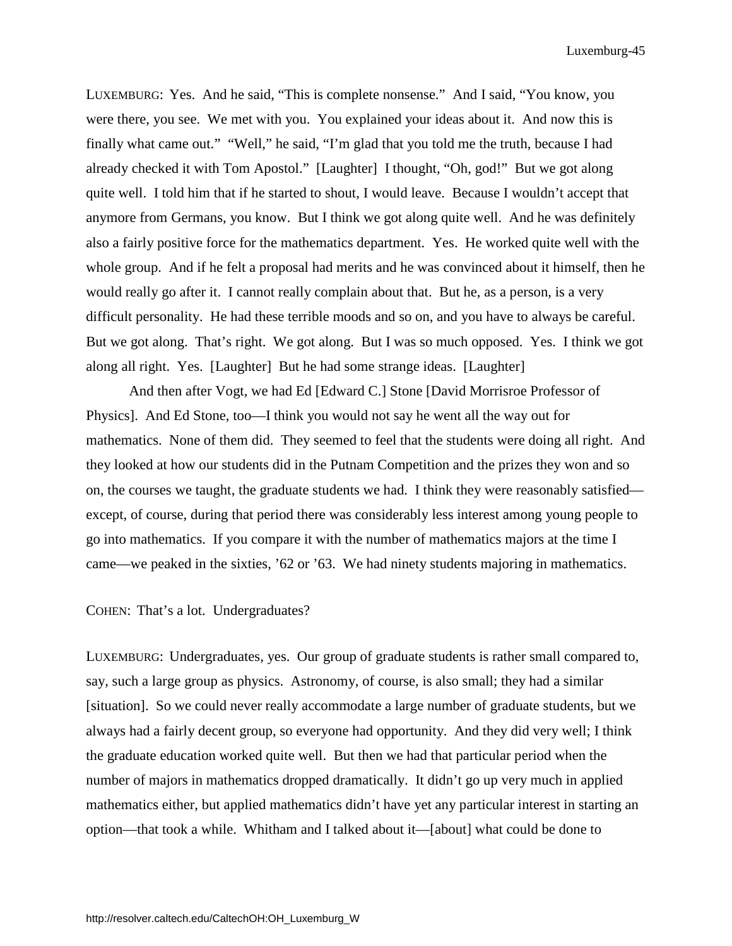LUXEMBURG: Yes. And he said, "This is complete nonsense." And I said, "You know, you were there, you see. We met with you. You explained your ideas about it. And now this is finally what came out." "Well," he said, "I'm glad that you told me the truth, because I had already checked it with Tom Apostol." [Laughter] I thought, "Oh, god!" But we got along quite well. I told him that if he started to shout, I would leave. Because I wouldn't accept that anymore from Germans, you know. But I think we got along quite well. And he was definitely also a fairly positive force for the mathematics department. Yes. He worked quite well with the whole group. And if he felt a proposal had merits and he was convinced about it himself, then he would really go after it. I cannot really complain about that. But he, as a person, is a very difficult personality. He had these terrible moods and so on, and you have to always be careful. But we got along. That's right. We got along. But I was so much opposed. Yes. I think we got along all right. Yes. [Laughter] But he had some strange ideas. [Laughter]

And then after Vogt, we had Ed [Edward C.] Stone [David Morrisroe Professor of Physics]. And Ed Stone, too—I think you would not say he went all the way out for mathematics. None of them did. They seemed to feel that the students were doing all right. And they looked at how our students did in the Putnam Competition and the prizes they won and so on, the courses we taught, the graduate students we had. I think they were reasonably satisfied except, of course, during that period there was considerably less interest among young people to go into mathematics. If you compare it with the number of mathematics majors at the time I came—we peaked in the sixties, '62 or '63. We had ninety students majoring in mathematics.

COHEN: That's a lot. Undergraduates?

LUXEMBURG: Undergraduates, yes. Our group of graduate students is rather small compared to, say, such a large group as physics. Astronomy, of course, is also small; they had a similar [situation]. So we could never really accommodate a large number of graduate students, but we always had a fairly decent group, so everyone had opportunity. And they did very well; I think the graduate education worked quite well. But then we had that particular period when the number of majors in mathematics dropped dramatically. It didn't go up very much in applied mathematics either, but applied mathematics didn't have yet any particular interest in starting an option—that took a while. Whitham and I talked about it—[about] what could be done to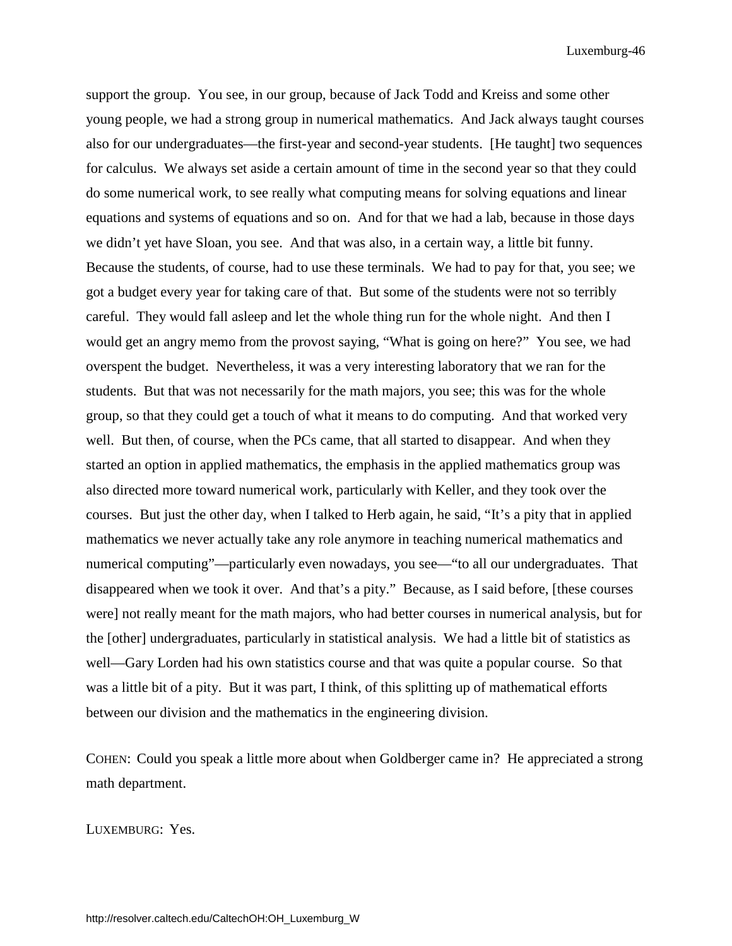support the group. You see, in our group, because of Jack Todd and Kreiss and some other young people, we had a strong group in numerical mathematics. And Jack always taught courses also for our undergraduates—the first-year and second-year students. [He taught] two sequences for calculus. We always set aside a certain amount of time in the second year so that they could do some numerical work, to see really what computing means for solving equations and linear equations and systems of equations and so on. And for that we had a lab, because in those days we didn't yet have Sloan, you see. And that was also, in a certain way, a little bit funny. Because the students, of course, had to use these terminals. We had to pay for that, you see; we got a budget every year for taking care of that. But some of the students were not so terribly careful. They would fall asleep and let the whole thing run for the whole night. And then I would get an angry memo from the provost saying, "What is going on here?" You see, we had overspent the budget. Nevertheless, it was a very interesting laboratory that we ran for the students. But that was not necessarily for the math majors, you see; this was for the whole group, so that they could get a touch of what it means to do computing. And that worked very well. But then, of course, when the PCs came, that all started to disappear. And when they started an option in applied mathematics, the emphasis in the applied mathematics group was also directed more toward numerical work, particularly with Keller, and they took over the courses. But just the other day, when I talked to Herb again, he said, "It's a pity that in applied mathematics we never actually take any role anymore in teaching numerical mathematics and numerical computing"—particularly even nowadays, you see—"to all our undergraduates. That disappeared when we took it over. And that's a pity." Because, as I said before, [these courses were] not really meant for the math majors, who had better courses in numerical analysis, but for the [other] undergraduates, particularly in statistical analysis. We had a little bit of statistics as well—Gary Lorden had his own statistics course and that was quite a popular course. So that was a little bit of a pity. But it was part, I think, of this splitting up of mathematical efforts between our division and the mathematics in the engineering division.

COHEN: Could you speak a little more about when Goldberger came in? He appreciated a strong math department.

LUXEMBURG: Yes.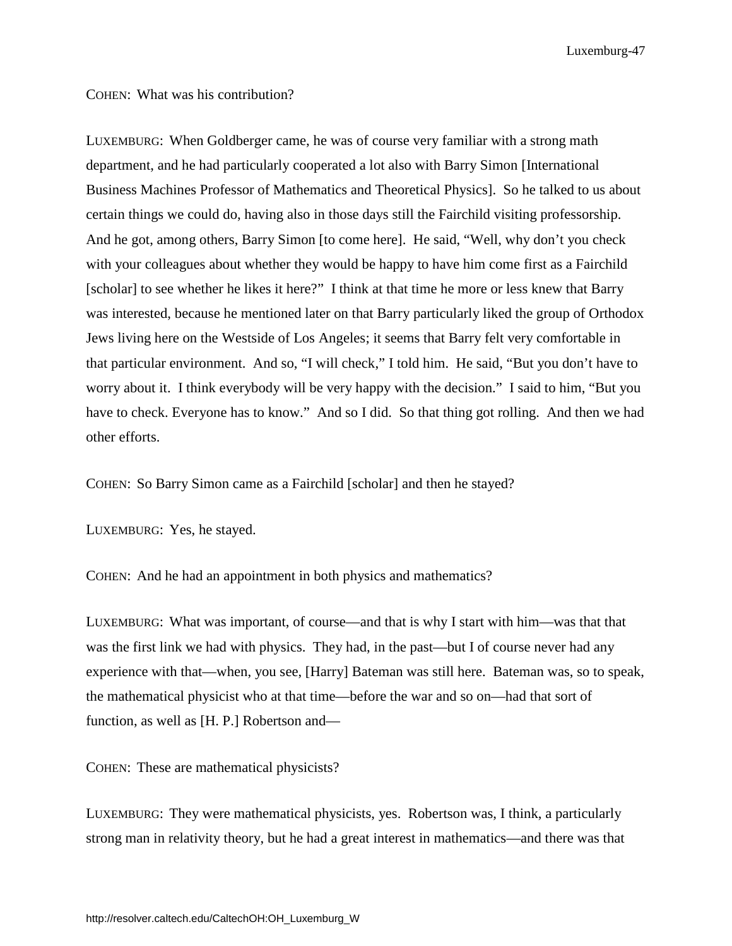COHEN: What was his contribution?

LUXEMBURG: When Goldberger came, he was of course very familiar with a strong math department, and he had particularly cooperated a lot also with Barry Simon [International Business Machines Professor of Mathematics and Theoretical Physics]. So he talked to us about certain things we could do, having also in those days still the Fairchild visiting professorship. And he got, among others, Barry Simon [to come here]. He said, "Well, why don't you check with your colleagues about whether they would be happy to have him come first as a Fairchild [scholar] to see whether he likes it here?" I think at that time he more or less knew that Barry was interested, because he mentioned later on that Barry particularly liked the group of Orthodox Jews living here on the Westside of Los Angeles; it seems that Barry felt very comfortable in that particular environment. And so, "I will check," I told him. He said, "But you don't have to worry about it. I think everybody will be very happy with the decision." I said to him, "But you have to check. Everyone has to know." And so I did. So that thing got rolling. And then we had other efforts.

COHEN: So Barry Simon came as a Fairchild [scholar] and then he stayed?

LUXEMBURG: Yes, he stayed.

COHEN: And he had an appointment in both physics and mathematics?

LUXEMBURG: What was important, of course—and that is why I start with him—was that that was the first link we had with physics. They had, in the past—but I of course never had any experience with that—when, you see, [Harry] Bateman was still here. Bateman was, so to speak, the mathematical physicist who at that time—before the war and so on—had that sort of function, as well as [H. P.] Robertson and—

COHEN: These are mathematical physicists?

LUXEMBURG: They were mathematical physicists, yes. Robertson was, I think, a particularly strong man in relativity theory, but he had a great interest in mathematics—and there was that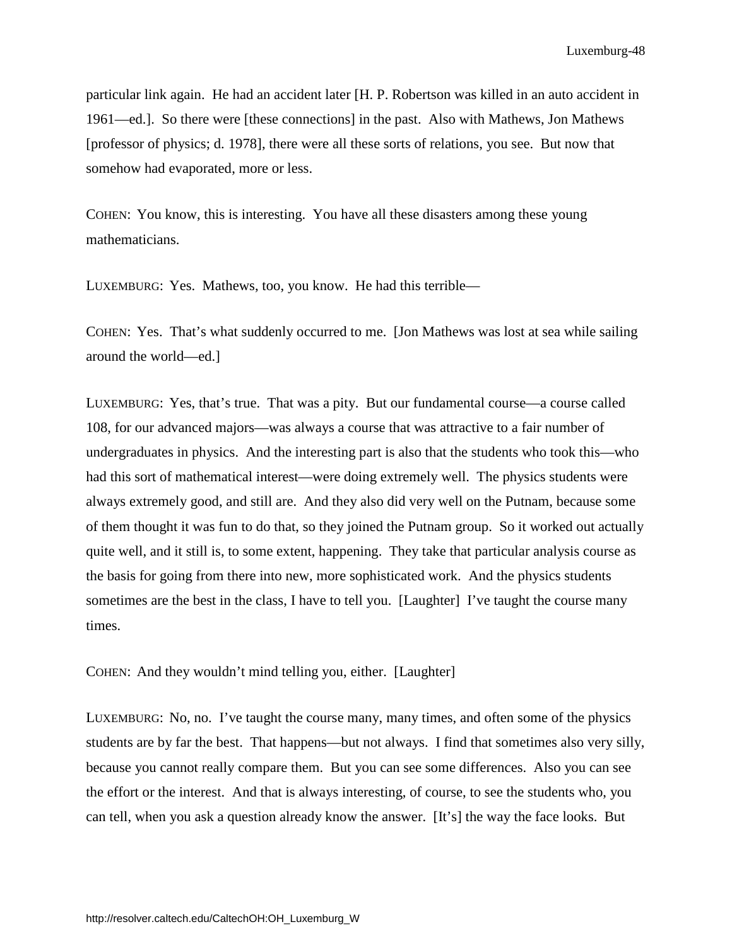particular link again. He had an accident later [H. P. Robertson was killed in an auto accident in 1961—ed.]. So there were [these connections] in the past. Also with Mathews, Jon Mathews [professor of physics; d. 1978], there were all these sorts of relations, you see. But now that somehow had evaporated, more or less.

COHEN: You know, this is interesting. You have all these disasters among these young mathematicians.

LUXEMBURG: Yes. Mathews, too, you know. He had this terrible—

COHEN: Yes. That's what suddenly occurred to me. [Jon Mathews was lost at sea while sailing around the world—ed.]

LUXEMBURG: Yes, that's true. That was a pity. But our fundamental course—a course called 108, for our advanced majors—was always a course that was attractive to a fair number of undergraduates in physics. And the interesting part is also that the students who took this—who had this sort of mathematical interest—were doing extremely well. The physics students were always extremely good, and still are. And they also did very well on the Putnam, because some of them thought it was fun to do that, so they joined the Putnam group. So it worked out actually quite well, and it still is, to some extent, happening. They take that particular analysis course as the basis for going from there into new, more sophisticated work. And the physics students sometimes are the best in the class, I have to tell you. [Laughter] I've taught the course many times.

COHEN: And they wouldn't mind telling you, either. [Laughter]

LUXEMBURG: No, no. I've taught the course many, many times, and often some of the physics students are by far the best. That happens—but not always. I find that sometimes also very silly, because you cannot really compare them. But you can see some differences. Also you can see the effort or the interest. And that is always interesting, of course, to see the students who, you can tell, when you ask a question already know the answer. [It's] the way the face looks. But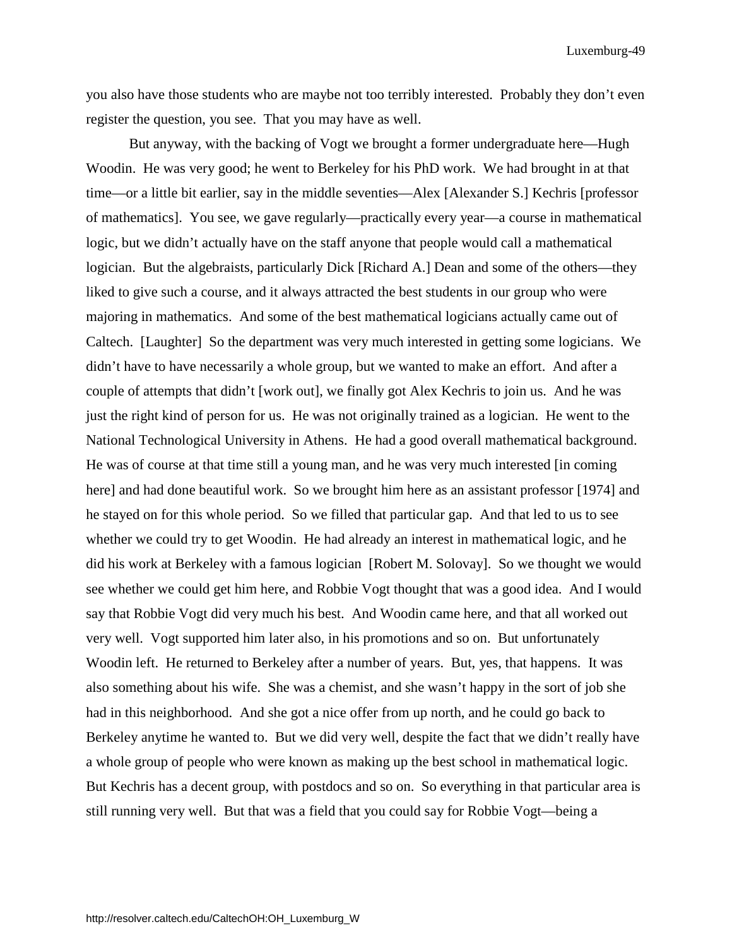you also have those students who are maybe not too terribly interested. Probably they don't even register the question, you see. That you may have as well.

But anyway, with the backing of Vogt we brought a former undergraduate here—Hugh Woodin. He was very good; he went to Berkeley for his PhD work. We had brought in at that time—or a little bit earlier, say in the middle seventies—Alex [Alexander S.] Kechris [professor of mathematics]. You see, we gave regularly—practically every year—a course in mathematical logic, but we didn't actually have on the staff anyone that people would call a mathematical logician. But the algebraists, particularly Dick [Richard A.] Dean and some of the others—they liked to give such a course, and it always attracted the best students in our group who were majoring in mathematics. And some of the best mathematical logicians actually came out of Caltech. [Laughter] So the department was very much interested in getting some logicians. We didn't have to have necessarily a whole group, but we wanted to make an effort. And after a couple of attempts that didn't [work out], we finally got Alex Kechris to join us. And he was just the right kind of person for us. He was not originally trained as a logician. He went to the National Technological University in Athens. He had a good overall mathematical background. He was of course at that time still a young man, and he was very much interested [in coming here] and had done beautiful work. So we brought him here as an assistant professor [1974] and he stayed on for this whole period. So we filled that particular gap. And that led to us to see whether we could try to get Woodin. He had already an interest in mathematical logic, and he did his work at Berkeley with a famous logician [Robert M. Solovay]. So we thought we would see whether we could get him here, and Robbie Vogt thought that was a good idea. And I would say that Robbie Vogt did very much his best. And Woodin came here, and that all worked out very well. Vogt supported him later also, in his promotions and so on. But unfortunately Woodin left. He returned to Berkeley after a number of years. But, yes, that happens. It was also something about his wife. She was a chemist, and she wasn't happy in the sort of job she had in this neighborhood. And she got a nice offer from up north, and he could go back to Berkeley anytime he wanted to. But we did very well, despite the fact that we didn't really have a whole group of people who were known as making up the best school in mathematical logic. But Kechris has a decent group, with postdocs and so on. So everything in that particular area is still running very well. But that was a field that you could say for Robbie Vogt—being a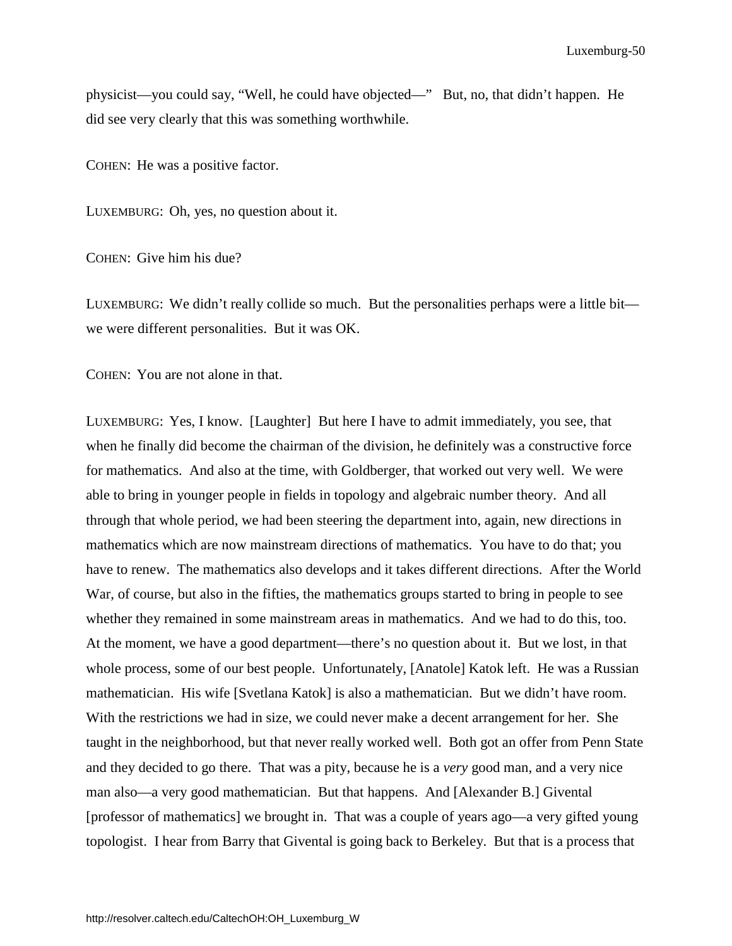physicist—you could say, "Well, he could have objected—" But, no, that didn't happen. He did see very clearly that this was something worthwhile.

COHEN: He was a positive factor.

LUXEMBURG: Oh, yes, no question about it.

COHEN: Give him his due?

LUXEMBURG: We didn't really collide so much. But the personalities perhaps were a little bit we were different personalities. But it was OK.

COHEN: You are not alone in that.

LUXEMBURG: Yes, I know. [Laughter] But here I have to admit immediately, you see, that when he finally did become the chairman of the division, he definitely was a constructive force for mathematics. And also at the time, with Goldberger, that worked out very well. We were able to bring in younger people in fields in topology and algebraic number theory. And all through that whole period, we had been steering the department into, again, new directions in mathematics which are now mainstream directions of mathematics. You have to do that; you have to renew. The mathematics also develops and it takes different directions. After the World War, of course, but also in the fifties, the mathematics groups started to bring in people to see whether they remained in some mainstream areas in mathematics. And we had to do this, too. At the moment, we have a good department—there's no question about it. But we lost, in that whole process, some of our best people. Unfortunately, [Anatole] Katok left. He was a Russian mathematician. His wife [Svetlana Katok] is also a mathematician. But we didn't have room. With the restrictions we had in size, we could never make a decent arrangement for her. She taught in the neighborhood, but that never really worked well. Both got an offer from Penn State and they decided to go there. That was a pity, because he is a *very* good man, and a very nice man also—a very good mathematician. But that happens. And [Alexander B.] Givental [professor of mathematics] we brought in. That was a couple of years ago—a very gifted young topologist. I hear from Barry that Givental is going back to Berkeley. But that is a process that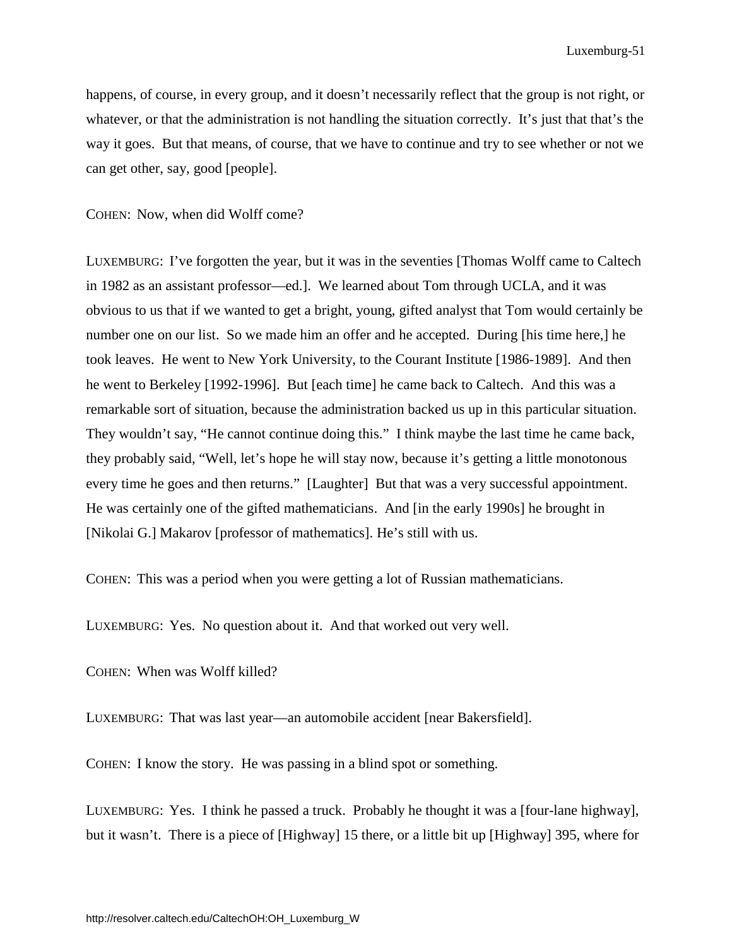happens, of course, in every group, and it doesn't necessarily reflect that the group is not right, or whatever, or that the administration is not handling the situation correctly. It's just that that's the way it goes. But that means, of course, that we have to continue and try to see whether or not we can get other, say, good [people].

COHEN: Now, when did Wolff come?

LUXEMBURG: I've forgotten the year, but it was in the seventies [Thomas Wolff came to Caltech in 1982 as an assistant professor—ed.]. We learned about Tom through UCLA, and it was obvious to us that if we wanted to get a bright, young, gifted analyst that Tom would certainly be number one on our list. So we made him an offer and he accepted. During [his time here,] he took leaves. He went to New York University, to the Courant Institute [1986-1989]. And then he went to Berkeley [1992-1996]. But [each time] he came back to Caltech. And this was a remarkable sort of situation, because the administration backed us up in this particular situation. They wouldn't say, "He cannot continue doing this." I think maybe the last time he came back, they probably said, "Well, let's hope he will stay now, because it's getting a little monotonous every time he goes and then returns." [Laughter] But that was a very successful appointment. He was certainly one of the gifted mathematicians. And [in the early 1990s] he brought in [Nikolai G.] Makarov [professor of mathematics]. He's still with us.

COHEN: This was a period when you were getting a lot of Russian mathematicians.

LUXEMBURG: Yes. No question about it. And that worked out very well.

COHEN: When was Wolff killed?

LUXEMBURG: That was last year—an automobile accident [near Bakersfield].

COHEN: I know the story. He was passing in a blind spot or something.

LUXEMBURG: Yes. I think he passed a truck. Probably he thought it was a [four-lane highway], but it wasn't. There is a piece of [Highway] 15 there, or a little bit up [Highway] 395, where for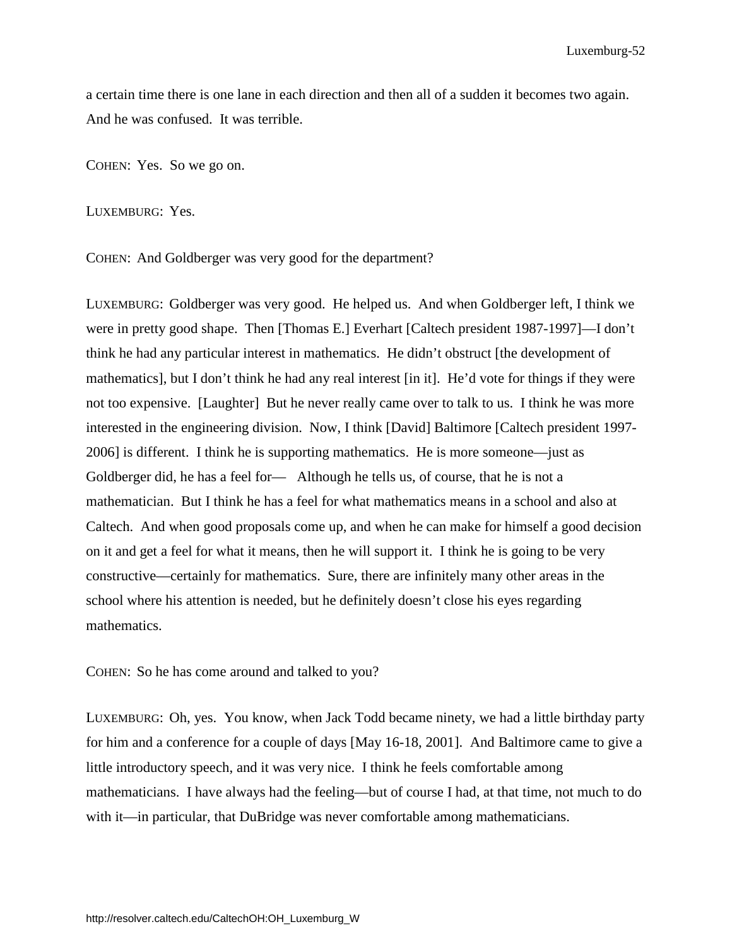a certain time there is one lane in each direction and then all of a sudden it becomes two again. And he was confused. It was terrible.

COHEN: Yes. So we go on.

LUXEMBURG: Yes.

COHEN: And Goldberger was very good for the department?

LUXEMBURG: Goldberger was very good. He helped us. And when Goldberger left, I think we were in pretty good shape. Then [Thomas E.] Everhart [Caltech president 1987-1997]—I don't think he had any particular interest in mathematics. He didn't obstruct [the development of mathematics], but I don't think he had any real interest [in it]. He'd vote for things if they were not too expensive. [Laughter] But he never really came over to talk to us. I think he was more interested in the engineering division. Now, I think [David] Baltimore [Caltech president 1997- 2006] is different. I think he is supporting mathematics. He is more someone—just as Goldberger did, he has a feel for— Although he tells us, of course, that he is not a mathematician. But I think he has a feel for what mathematics means in a school and also at Caltech. And when good proposals come up, and when he can make for himself a good decision on it and get a feel for what it means, then he will support it. I think he is going to be very constructive—certainly for mathematics. Sure, there are infinitely many other areas in the school where his attention is needed, but he definitely doesn't close his eyes regarding mathematics.

COHEN: So he has come around and talked to you?

LUXEMBURG: Oh, yes. You know, when Jack Todd became ninety, we had a little birthday party for him and a conference for a couple of days [May 16-18, 2001]. And Baltimore came to give a little introductory speech, and it was very nice. I think he feels comfortable among mathematicians. I have always had the feeling—but of course I had, at that time, not much to do with it—in particular, that DuBridge was never comfortable among mathematicians.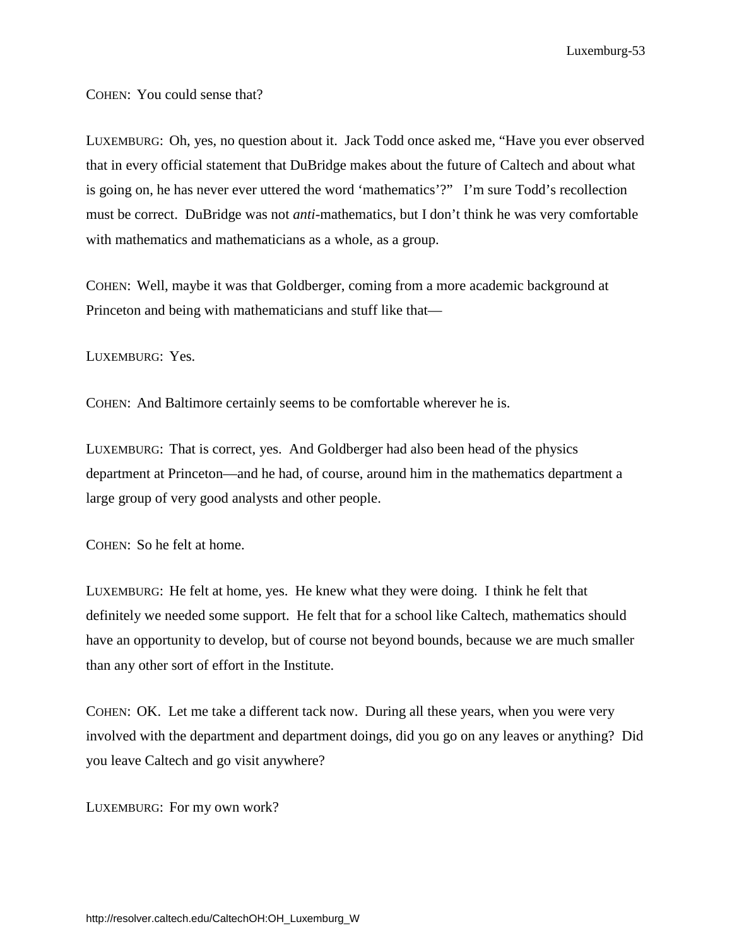COHEN: You could sense that?

LUXEMBURG: Oh, yes, no question about it. Jack Todd once asked me, "Have you ever observed that in every official statement that DuBridge makes about the future of Caltech and about what is going on, he has never ever uttered the word 'mathematics'?" I'm sure Todd's recollection must be correct. DuBridge was not *anti*-mathematics, but I don't think he was very comfortable with mathematics and mathematicians as a whole, as a group.

COHEN: Well, maybe it was that Goldberger, coming from a more academic background at Princeton and being with mathematicians and stuff like that—

LUXEMBURG: Yes.

COHEN: And Baltimore certainly seems to be comfortable wherever he is.

LUXEMBURG: That is correct, yes. And Goldberger had also been head of the physics department at Princeton—and he had, of course, around him in the mathematics department a large group of very good analysts and other people.

COHEN: So he felt at home.

LUXEMBURG: He felt at home, yes. He knew what they were doing. I think he felt that definitely we needed some support. He felt that for a school like Caltech, mathematics should have an opportunity to develop, but of course not beyond bounds, because we are much smaller than any other sort of effort in the Institute.

COHEN: OK. Let me take a different tack now. During all these years, when you were very involved with the department and department doings, did you go on any leaves or anything? Did you leave Caltech and go visit anywhere?

LUXEMBURG: For my own work?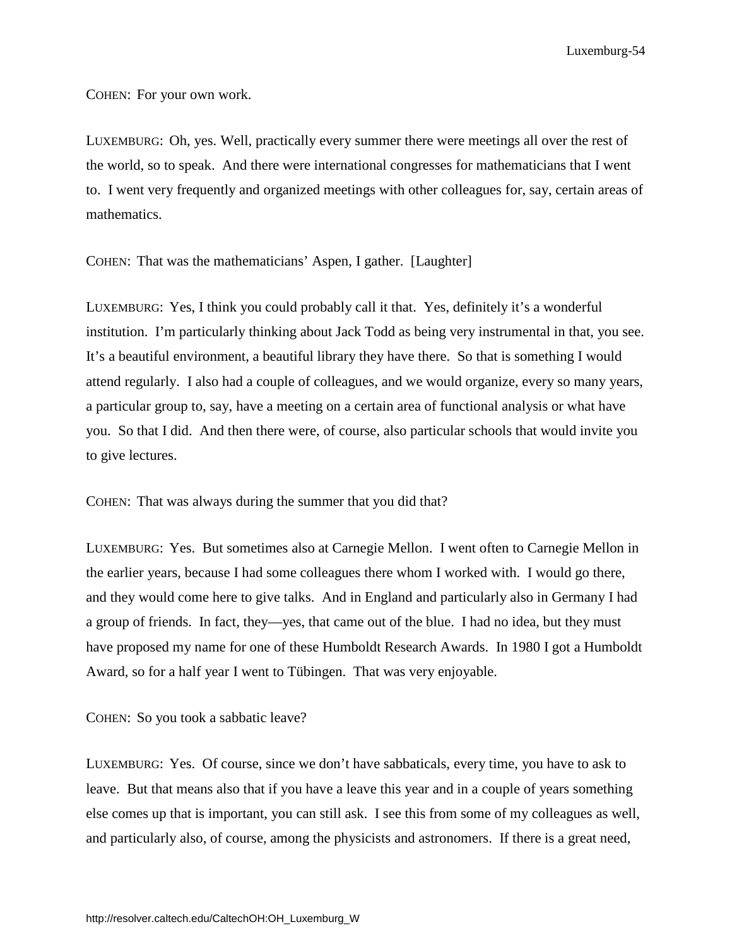COHEN: For your own work.

LUXEMBURG: Oh, yes. Well, practically every summer there were meetings all over the rest of the world, so to speak. And there were international congresses for mathematicians that I went to. I went very frequently and organized meetings with other colleagues for, say, certain areas of mathematics.

COHEN: That was the mathematicians' Aspen, I gather. [Laughter]

LUXEMBURG: Yes, I think you could probably call it that. Yes, definitely it's a wonderful institution. I'm particularly thinking about Jack Todd as being very instrumental in that, you see. It's a beautiful environment, a beautiful library they have there. So that is something I would attend regularly. I also had a couple of colleagues, and we would organize, every so many years, a particular group to, say, have a meeting on a certain area of functional analysis or what have you. So that I did. And then there were, of course, also particular schools that would invite you to give lectures.

COHEN: That was always during the summer that you did that?

LUXEMBURG: Yes. But sometimes also at Carnegie Mellon. I went often to Carnegie Mellon in the earlier years, because I had some colleagues there whom I worked with. I would go there, and they would come here to give talks. And in England and particularly also in Germany I had a group of friends. In fact, they—yes, that came out of the blue. I had no idea, but they must have proposed my name for one of these Humboldt Research Awards. In 1980 I got a Humboldt Award, so for a half year I went to Tübingen. That was very enjoyable.

COHEN: So you took a sabbatic leave?

LUXEMBURG: Yes. Of course, since we don't have sabbaticals, every time, you have to ask to leave. But that means also that if you have a leave this year and in a couple of years something else comes up that is important, you can still ask. I see this from some of my colleagues as well, and particularly also, of course, among the physicists and astronomers. If there is a great need,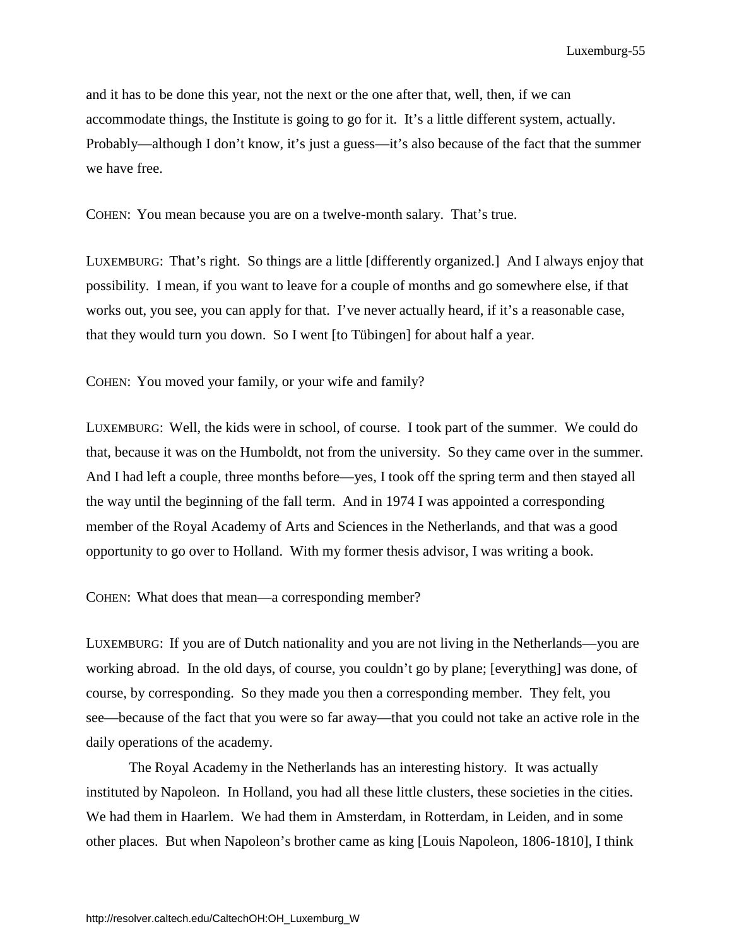and it has to be done this year, not the next or the one after that, well, then, if we can accommodate things, the Institute is going to go for it. It's a little different system, actually. Probably—although I don't know, it's just a guess—it's also because of the fact that the summer we have free.

COHEN: You mean because you are on a twelve-month salary. That's true.

LUXEMBURG: That's right. So things are a little [differently organized.] And I always enjoy that possibility. I mean, if you want to leave for a couple of months and go somewhere else, if that works out, you see, you can apply for that. I've never actually heard, if it's a reasonable case, that they would turn you down. So I went [to Tübingen] for about half a year.

COHEN: You moved your family, or your wife and family?

LUXEMBURG: Well, the kids were in school, of course. I took part of the summer. We could do that, because it was on the Humboldt, not from the university. So they came over in the summer. And I had left a couple, three months before—yes, I took off the spring term and then stayed all the way until the beginning of the fall term. And in 1974 I was appointed a corresponding member of the Royal Academy of Arts and Sciences in the Netherlands, and that was a good opportunity to go over to Holland. With my former thesis advisor, I was writing a book.

COHEN: What does that mean—a corresponding member?

LUXEMBURG: If you are of Dutch nationality and you are not living in the Netherlands—you are working abroad. In the old days, of course, you couldn't go by plane; [everything] was done, of course, by corresponding. So they made you then a corresponding member. They felt, you see—because of the fact that you were so far away—that you could not take an active role in the daily operations of the academy.

The Royal Academy in the Netherlands has an interesting history. It was actually instituted by Napoleon. In Holland, you had all these little clusters, these societies in the cities. We had them in Haarlem. We had them in Amsterdam, in Rotterdam, in Leiden, and in some other places. But when Napoleon's brother came as king [Louis Napoleon, 1806-1810], I think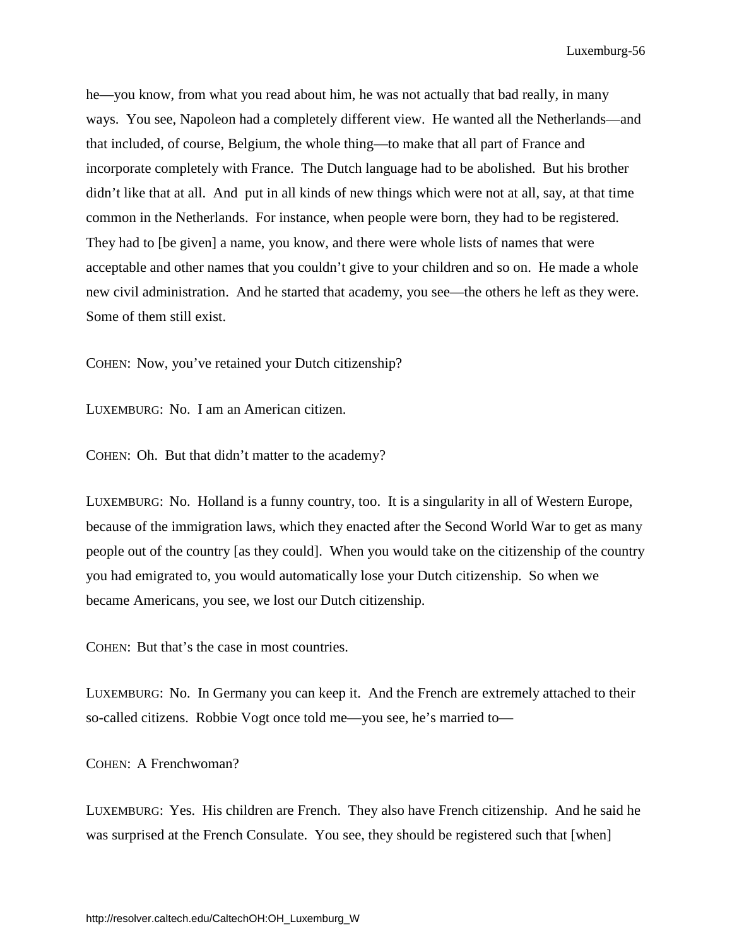he—you know, from what you read about him, he was not actually that bad really, in many ways. You see, Napoleon had a completely different view. He wanted all the Netherlands—and that included, of course, Belgium, the whole thing—to make that all part of France and incorporate completely with France. The Dutch language had to be abolished. But his brother didn't like that at all. And put in all kinds of new things which were not at all, say, at that time common in the Netherlands. For instance, when people were born, they had to be registered. They had to [be given] a name, you know, and there were whole lists of names that were acceptable and other names that you couldn't give to your children and so on. He made a whole new civil administration. And he started that academy, you see—the others he left as they were. Some of them still exist.

COHEN: Now, you've retained your Dutch citizenship?

LUXEMBURG: No. I am an American citizen.

COHEN: Oh. But that didn't matter to the academy?

LUXEMBURG: No. Holland is a funny country, too. It is a singularity in all of Western Europe, because of the immigration laws, which they enacted after the Second World War to get as many people out of the country [as they could]. When you would take on the citizenship of the country you had emigrated to, you would automatically lose your Dutch citizenship. So when we became Americans, you see, we lost our Dutch citizenship.

COHEN: But that's the case in most countries.

LUXEMBURG: No. In Germany you can keep it. And the French are extremely attached to their so-called citizens. Robbie Vogt once told me—you see, he's married to—

COHEN: A Frenchwoman?

LUXEMBURG: Yes. His children are French. They also have French citizenship. And he said he was surprised at the French Consulate. You see, they should be registered such that [when]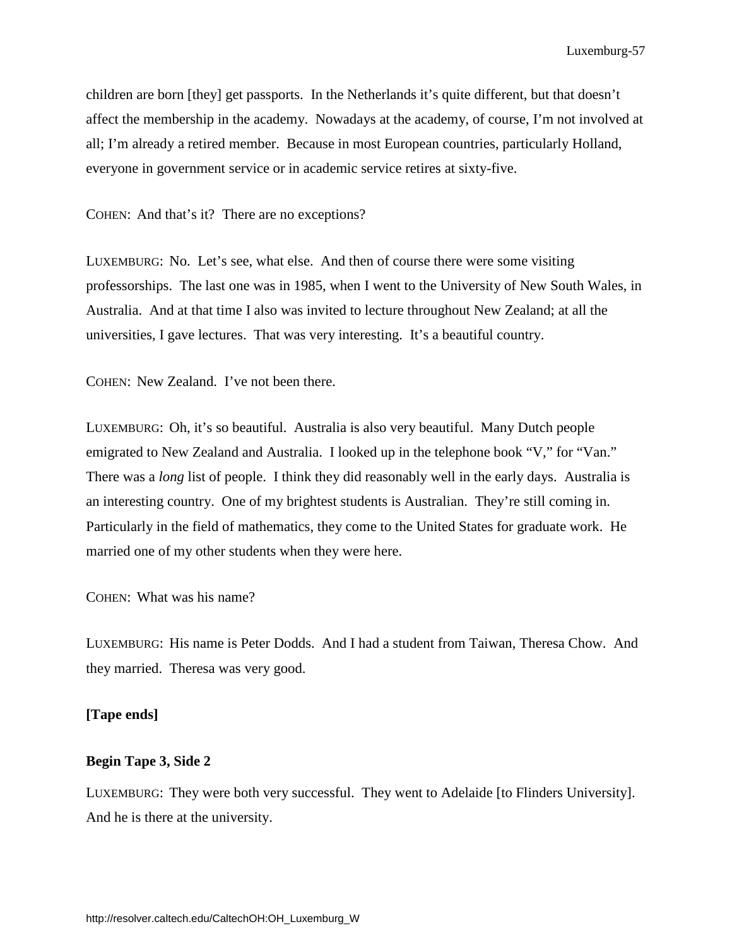children are born [they] get passports. In the Netherlands it's quite different, but that doesn't affect the membership in the academy. Nowadays at the academy, of course, I'm not involved at all; I'm already a retired member. Because in most European countries, particularly Holland, everyone in government service or in academic service retires at sixty-five.

COHEN: And that's it? There are no exceptions?

LUXEMBURG: No. Let's see, what else. And then of course there were some visiting professorships. The last one was in 1985, when I went to the University of New South Wales, in Australia. And at that time I also was invited to lecture throughout New Zealand; at all the universities, I gave lectures. That was very interesting. It's a beautiful country.

COHEN: New Zealand. I've not been there.

LUXEMBURG: Oh, it's so beautiful. Australia is also very beautiful. Many Dutch people emigrated to New Zealand and Australia. I looked up in the telephone book "V," for "Van." There was a *long* list of people. I think they did reasonably well in the early days. Australia is an interesting country. One of my brightest students is Australian. They're still coming in. Particularly in the field of mathematics, they come to the United States for graduate work. He married one of my other students when they were here.

COHEN: What was his name?

LUXEMBURG: His name is Peter Dodds. And I had a student from Taiwan, Theresa Chow. And they married. Theresa was very good.

#### **[Tape ends]**

## **Begin Tape 3, Side 2**

LUXEMBURG: They were both very successful. They went to Adelaide [to Flinders University]. And he is there at the university.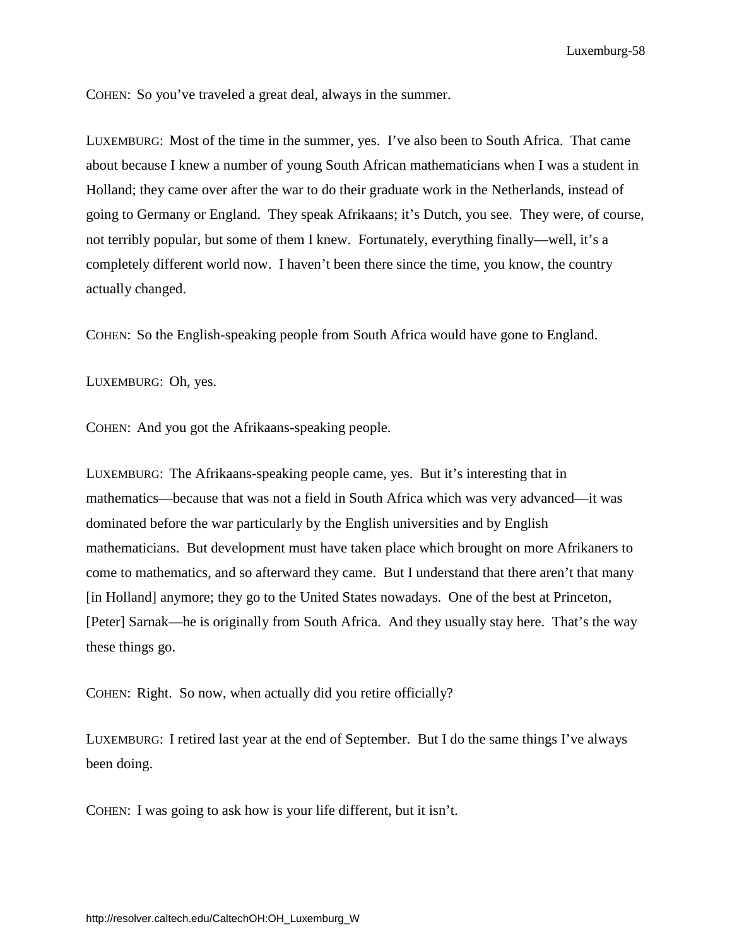COHEN: So you've traveled a great deal, always in the summer.

LUXEMBURG: Most of the time in the summer, yes. I've also been to South Africa. That came about because I knew a number of young South African mathematicians when I was a student in Holland; they came over after the war to do their graduate work in the Netherlands, instead of going to Germany or England. They speak Afrikaans; it's Dutch, you see. They were, of course, not terribly popular, but some of them I knew. Fortunately, everything finally—well, it's a completely different world now. I haven't been there since the time, you know, the country actually changed.

COHEN: So the English-speaking people from South Africa would have gone to England.

LUXEMBURG: Oh, yes.

COHEN: And you got the Afrikaans-speaking people.

LUXEMBURG: The Afrikaans-speaking people came, yes. But it's interesting that in mathematics—because that was not a field in South Africa which was very advanced—it was dominated before the war particularly by the English universities and by English mathematicians. But development must have taken place which brought on more Afrikaners to come to mathematics, and so afterward they came. But I understand that there aren't that many [in Holland] anymore; they go to the United States nowadays. One of the best at Princeton, [Peter] Sarnak—he is originally from South Africa. And they usually stay here. That's the way these things go.

COHEN: Right. So now, when actually did you retire officially?

LUXEMBURG: I retired last year at the end of September. But I do the same things I've always been doing.

COHEN: I was going to ask how is your life different, but it isn't.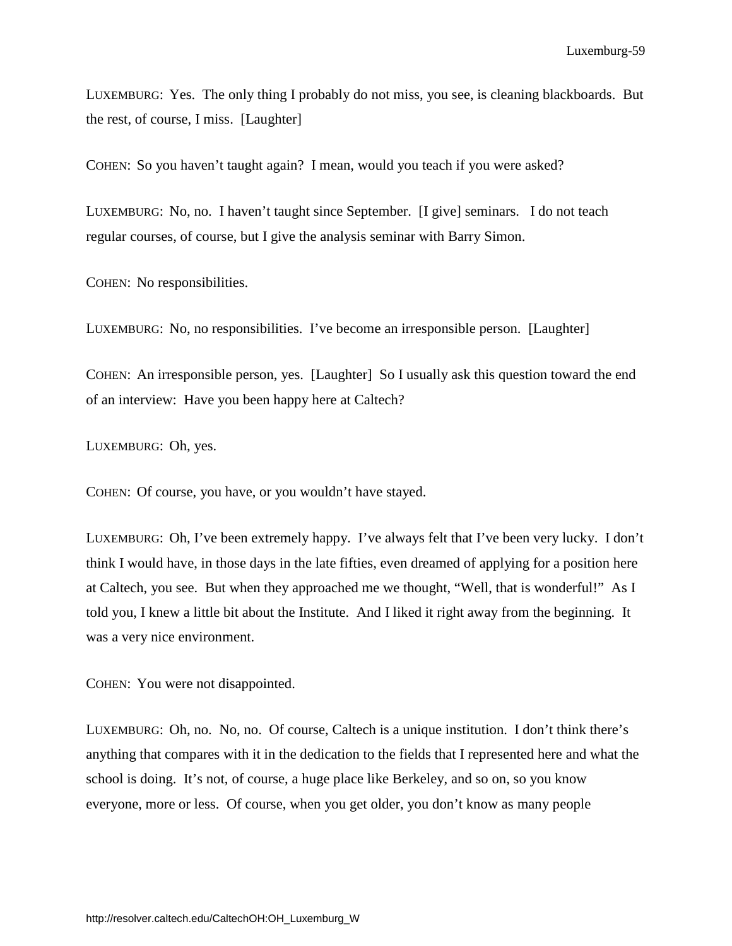LUXEMBURG: Yes. The only thing I probably do not miss, you see, is cleaning blackboards. But the rest, of course, I miss. [Laughter]

COHEN: So you haven't taught again? I mean, would you teach if you were asked?

LUXEMBURG: No, no. I haven't taught since September. [I give] seminars. I do not teach regular courses, of course, but I give the analysis seminar with Barry Simon.

COHEN: No responsibilities.

LUXEMBURG: No, no responsibilities. I've become an irresponsible person. [Laughter]

COHEN: An irresponsible person, yes. [Laughter] So I usually ask this question toward the end of an interview: Have you been happy here at Caltech?

LUXEMBURG: Oh, yes.

COHEN: Of course, you have, or you wouldn't have stayed.

LUXEMBURG: Oh, I've been extremely happy. I've always felt that I've been very lucky. I don't think I would have, in those days in the late fifties, even dreamed of applying for a position here at Caltech, you see. But when they approached me we thought, "Well, that is wonderful!" As I told you, I knew a little bit about the Institute. And I liked it right away from the beginning. It was a very nice environment.

COHEN: You were not disappointed.

LUXEMBURG: Oh, no. No, no. Of course, Caltech is a unique institution. I don't think there's anything that compares with it in the dedication to the fields that I represented here and what the school is doing. It's not, of course, a huge place like Berkeley, and so on, so you know everyone, more or less. Of course, when you get older, you don't know as many people